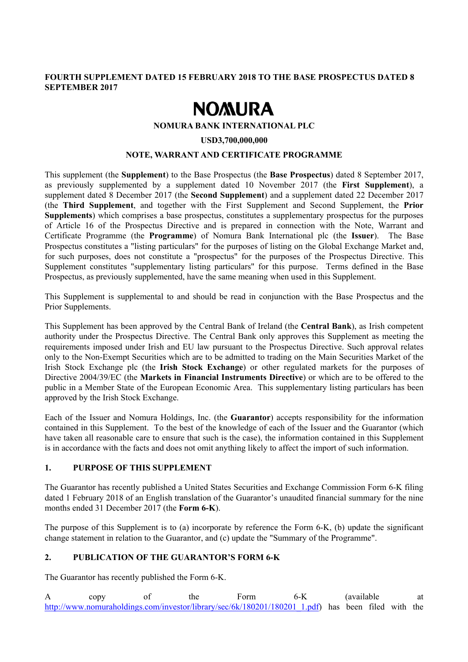# **FOURTH SUPPLEMENT DATED 15 FEBRUARY 2018 TO THE BASE PROSPECTUS DATED 8 SEPTEMBER 2017**

# **NOMURA**

#### **NOMURA BANK INTERNATIONAL PLC**

#### **USD3,700,000,000**

### **NOTE, WARRANT AND CERTIFICATE PROGRAMME**

This supplement (the **Supplement**) to the Base Prospectus (the **Base Prospectus**) dated 8 September 2017, as previously supplemented by a supplement dated 10 November 2017 (the **First Supplement**), a supplement dated 8 December 2017 (the **Second Supplement**) and a supplement dated 22 December 2017 (the **Third Supplement**, and together with the First Supplement and Second Supplement, the **Prior Supplements**) which comprises a base prospectus, constitutes a supplementary prospectus for the purposes of Article 16 of the Prospectus Directive and is prepared in connection with the Note, Warrant and Certificate Programme (the **Programme**) of Nomura Bank International plc (the **Issuer**). The Base Prospectus constitutes a "listing particulars" for the purposes of listing on the Global Exchange Market and, for such purposes, does not constitute a "prospectus" for the purposes of the Prospectus Directive. This Supplement constitutes "supplementary listing particulars" for this purpose. Terms defined in the Base Prospectus, as previously supplemented, have the same meaning when used in this Supplement.

This Supplement is supplemental to and should be read in conjunction with the Base Prospectus and the Prior Supplements.

This Supplement has been approved by the Central Bank of Ireland (the **Central Bank**), as Irish competent authority under the Prospectus Directive. The Central Bank only approves this Supplement as meeting the requirements imposed under Irish and EU law pursuant to the Prospectus Directive. Such approval relates only to the Non-Exempt Securities which are to be admitted to trading on the Main Securities Market of the Irish Stock Exchange plc (the **Irish Stock Exchange**) or other regulated markets for the purposes of Directive 2004/39/EC (the **Markets in Financial Instruments Directive**) or which are to be offered to the public in a Member State of the European Economic Area. This supplementary listing particulars has been approved by the Irish Stock Exchange.

Each of the Issuer and Nomura Holdings, Inc. (the **Guarantor**) accepts responsibility for the information contained in this Supplement. To the best of the knowledge of each of the Issuer and the Guarantor (which have taken all reasonable care to ensure that such is the case), the information contained in this Supplement is in accordance with the facts and does not omit anything likely to affect the import of such information.

## **1. PURPOSE OF THIS SUPPLEMENT**

The Guarantor has recently published a United States Securities and Exchange Commission Form 6-K filing dated 1 February 2018 of an English translation of the Guarantor's unaudited financial summary for the nine months ended 31 December 2017 (the **Form 6-K**).

The purpose of this Supplement is to (a) incorporate by reference the Form 6-K, (b) update the significant change statement in relation to the Guarantor, and (c) update the "Summary of the Programme".

## **2. PUBLICATION OF THE GUARANTOR'S FORM 6-K**

The Guarantor has recently published the Form 6-K.

A copy of the Form 6-K (available at http://www.nomuraholdings.com/investor/library/sec/6k/180201/180201\_1.pdf) has been filed with the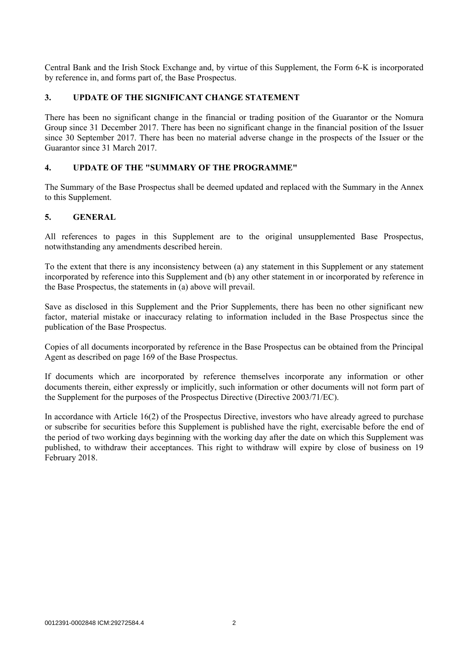Central Bank and the Irish Stock Exchange and, by virtue of this Supplement, the Form 6-K is incorporated by reference in, and forms part of, the Base Prospectus.

# **3. UPDATE OF THE SIGNIFICANT CHANGE STATEMENT**

There has been no significant change in the financial or trading position of the Guarantor or the Nomura Group since 31 December 2017. There has been no significant change in the financial position of the Issuer since 30 September 2017. There has been no material adverse change in the prospects of the Issuer or the Guarantor since 31 March 2017.

# **4. UPDATE OF THE "SUMMARY OF THE PROGRAMME"**

The Summary of the Base Prospectus shall be deemed updated and replaced with the Summary in the Annex to this Supplement.

# **5. GENERAL**

All references to pages in this Supplement are to the original unsupplemented Base Prospectus, notwithstanding any amendments described herein.

To the extent that there is any inconsistency between (a) any statement in this Supplement or any statement incorporated by reference into this Supplement and (b) any other statement in or incorporated by reference in the Base Prospectus, the statements in (a) above will prevail.

Save as disclosed in this Supplement and the Prior Supplements, there has been no other significant new factor, material mistake or inaccuracy relating to information included in the Base Prospectus since the publication of the Base Prospectus.

Copies of all documents incorporated by reference in the Base Prospectus can be obtained from the Principal Agent as described on page 169 of the Base Prospectus.

If documents which are incorporated by reference themselves incorporate any information or other documents therein, either expressly or implicitly, such information or other documents will not form part of the Supplement for the purposes of the Prospectus Directive (Directive 2003/71/EC).

In accordance with Article 16(2) of the Prospectus Directive, investors who have already agreed to purchase or subscribe for securities before this Supplement is published have the right, exercisable before the end of the period of two working days beginning with the working day after the date on which this Supplement was published, to withdraw their acceptances. This right to withdraw will expire by close of business on 19 February 2018.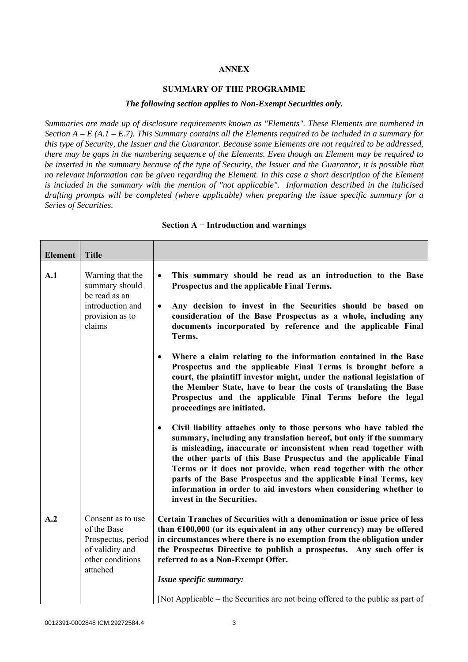# **ANNEX**

#### **SUMMARY OF THE PROGRAMME**

#### *The following section applies to Non-Exempt Securities only.*

*Summaries are made up of disclosure requirements known as "Elements". These Elements are numbered in Section A – E (A.1 – E.7). This Summary contains all the Elements required to be included in a summary for this type of Security, the Issuer and the Guarantor. Because some Elements are not required to be addressed, there may be gaps in the numbering sequence of the Elements. Even though an Element may be required to be inserted in the summary because of the type of Security, the Issuer and the Guarantor, it is possible that no relevant information can be given regarding the Element. In this case a short description of the Element is included in the summary with the mention of "not applicable". Information described in the italicised drafting prompts will be completed (where applicable) when preparing the issue specific summary for a Series of Securities.*

| Element | <b>Title</b>                                                                                              |                                                                                                                                                                                                                                                                                                                                                                                                                                                                                                                                         |  |
|---------|-----------------------------------------------------------------------------------------------------------|-----------------------------------------------------------------------------------------------------------------------------------------------------------------------------------------------------------------------------------------------------------------------------------------------------------------------------------------------------------------------------------------------------------------------------------------------------------------------------------------------------------------------------------------|--|
| A.1     | Warning that the<br>summary should<br>be read as an<br>introduction and<br>provision as to<br>claims      | This summary should be read as an introduction to the Base<br>$\bullet$<br>Prospectus and the applicable Final Terms.<br>Any decision to invest in the Securities should be based on<br>$\bullet$<br>consideration of the Base Prospectus as a whole, including any<br>documents incorporated by reference and the applicable Final<br>Terms.                                                                                                                                                                                           |  |
|         |                                                                                                           | Where a claim relating to the information contained in the Base<br>٠<br>Prospectus and the applicable Final Terms is brought before a<br>court, the plaintiff investor might, under the national legislation of<br>the Member State, have to bear the costs of translating the Base<br>Prospectus and the applicable Final Terms before the legal<br>proceedings are initiated.                                                                                                                                                         |  |
|         |                                                                                                           | Civil liability attaches only to those persons who have tabled the<br>$\bullet$<br>summary, including any translation hereof, but only if the summary<br>is misleading, inaccurate or inconsistent when read together with<br>the other parts of this Base Prospectus and the applicable Final<br>Terms or it does not provide, when read together with the other<br>parts of the Base Prospectus and the applicable Final Terms, key<br>information in order to aid investors when considering whether to<br>invest in the Securities. |  |
| A.2     | Consent as to use<br>of the Base<br>Prospectus, period<br>of validity and<br>other conditions<br>attached | Certain Tranches of Securities with a denomination or issue price of less<br>than $£100,000$ (or its equivalent in any other currency) may be offered<br>in circumstances where there is no exemption from the obligation under<br>the Prospectus Directive to publish a prospectus. Any such offer is<br>referred to as a Non-Exempt Offer.<br>Issue specific summary:                                                                                                                                                                 |  |
|         |                                                                                                           | [Not Applicable – the Securities are not being offered to the public as part of                                                                                                                                                                                                                                                                                                                                                                                                                                                         |  |

#### **Section A − Introduction and warnings**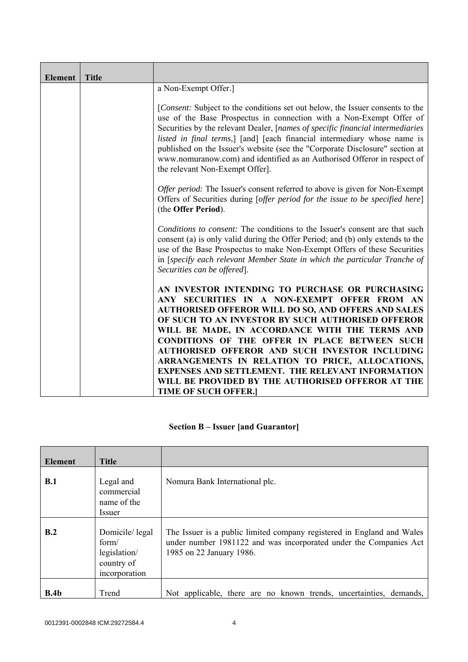| <b>Element</b> | <b>Title</b> |                                                                                                                                                                                                                                                                                                                                                                                                                                                                                                                                                                           |
|----------------|--------------|---------------------------------------------------------------------------------------------------------------------------------------------------------------------------------------------------------------------------------------------------------------------------------------------------------------------------------------------------------------------------------------------------------------------------------------------------------------------------------------------------------------------------------------------------------------------------|
|                |              | a Non-Exempt Offer.]                                                                                                                                                                                                                                                                                                                                                                                                                                                                                                                                                      |
|                |              | [Consent: Subject to the conditions set out below, the Issuer consents to the<br>use of the Base Prospectus in connection with a Non-Exempt Offer of<br>Securities by the relevant Dealer, [names of specific financial intermediaries<br>listed in final terms,] [and] [each financial intermediary whose name is<br>published on the Issuer's website (see the "Corporate Disclosure" section at<br>www.nomuranow.com) and identified as an Authorised Offeror in respect of<br>the relevant Non-Exempt Offer].                                                         |
|                |              | <i>Offer period:</i> The Issuer's consent referred to above is given for Non-Exempt<br>Offers of Securities during [offer period for the issue to be specified here]<br>(the Offer Period).                                                                                                                                                                                                                                                                                                                                                                               |
|                |              | <i>Conditions to consent:</i> The conditions to the Issuer's consent are that such<br>consent (a) is only valid during the Offer Period; and (b) only extends to the<br>use of the Base Prospectus to make Non-Exempt Offers of these Securities<br>in [specify each relevant Member State in which the particular Tranche of<br>Securities can be offered].                                                                                                                                                                                                              |
|                |              | AN INVESTOR INTENDING TO PURCHASE OR PURCHASING<br>ANY SECURITIES IN A NON-EXEMPT OFFER FROM AN<br><b>AUTHORISED OFFEROR WILL DO SO, AND OFFERS AND SALES</b><br>OF SUCH TO AN INVESTOR BY SUCH AUTHORISED OFFEROR<br>WILL BE MADE, IN ACCORDANCE WITH THE TERMS AND<br>CONDITIONS OF THE OFFER IN PLACE BETWEEN SUCH<br>AUTHORISED OFFEROR AND SUCH INVESTOR INCLUDING<br>ARRANGEMENTS IN RELATION TO PRICE, ALLOCATIONS,<br><b>EXPENSES AND SETTLEMENT. THE RELEVANT INFORMATION</b><br>WILL BE PROVIDED BY THE AUTHORISED OFFEROR AT THE<br><b>TIME OF SUCH OFFER.</b> |

# **Section B – Issuer [and Guarantor]**

| <b>Element</b> | <b>Title</b>                                                           |                                                                                                                                                                         |
|----------------|------------------------------------------------------------------------|-------------------------------------------------------------------------------------------------------------------------------------------------------------------------|
| B.1            | Legal and<br>commercial<br>name of the<br><i>Issuer</i>                | Nomura Bank International plc.                                                                                                                                          |
| B.2            | Domicile/legal<br>form/<br>legislation/<br>country of<br>incorporation | The Issuer is a public limited company registered in England and Wales<br>under number 1981122 and was incorporated under the Companies Act<br>1985 on 22 January 1986. |
| B.4b           | Trend                                                                  | Not applicable, there are no known trends, uncertainties, demands,                                                                                                      |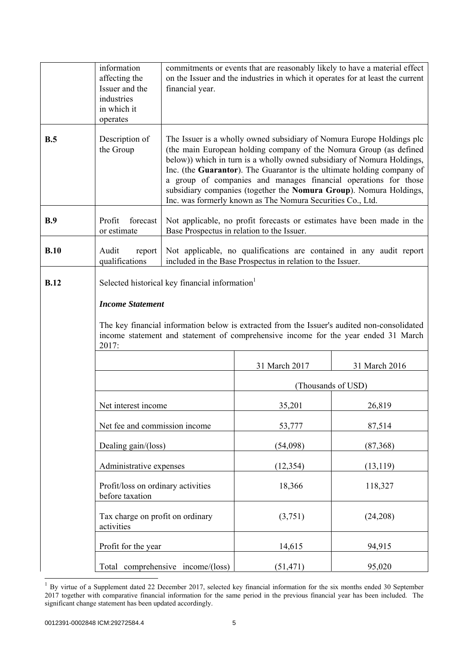|                                                                                                                                                                                                                                                                                                    | information<br>affecting the<br>Issuer and the<br>industries<br>in which it<br>operates | financial year.                                                                                                                                                                                                                                                                                                                                                                                                                                                                                        |                                                                                                                      | commitments or events that are reasonably likely to have a material effect<br>on the Issuer and the industries in which it operates for at least the current |  |
|----------------------------------------------------------------------------------------------------------------------------------------------------------------------------------------------------------------------------------------------------------------------------------------------------|-----------------------------------------------------------------------------------------|--------------------------------------------------------------------------------------------------------------------------------------------------------------------------------------------------------------------------------------------------------------------------------------------------------------------------------------------------------------------------------------------------------------------------------------------------------------------------------------------------------|----------------------------------------------------------------------------------------------------------------------|--------------------------------------------------------------------------------------------------------------------------------------------------------------|--|
| B.5                                                                                                                                                                                                                                                                                                | Description of<br>the Group                                                             | The Issuer is a wholly owned subsidiary of Nomura Europe Holdings plc<br>(the main European holding company of the Nomura Group (as defined<br>below)) which in turn is a wholly owned subsidiary of Nomura Holdings,<br>Inc. (the Guarantor). The Guarantor is the ultimate holding company of<br>a group of companies and manages financial operations for those<br>subsidiary companies (together the Nomura Group). Nomura Holdings,<br>Inc. was formerly known as The Nomura Securities Co., Ltd. |                                                                                                                      |                                                                                                                                                              |  |
| B.9                                                                                                                                                                                                                                                                                                | Profit<br>forecast<br>or estimate                                                       |                                                                                                                                                                                                                                                                                                                                                                                                                                                                                                        | Not applicable, no profit forecasts or estimates have been made in the<br>Base Prospectus in relation to the Issuer. |                                                                                                                                                              |  |
| B.10                                                                                                                                                                                                                                                                                               | Audit<br>report<br>qualifications                                                       |                                                                                                                                                                                                                                                                                                                                                                                                                                                                                                        | included in the Base Prospectus in relation to the Issuer.                                                           | Not applicable, no qualifications are contained in any audit report                                                                                          |  |
| <b>B.12</b><br>Selected historical key financial information <sup>1</sup><br><b>Income Statement</b><br>The key financial information below is extracted from the Issuer's audited non-consolidated<br>income statement and statement of comprehensive income for the year ended 31 March<br>2017: |                                                                                         |                                                                                                                                                                                                                                                                                                                                                                                                                                                                                                        |                                                                                                                      |                                                                                                                                                              |  |
|                                                                                                                                                                                                                                                                                                    |                                                                                         |                                                                                                                                                                                                                                                                                                                                                                                                                                                                                                        | 31 March 2017                                                                                                        | 31 March 2016                                                                                                                                                |  |
|                                                                                                                                                                                                                                                                                                    |                                                                                         |                                                                                                                                                                                                                                                                                                                                                                                                                                                                                                        |                                                                                                                      | (Thousands of USD)                                                                                                                                           |  |
|                                                                                                                                                                                                                                                                                                    | Net interest income                                                                     |                                                                                                                                                                                                                                                                                                                                                                                                                                                                                                        | 35,201                                                                                                               | 26,819                                                                                                                                                       |  |
|                                                                                                                                                                                                                                                                                                    | Net fee and commission income                                                           |                                                                                                                                                                                                                                                                                                                                                                                                                                                                                                        | 53,777                                                                                                               | 87,514                                                                                                                                                       |  |
|                                                                                                                                                                                                                                                                                                    | Dealing gain/(loss)                                                                     |                                                                                                                                                                                                                                                                                                                                                                                                                                                                                                        | (54,098)                                                                                                             | (87,368)                                                                                                                                                     |  |
|                                                                                                                                                                                                                                                                                                    |                                                                                         | Administrative expenses                                                                                                                                                                                                                                                                                                                                                                                                                                                                                |                                                                                                                      | (13, 119)                                                                                                                                                    |  |
|                                                                                                                                                                                                                                                                                                    | before taxation                                                                         | Profit/loss on ordinary activities                                                                                                                                                                                                                                                                                                                                                                                                                                                                     |                                                                                                                      | 118,327                                                                                                                                                      |  |
|                                                                                                                                                                                                                                                                                                    | Tax charge on profit on ordinary<br>activities                                          |                                                                                                                                                                                                                                                                                                                                                                                                                                                                                                        | (3,751)                                                                                                              | (24,208)                                                                                                                                                     |  |
|                                                                                                                                                                                                                                                                                                    | Profit for the year                                                                     |                                                                                                                                                                                                                                                                                                                                                                                                                                                                                                        | 14,615                                                                                                               | 94,915                                                                                                                                                       |  |
|                                                                                                                                                                                                                                                                                                    |                                                                                         | Total comprehensive income/(loss)                                                                                                                                                                                                                                                                                                                                                                                                                                                                      | (51, 471)                                                                                                            | 95,020                                                                                                                                                       |  |

 $1$  By virtue of a Supplement dated 22 December 2017, selected key financial information for the six months ended 30 September 2017 together with comparative financial information for the same period in the previous financial year has been included. The significant change statement has been updated accordingly.

 $\overline{a}$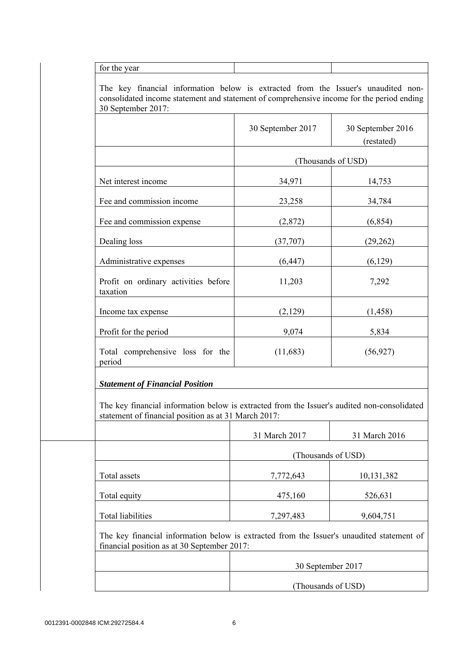for the year

 The key financial information below is extracted from the Issuer's unaudited nonconsolidated income statement and statement of comprehensive income for the period ending 30 September 2017:

|                                                                                                                                                     | 30 September 2017  | 30 September 2016<br>(restated) |
|-----------------------------------------------------------------------------------------------------------------------------------------------------|--------------------|---------------------------------|
|                                                                                                                                                     |                    | (Thousands of USD)              |
| Net interest income                                                                                                                                 | 34,971             | 14,753                          |
| Fee and commission income                                                                                                                           | 23,258             | 34,784                          |
| Fee and commission expense                                                                                                                          | (2,872)            | (6, 854)                        |
| Dealing loss                                                                                                                                        | (37,707)           | (29, 262)                       |
| Administrative expenses                                                                                                                             | (6, 447)           | (6,129)                         |
| Profit on ordinary activities before<br>taxation                                                                                                    | 11,203             | 7,292                           |
| Income tax expense                                                                                                                                  | (2,129)            | (1, 458)                        |
| Profit for the period                                                                                                                               | 9,074              | 5,834                           |
| Total comprehensive loss for the<br>period                                                                                                          | (11,683)           | (56, 927)                       |
| <b>Statement of Financial Position</b>                                                                                                              |                    |                                 |
| The key financial information below is extracted from the Issuer's audited non-consolidated<br>statement of financial position as at 31 March 2017: |                    |                                 |
|                                                                                                                                                     | 31 March 2017      | 31 March 2016                   |
|                                                                                                                                                     | (Thousands of USD) |                                 |
| Total assets                                                                                                                                        | 7,772,643          | 10,131,382                      |
| Total equity                                                                                                                                        | 475,160            | 526,631                         |
|                                                                                                                                                     |                    |                                 |

| 30 September 2017  |
|--------------------|
|                    |
| (Thousands of USD) |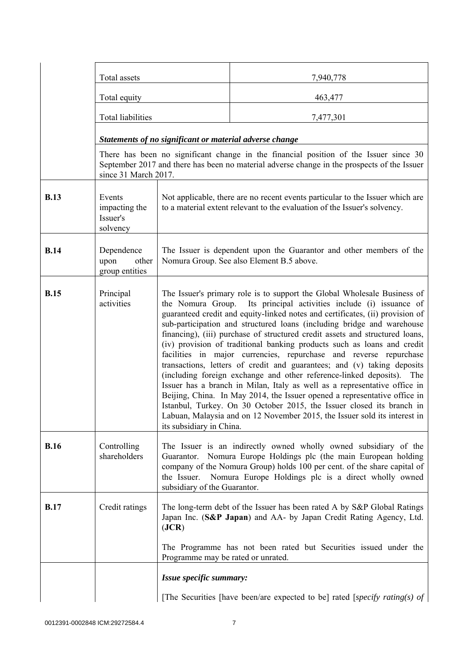|             | Total assets                                    |                                                                                                                                                                                                                                                                                                                                                                                                                                                                                                                                                                                                                                                                                                                                                                                                                                                                                                                                                                                                                                           | 7,940,778                                                                                                                                                                            |  |
|-------------|-------------------------------------------------|-------------------------------------------------------------------------------------------------------------------------------------------------------------------------------------------------------------------------------------------------------------------------------------------------------------------------------------------------------------------------------------------------------------------------------------------------------------------------------------------------------------------------------------------------------------------------------------------------------------------------------------------------------------------------------------------------------------------------------------------------------------------------------------------------------------------------------------------------------------------------------------------------------------------------------------------------------------------------------------------------------------------------------------------|--------------------------------------------------------------------------------------------------------------------------------------------------------------------------------------|--|
|             | Total equity                                    |                                                                                                                                                                                                                                                                                                                                                                                                                                                                                                                                                                                                                                                                                                                                                                                                                                                                                                                                                                                                                                           | 463,477                                                                                                                                                                              |  |
|             | Total liabilities                               |                                                                                                                                                                                                                                                                                                                                                                                                                                                                                                                                                                                                                                                                                                                                                                                                                                                                                                                                                                                                                                           | 7,477,301                                                                                                                                                                            |  |
|             |                                                 | Statements of no significant or material adverse change                                                                                                                                                                                                                                                                                                                                                                                                                                                                                                                                                                                                                                                                                                                                                                                                                                                                                                                                                                                   |                                                                                                                                                                                      |  |
|             | since 31 March 2017.                            |                                                                                                                                                                                                                                                                                                                                                                                                                                                                                                                                                                                                                                                                                                                                                                                                                                                                                                                                                                                                                                           | There has been no significant change in the financial position of the Issuer since 30<br>September 2017 and there has been no material adverse change in the prospects of the Issuer |  |
| <b>B.13</b> | Events<br>impacting the<br>Issuer's<br>solvency | Not applicable, there are no recent events particular to the Issuer which are<br>to a material extent relevant to the evaluation of the Issuer's solvency.                                                                                                                                                                                                                                                                                                                                                                                                                                                                                                                                                                                                                                                                                                                                                                                                                                                                                |                                                                                                                                                                                      |  |
| <b>B.14</b> | Dependence<br>upon<br>other<br>group entities   | The Issuer is dependent upon the Guarantor and other members of the<br>Nomura Group. See also Element B.5 above.                                                                                                                                                                                                                                                                                                                                                                                                                                                                                                                                                                                                                                                                                                                                                                                                                                                                                                                          |                                                                                                                                                                                      |  |
| <b>B.15</b> | Principal<br>activities                         | The Issuer's primary role is to support the Global Wholesale Business of<br>the Nomura Group. Its principal activities include (i) issuance of<br>guaranteed credit and equity-linked notes and certificates, (ii) provision of<br>sub-participation and structured loans (including bridge and warehouse<br>financing), (iii) purchase of structured credit assets and structured loans,<br>(iv) provision of traditional banking products such as loans and credit<br>facilities in major currencies, repurchase and reverse repurchase<br>transactions, letters of credit and guarantees; and (v) taking deposits<br>(including foreign exchange and other reference-linked deposits). The<br>Issuer has a branch in Milan, Italy as well as a representative office in<br>Beijing, China. In May 2014, the Issuer opened a representative office in<br>Istanbul, Turkey. On 30 October 2015, the Issuer closed its branch in<br>Labuan, Malaysia and on 12 November 2015, the Issuer sold its interest in<br>its subsidiary in China. |                                                                                                                                                                                      |  |
| <b>B.16</b> | Controlling<br>shareholders                     | The Issuer is an indirectly owned wholly owned subsidiary of the<br>Guarantor. Nomura Europe Holdings plc (the main European holding<br>company of the Nomura Group) holds 100 per cent. of the share capital of<br>Nomura Europe Holdings plc is a direct wholly owned<br>the Issuer.<br>subsidiary of the Guarantor.                                                                                                                                                                                                                                                                                                                                                                                                                                                                                                                                                                                                                                                                                                                    |                                                                                                                                                                                      |  |
| <b>B.17</b> | Credit ratings                                  | The long-term debt of the Issuer has been rated A by S&P Global Ratings<br>Japan Inc. (S&P Japan) and AA- by Japan Credit Rating Agency, Ltd.<br>( <b>JCR</b> )<br>The Programme has not been rated but Securities issued under the                                                                                                                                                                                                                                                                                                                                                                                                                                                                                                                                                                                                                                                                                                                                                                                                       |                                                                                                                                                                                      |  |
|             |                                                 | Programme may be rated or unrated.                                                                                                                                                                                                                                                                                                                                                                                                                                                                                                                                                                                                                                                                                                                                                                                                                                                                                                                                                                                                        |                                                                                                                                                                                      |  |
|             |                                                 | Issue specific summary:                                                                                                                                                                                                                                                                                                                                                                                                                                                                                                                                                                                                                                                                                                                                                                                                                                                                                                                                                                                                                   |                                                                                                                                                                                      |  |
|             |                                                 |                                                                                                                                                                                                                                                                                                                                                                                                                                                                                                                                                                                                                                                                                                                                                                                                                                                                                                                                                                                                                                           | [The Securities [have been/are expected to be] rated [specify rating(s) of                                                                                                           |  |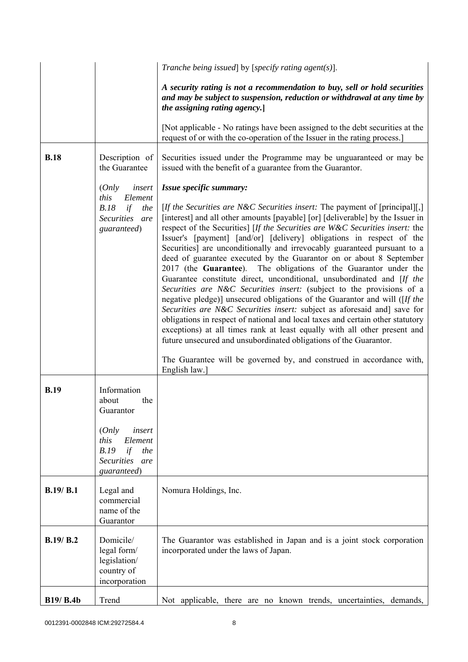|             |                                                                                                    | Tranche being issued] by [specify rating agent(s)].                                                                                                                                                                                                                                                                                                                                                                                                                                                                                                                                                                                                                                                                                                                                                                                                                                                                                                                                                                                                                                                                                                                                                              |
|-------------|----------------------------------------------------------------------------------------------------|------------------------------------------------------------------------------------------------------------------------------------------------------------------------------------------------------------------------------------------------------------------------------------------------------------------------------------------------------------------------------------------------------------------------------------------------------------------------------------------------------------------------------------------------------------------------------------------------------------------------------------------------------------------------------------------------------------------------------------------------------------------------------------------------------------------------------------------------------------------------------------------------------------------------------------------------------------------------------------------------------------------------------------------------------------------------------------------------------------------------------------------------------------------------------------------------------------------|
|             |                                                                                                    | A security rating is not a recommendation to buy, sell or hold securities<br>and may be subject to suspension, reduction or withdrawal at any time by<br>the assigning rating agency.                                                                                                                                                                                                                                                                                                                                                                                                                                                                                                                                                                                                                                                                                                                                                                                                                                                                                                                                                                                                                            |
|             |                                                                                                    | [Not applicable - No ratings have been assigned to the debt securities at the<br>request of or with the co-operation of the Issuer in the rating process.                                                                                                                                                                                                                                                                                                                                                                                                                                                                                                                                                                                                                                                                                                                                                                                                                                                                                                                                                                                                                                                        |
| <b>B.18</b> | Description of<br>the Guarantee                                                                    | Securities issued under the Programme may be unguaranteed or may be<br>issued with the benefit of a guarantee from the Guarantor.                                                                                                                                                                                                                                                                                                                                                                                                                                                                                                                                                                                                                                                                                                                                                                                                                                                                                                                                                                                                                                                                                |
|             | (Only<br>insert<br>this<br>Element<br>B.18<br>if<br>the<br>Securities are<br>guaranteed)           | Issue specific summary:<br>[If the Securities are N&C Securities insert: The payment of [principal][,]<br>[interest] and all other amounts [payable] [or] [deliverable] by the Issuer in<br>respect of the Securities] [If the Securities are W&C Securities insert: the<br>Issuer's [payment] [and/or] [delivery] obligations in respect of the<br>Securities] are unconditionally and irrevocably guaranteed pursuant to a<br>deed of guarantee executed by the Guarantor on or about 8 September<br>2017 (the Guarantee). The obligations of the Guarantor under the<br>Guarantee constitute direct, unconditional, unsubordinated and [If the<br>Securities are N&C Securities insert: (subject to the provisions of a<br>negative pledge)] unsecured obligations of the Guarantor and will ([If the<br>Securities are N&C Securities insert: subject as aforesaid and] save for<br>obligations in respect of national and local taxes and certain other statutory<br>exceptions) at all times rank at least equally with all other present and<br>future unsecured and unsubordinated obligations of the Guarantor.<br>The Guarantee will be governed by, and construed in accordance with,<br>English law. |
| <b>B.19</b> | Information<br>the<br>about<br>Guarantor                                                           |                                                                                                                                                                                                                                                                                                                                                                                                                                                                                                                                                                                                                                                                                                                                                                                                                                                                                                                                                                                                                                                                                                                                                                                                                  |
|             | (Only<br>insert<br>this<br>Element<br>B.19<br>if<br>the<br><b>Securities</b><br>are<br>guaranteed) |                                                                                                                                                                                                                                                                                                                                                                                                                                                                                                                                                                                                                                                                                                                                                                                                                                                                                                                                                                                                                                                                                                                                                                                                                  |
| B.19/ B.1   | Legal and<br>commercial<br>name of the<br>Guarantor                                                | Nomura Holdings, Inc.                                                                                                                                                                                                                                                                                                                                                                                                                                                                                                                                                                                                                                                                                                                                                                                                                                                                                                                                                                                                                                                                                                                                                                                            |
| B.19/ B.2   | Domicile/<br>legal form/<br>legislation/<br>country of<br>incorporation                            | The Guarantor was established in Japan and is a joint stock corporation<br>incorporated under the laws of Japan.                                                                                                                                                                                                                                                                                                                                                                                                                                                                                                                                                                                                                                                                                                                                                                                                                                                                                                                                                                                                                                                                                                 |
| B19/ B.4b   | Trend                                                                                              | Not applicable, there are no known trends, uncertainties, demands,                                                                                                                                                                                                                                                                                                                                                                                                                                                                                                                                                                                                                                                                                                                                                                                                                                                                                                                                                                                                                                                                                                                                               |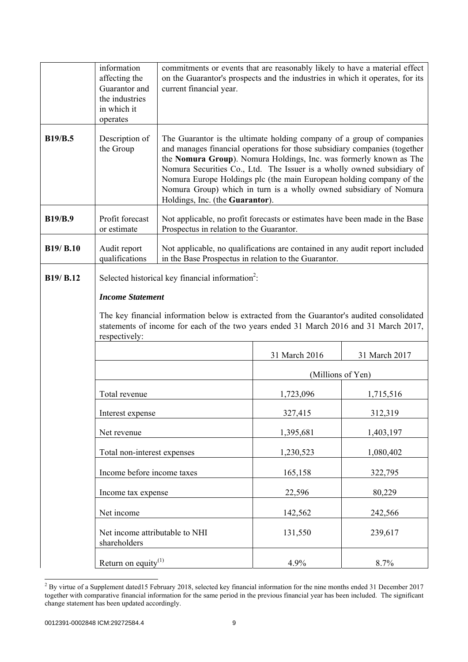|                | information<br>affecting the                               | commitments or events that are reasonably likely to have a material effect<br>on the Guarantor's prospects and the industries in which it operates, for its                                                                                                                                                                                                                                                                                                                         |                   |               |
|----------------|------------------------------------------------------------|-------------------------------------------------------------------------------------------------------------------------------------------------------------------------------------------------------------------------------------------------------------------------------------------------------------------------------------------------------------------------------------------------------------------------------------------------------------------------------------|-------------------|---------------|
|                | Guarantor and<br>the industries<br>in which it<br>operates | current financial year.                                                                                                                                                                                                                                                                                                                                                                                                                                                             |                   |               |
| <b>B19/B.5</b> | Description of<br>the Group                                | The Guarantor is the ultimate holding company of a group of companies<br>and manages financial operations for those subsidiary companies (together<br>the Nomura Group). Nomura Holdings, Inc. was formerly known as The<br>Nomura Securities Co., Ltd. The Issuer is a wholly owned subsidiary of<br>Nomura Europe Holdings plc (the main European holding company of the<br>Nomura Group) which in turn is a wholly owned subsidiary of Nomura<br>Holdings, Inc. (the Guarantor). |                   |               |
| <b>B19/B.9</b> | Profit forecast<br>or estimate                             | Not applicable, no profit forecasts or estimates have been made in the Base<br>Prospectus in relation to the Guarantor.                                                                                                                                                                                                                                                                                                                                                             |                   |               |
| B19/ B.10      | Audit report<br>qualifications                             | Not applicable, no qualifications are contained in any audit report included<br>in the Base Prospectus in relation to the Guarantor.                                                                                                                                                                                                                                                                                                                                                |                   |               |
| B19/ B.12      |                                                            | Selected historical key financial information <sup>2</sup> :                                                                                                                                                                                                                                                                                                                                                                                                                        |                   |               |
|                | <b>Income Statement</b>                                    |                                                                                                                                                                                                                                                                                                                                                                                                                                                                                     |                   |               |
|                | respectively:                                              | The key financial information below is extracted from the Guarantor's audited consolidated<br>statements of income for each of the two years ended 31 March 2016 and 31 March 2017,                                                                                                                                                                                                                                                                                                 |                   |               |
|                |                                                            |                                                                                                                                                                                                                                                                                                                                                                                                                                                                                     | 31 March 2016     | 31 March 2017 |
|                |                                                            |                                                                                                                                                                                                                                                                                                                                                                                                                                                                                     | (Millions of Yen) |               |
|                | Total revenue                                              |                                                                                                                                                                                                                                                                                                                                                                                                                                                                                     | 1,723,096         | 1,715,516     |
|                | Interest expense                                           |                                                                                                                                                                                                                                                                                                                                                                                                                                                                                     | 327,415           | 312,319       |
|                | Net revenue                                                |                                                                                                                                                                                                                                                                                                                                                                                                                                                                                     | 1,395,681         | 1,403,197     |
|                | Total non-interest expenses                                |                                                                                                                                                                                                                                                                                                                                                                                                                                                                                     | 1,230,523         | 1,080,402     |
|                | Income before income taxes                                 |                                                                                                                                                                                                                                                                                                                                                                                                                                                                                     | 165,158           | 322,795       |
|                | Income tax expense                                         |                                                                                                                                                                                                                                                                                                                                                                                                                                                                                     | 22,596            | 80,229        |
|                | Net income                                                 |                                                                                                                                                                                                                                                                                                                                                                                                                                                                                     | 142,562           | 242,566       |
|                | Net income attributable to NHI<br>shareholders             |                                                                                                                                                                                                                                                                                                                                                                                                                                                                                     | 131,550           | 239,617       |
|                | Return on equity $^{(1)}$                                  |                                                                                                                                                                                                                                                                                                                                                                                                                                                                                     | 4.9%              | 8.7%          |

<sup>&</sup>lt;sup>2</sup> By virtue of a Supplement dated15 February 2018, selected key financial information for the nine months ended 31 December 2017 together with comparative financial information for the same period in the previous financial year has been included. The significant change statement has been updated accordingly.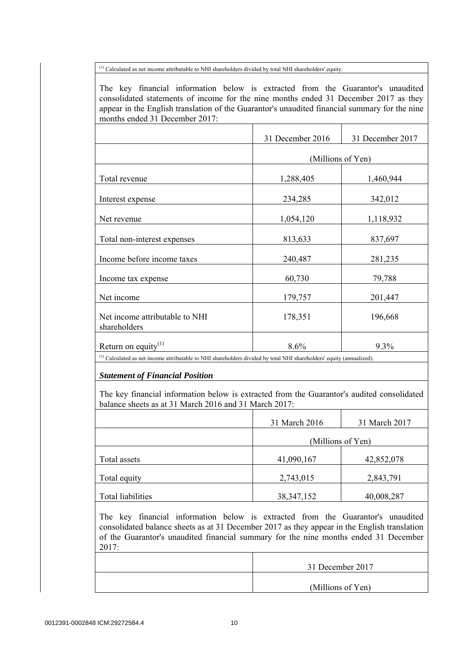(1) Calculated as net income attributable to NHI shareholders divided by total NHI shareholders' equity.

 The key financial information below is extracted from the Guarantor's unaudited consolidated statements of income for the nine months ended 31 December 2017 as they appear in the English translation of the Guarantor's unaudited financial summary for the nine months ended 31 December 2017:

|                                                                                                                                  | 31 December 2016  | 31 December 2017 |
|----------------------------------------------------------------------------------------------------------------------------------|-------------------|------------------|
|                                                                                                                                  | (Millions of Yen) |                  |
| Total revenue                                                                                                                    | 1,288,405         | 1,460,944        |
| Interest expense                                                                                                                 | 234,285           | 342,012          |
| Net revenue                                                                                                                      | 1,054,120         | 1,118,932        |
| Total non-interest expenses                                                                                                      | 813,633           | 837,697          |
| Income before income taxes                                                                                                       | 240,487           | 281,235          |
| Income tax expense                                                                                                               | 60,730            | 79,788           |
| Net income                                                                                                                       | 179,757           | 201,447          |
| Net income attributable to NHI<br>shareholders                                                                                   | 178,351           | 196,668          |
| Return on equity <sup>(1)</sup>                                                                                                  | 8.6%              | $9.3\%$          |
| <sup>(1)</sup> Calculated as net income attributable to NHI shareholders divided by total NHI shareholders' equity (annualized). |                   |                  |

*Statement of Financial Position*

 The key financial information below is extracted from the Guarantor's audited consolidated balance sheets as at 31 March 2016 and 31 March 2017:

|                   | 31 March 2016     | 31 March 2017 |
|-------------------|-------------------|---------------|
|                   | (Millions of Yen) |               |
| Total assets      | 41,090,167        | 42,852,078    |
| Total equity      | 2,743,015         | 2,843,791     |
| Total liabilities | 38, 347, 152      | 40,008,287    |

 The key financial information below is extracted from the Guarantor's unaudited consolidated balance sheets as at 31 December 2017 as they appear in the English translation of the Guarantor's unaudited financial summary for the nine months ended 31 December 2017:

|  | 31 December 2017  |
|--|-------------------|
|  | (Millions of Yen) |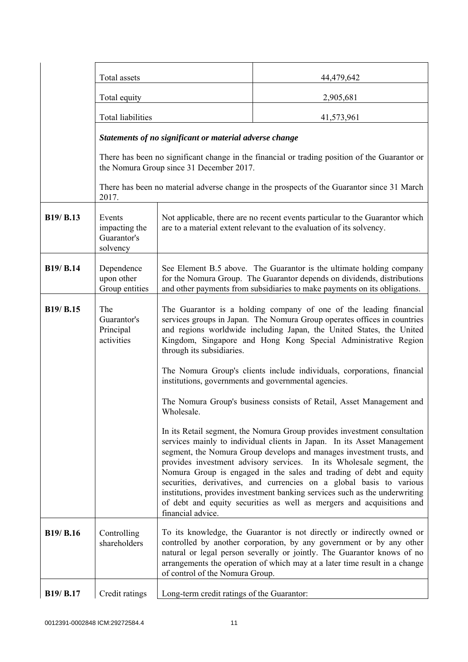|           | Total assets                                       |                                                                                                                                                                                                                                                                                                                       | 44,479,642                                                                                                                                                                                                                                                                                                                                                                                                                                                                                                                                                                                                  |
|-----------|----------------------------------------------------|-----------------------------------------------------------------------------------------------------------------------------------------------------------------------------------------------------------------------------------------------------------------------------------------------------------------------|-------------------------------------------------------------------------------------------------------------------------------------------------------------------------------------------------------------------------------------------------------------------------------------------------------------------------------------------------------------------------------------------------------------------------------------------------------------------------------------------------------------------------------------------------------------------------------------------------------------|
|           | Total equity                                       |                                                                                                                                                                                                                                                                                                                       | 2,905,681                                                                                                                                                                                                                                                                                                                                                                                                                                                                                                                                                                                                   |
|           | <b>Total liabilities</b>                           |                                                                                                                                                                                                                                                                                                                       | 41,573,961                                                                                                                                                                                                                                                                                                                                                                                                                                                                                                                                                                                                  |
|           |                                                    | Statements of no significant or material adverse change                                                                                                                                                                                                                                                               |                                                                                                                                                                                                                                                                                                                                                                                                                                                                                                                                                                                                             |
|           |                                                    | the Nomura Group since 31 December 2017.                                                                                                                                                                                                                                                                              | There has been no significant change in the financial or trading position of the Guarantor or                                                                                                                                                                                                                                                                                                                                                                                                                                                                                                               |
|           | 2017.                                              |                                                                                                                                                                                                                                                                                                                       | There has been no material adverse change in the prospects of the Guarantor since 31 March                                                                                                                                                                                                                                                                                                                                                                                                                                                                                                                  |
| B19/ B.13 | Events<br>impacting the<br>Guarantor's<br>solvency |                                                                                                                                                                                                                                                                                                                       | Not applicable, there are no recent events particular to the Guarantor which<br>are to a material extent relevant to the evaluation of its solvency.                                                                                                                                                                                                                                                                                                                                                                                                                                                        |
| B19/ B.14 | Dependence<br>upon other<br>Group entities         |                                                                                                                                                                                                                                                                                                                       | See Element B.5 above. The Guarantor is the ultimate holding company<br>for the Nomura Group. The Guarantor depends on dividends, distributions<br>and other payments from subsidiaries to make payments on its obligations.                                                                                                                                                                                                                                                                                                                                                                                |
| B19/ B.15 | The<br>Guarantor's<br>Principal<br>activities      | The Guarantor is a holding company of one of the leading financial<br>services groups in Japan. The Nomura Group operates offices in countries<br>and regions worldwide including Japan, the United States, the United<br>Kingdom, Singapore and Hong Kong Special Administrative Region<br>through its subsidiaries. |                                                                                                                                                                                                                                                                                                                                                                                                                                                                                                                                                                                                             |
|           |                                                    |                                                                                                                                                                                                                                                                                                                       | The Nomura Group's clients include individuals, corporations, financial<br>institutions, governments and governmental agencies.                                                                                                                                                                                                                                                                                                                                                                                                                                                                             |
|           |                                                    | Wholesale.                                                                                                                                                                                                                                                                                                            | The Nomura Group's business consists of Retail, Asset Management and                                                                                                                                                                                                                                                                                                                                                                                                                                                                                                                                        |
|           |                                                    | financial advice.                                                                                                                                                                                                                                                                                                     | In its Retail segment, the Nomura Group provides investment consultation<br>services mainly to individual clients in Japan. In its Asset Management<br>segment, the Nomura Group develops and manages investment trusts, and<br>provides investment advisory services. In its Wholesale segment, the<br>Nomura Group is engaged in the sales and trading of debt and equity<br>securities, derivatives, and currencies on a global basis to various<br>institutions, provides investment banking services such as the underwriting<br>of debt and equity securities as well as mergers and acquisitions and |
| B19/ B.16 | Controlling<br>shareholders                        | of control of the Nomura Group.                                                                                                                                                                                                                                                                                       | To its knowledge, the Guarantor is not directly or indirectly owned or<br>controlled by another corporation, by any government or by any other<br>natural or legal person severally or jointly. The Guarantor knows of no<br>arrangements the operation of which may at a later time result in a change                                                                                                                                                                                                                                                                                                     |
| B19/ B.17 | Credit ratings                                     | Long-term credit ratings of the Guarantor:                                                                                                                                                                                                                                                                            |                                                                                                                                                                                                                                                                                                                                                                                                                                                                                                                                                                                                             |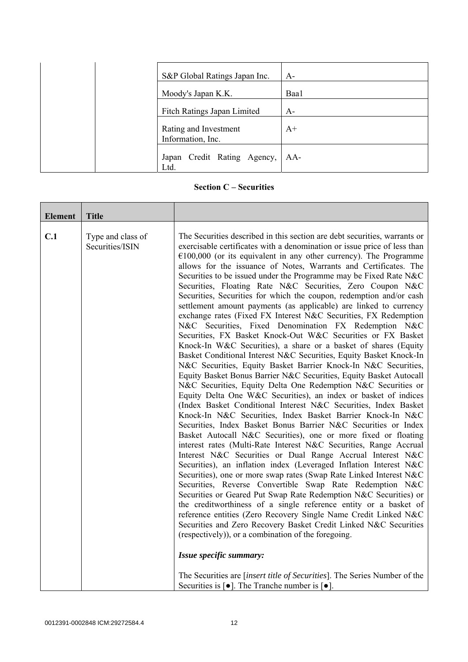| S&P Global Ratings Japan Inc.              | $A-$ |
|--------------------------------------------|------|
| Moody's Japan K.K.                         | Baa1 |
| Fitch Ratings Japan Limited                | $A-$ |
| Rating and Investment<br>Information, Inc. | $A+$ |
| Japan Credit Rating Agency,<br>Ltd.        | AA-  |

**Section C – Securities** 

| <b>Element</b> | <b>Title</b>                         |                                                                                                                                                                                                                                                                                                                                                                                                                                                                                                                                                                                                                                                                                                                                                                                                                                                                                                                                                                                                                                                                                                                                                                                                                                                                                                                                                                                                                                                                                                                                                                                                                                                                                                                                                                                                                                                                                                                                                                                                                                                                                                                                                                                                                                                            |
|----------------|--------------------------------------|------------------------------------------------------------------------------------------------------------------------------------------------------------------------------------------------------------------------------------------------------------------------------------------------------------------------------------------------------------------------------------------------------------------------------------------------------------------------------------------------------------------------------------------------------------------------------------------------------------------------------------------------------------------------------------------------------------------------------------------------------------------------------------------------------------------------------------------------------------------------------------------------------------------------------------------------------------------------------------------------------------------------------------------------------------------------------------------------------------------------------------------------------------------------------------------------------------------------------------------------------------------------------------------------------------------------------------------------------------------------------------------------------------------------------------------------------------------------------------------------------------------------------------------------------------------------------------------------------------------------------------------------------------------------------------------------------------------------------------------------------------------------------------------------------------------------------------------------------------------------------------------------------------------------------------------------------------------------------------------------------------------------------------------------------------------------------------------------------------------------------------------------------------------------------------------------------------------------------------------------------------|
| C.1            | Type and class of<br>Securities/ISIN | The Securities described in this section are debt securities, warrants or<br>exercisable certificates with a denomination or issue price of less than<br>$€100,000$ (or its equivalent in any other currency). The Programme<br>allows for the issuance of Notes, Warrants and Certificates. The<br>Securities to be issued under the Programme may be Fixed Rate N&C<br>Securities, Floating Rate N&C Securities, Zero Coupon N&C<br>Securities, Securities for which the coupon, redemption and/or cash<br>settlement amount payments (as applicable) are linked to currency<br>exchange rates (Fixed FX Interest N&C Securities, FX Redemption<br>N&C Securities, Fixed Denomination FX Redemption N&C<br>Securities, FX Basket Knock-Out W&C Securities or FX Basket<br>Knock-In W&C Securities), a share or a basket of shares (Equity<br>Basket Conditional Interest N&C Securities, Equity Basket Knock-In<br>N&C Securities, Equity Basket Barrier Knock-In N&C Securities,<br>Equity Basket Bonus Barrier N&C Securities, Equity Basket Autocall<br>N&C Securities, Equity Delta One Redemption N&C Securities or<br>Equity Delta One W&C Securities), an index or basket of indices<br>(Index Basket Conditional Interest N&C Securities, Index Basket<br>Knock-In N&C Securities, Index Basket Barrier Knock-In N&C<br>Securities, Index Basket Bonus Barrier N&C Securities or Index<br>Basket Autocall N&C Securities), one or more fixed or floating<br>interest rates (Multi-Rate Interest N&C Securities, Range Accrual<br>Interest N&C Securities or Dual Range Accrual Interest N&C<br>Securities), an inflation index (Leveraged Inflation Interest N&C<br>Securities), one or more swap rates (Swap Rate Linked Interest N&C<br>Securities, Reverse Convertible Swap Rate Redemption N&C<br>Securities or Geared Put Swap Rate Redemption N&C Securities) or<br>the creditworthiness of a single reference entity or a basket of<br>reference entities (Zero Recovery Single Name Credit Linked N&C<br>Securities and Zero Recovery Basket Credit Linked N&C Securities<br>(respectively)), or a combination of the foregoing.<br>Issue specific summary:<br>The Securities are [insert title of Securities]. The Series Number of the |
|                |                                      | Securities is $\lceil \bullet \rceil$ . The Tranche number is $\lceil \bullet \rceil$ .                                                                                                                                                                                                                                                                                                                                                                                                                                                                                                                                                                                                                                                                                                                                                                                                                                                                                                                                                                                                                                                                                                                                                                                                                                                                                                                                                                                                                                                                                                                                                                                                                                                                                                                                                                                                                                                                                                                                                                                                                                                                                                                                                                    |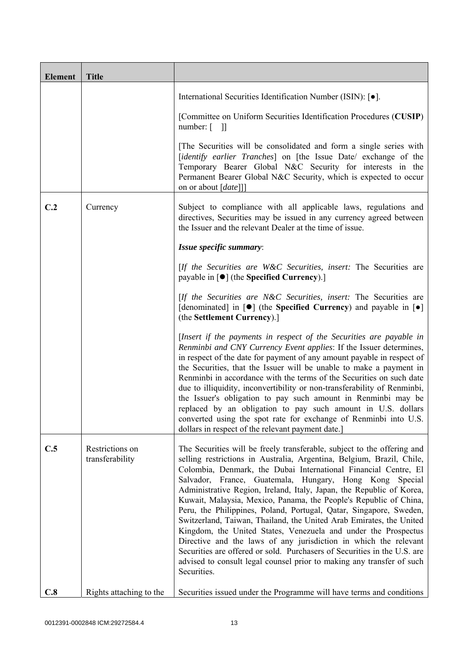| <b>Element</b> | <b>Title</b>                       |                                                                                                                                                                                                                                                                                                                                                                                                                                                                                                                                                                                                                                                                                                                                                                                                                                                                                    |
|----------------|------------------------------------|------------------------------------------------------------------------------------------------------------------------------------------------------------------------------------------------------------------------------------------------------------------------------------------------------------------------------------------------------------------------------------------------------------------------------------------------------------------------------------------------------------------------------------------------------------------------------------------------------------------------------------------------------------------------------------------------------------------------------------------------------------------------------------------------------------------------------------------------------------------------------------|
|                |                                    | International Securities Identification Number (ISIN): [ $\bullet$ ].                                                                                                                                                                                                                                                                                                                                                                                                                                                                                                                                                                                                                                                                                                                                                                                                              |
|                |                                    | [Committee on Uniform Securities Identification Procedures (CUSIP)<br>number: $\begin{bmatrix} 1 \end{bmatrix}$                                                                                                                                                                                                                                                                                                                                                                                                                                                                                                                                                                                                                                                                                                                                                                    |
|                |                                    | [The Securities will be consolidated and form a single series with<br>[identify earlier Tranches] on [the Issue Date/ exchange of the<br>Temporary Bearer Global N&C Security for interests in the<br>Permanent Bearer Global N&C Security, which is expected to occur<br>on or about [date]]]                                                                                                                                                                                                                                                                                                                                                                                                                                                                                                                                                                                     |
| C.2            | Currency                           | Subject to compliance with all applicable laws, regulations and<br>directives, Securities may be issued in any currency agreed between<br>the Issuer and the relevant Dealer at the time of issue.                                                                                                                                                                                                                                                                                                                                                                                                                                                                                                                                                                                                                                                                                 |
|                |                                    | Issue specific summary:                                                                                                                                                                                                                                                                                                                                                                                                                                                                                                                                                                                                                                                                                                                                                                                                                                                            |
|                |                                    | [If the Securities are W&C Securities, insert: The Securities are<br>payable in $\lceil \bullet \rceil$ (the Specified Currency).]                                                                                                                                                                                                                                                                                                                                                                                                                                                                                                                                                                                                                                                                                                                                                 |
|                |                                    | [If the Securities are N&C Securities, insert: The Securities are<br>[denominated] in $[\bullet]$ (the Specified Currency) and payable in $[\bullet]$<br>(the Settlement Currency).]                                                                                                                                                                                                                                                                                                                                                                                                                                                                                                                                                                                                                                                                                               |
|                |                                    | [Insert if the payments in respect of the Securities are payable in<br>Renminbi and CNY Currency Event applies: If the Issuer determines,<br>in respect of the date for payment of any amount payable in respect of<br>the Securities, that the Issuer will be unable to make a payment in<br>Renminbi in accordance with the terms of the Securities on such date<br>due to illiquidity, inconvertibility or non-transferability of Renminbi,<br>the Issuer's obligation to pay such amount in Renminbi may be<br>replaced by an obligation to pay such amount in U.S. dollars<br>converted using the spot rate for exchange of Renminbi into U.S.<br>dollars in respect of the relevant payment date.]                                                                                                                                                                           |
| C.5            | Restrictions on<br>transferability | The Securities will be freely transferable, subject to the offering and<br>selling restrictions in Australia, Argentina, Belgium, Brazil, Chile,<br>Colombia, Denmark, the Dubai International Financial Centre, El<br>Salvador, France, Guatemala, Hungary, Hong Kong Special<br>Administrative Region, Ireland, Italy, Japan, the Republic of Korea,<br>Kuwait, Malaysia, Mexico, Panama, the People's Republic of China,<br>Peru, the Philippines, Poland, Portugal, Qatar, Singapore, Sweden,<br>Switzerland, Taiwan, Thailand, the United Arab Emirates, the United<br>Kingdom, the United States, Venezuela and under the Prospectus<br>Directive and the laws of any jurisdiction in which the relevant<br>Securities are offered or sold. Purchasers of Securities in the U.S. are<br>advised to consult legal counsel prior to making any transfer of such<br>Securities. |
| C.8            | Rights attaching to the            | Securities issued under the Programme will have terms and conditions                                                                                                                                                                                                                                                                                                                                                                                                                                                                                                                                                                                                                                                                                                                                                                                                               |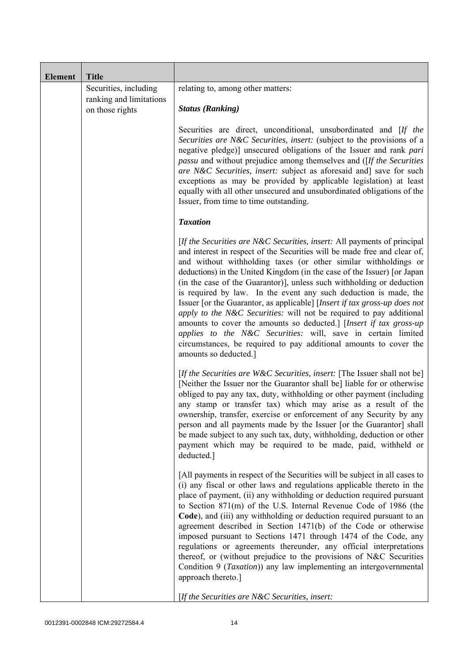| <b>Element</b> | <b>Title</b>                                                        |                                                                                                                                                                                                                                                                                                                                                                                                                                                                                                                                                                                                                                                                                                                                                                                                                                          |
|----------------|---------------------------------------------------------------------|------------------------------------------------------------------------------------------------------------------------------------------------------------------------------------------------------------------------------------------------------------------------------------------------------------------------------------------------------------------------------------------------------------------------------------------------------------------------------------------------------------------------------------------------------------------------------------------------------------------------------------------------------------------------------------------------------------------------------------------------------------------------------------------------------------------------------------------|
|                | Securities, including<br>ranking and limitations<br>on those rights | relating to, among other matters:<br><b>Status (Ranking)</b>                                                                                                                                                                                                                                                                                                                                                                                                                                                                                                                                                                                                                                                                                                                                                                             |
|                |                                                                     | Securities are direct, unconditional, unsubordinated and [If the<br>Securities are N&C Securities, insert: (subject to the provisions of a<br>negative pledge)] unsecured obligations of the Issuer and rank pari<br><i>passu</i> and without prejudice among themselves and ([If the Securities]<br>are N&C Securities, insert: subject as aforesaid and] save for such<br>exceptions as may be provided by applicable legislation) at least<br>equally with all other unsecured and unsubordinated obligations of the<br>Issuer, from time to time outstanding.                                                                                                                                                                                                                                                                        |
|                |                                                                     | <b>Taxation</b>                                                                                                                                                                                                                                                                                                                                                                                                                                                                                                                                                                                                                                                                                                                                                                                                                          |
|                |                                                                     | [If the Securities are N&C Securities, insert: All payments of principal<br>and interest in respect of the Securities will be made free and clear of,<br>and without withholding taxes (or other similar withholdings or<br>deductions) in the United Kingdom (in the case of the Issuer) [or Japan<br>(in the case of the Guarantor)], unless such withholding or deduction<br>is required by law. In the event any such deduction is made, the<br>Issuer [or the Guarantor, as applicable] [Insert if tax gross-up does not<br>apply to the N&C Securities: will not be required to pay additional<br>amounts to cover the amounts so deducted.] [Insert if tax gross-up<br>applies to the N&C Securities: will, save in certain limited<br>circumstances, be required to pay additional amounts to cover the<br>amounts so deducted.] |
|                |                                                                     | [If the Securities are W&C Securities, insert: [The Issuer shall not be]<br>[Neither the Issuer nor the Guarantor shall be] liable for or otherwise<br>obliged to pay any tax, duty, withholding or other payment (including<br>any stamp or transfer tax) which may arise as a result of the<br>ownership, transfer, exercise or enforcement of any Security by any<br>person and all payments made by the Issuer [or the Guarantor] shall<br>be made subject to any such tax, duty, withholding, deduction or other<br>payment which may be required to be made, paid, withheld or<br>deducted.]                                                                                                                                                                                                                                       |
|                |                                                                     | [All payments in respect of the Securities will be subject in all cases to<br>(i) any fiscal or other laws and regulations applicable thereto in the<br>place of payment, (ii) any withholding or deduction required pursuant<br>to Section 871(m) of the U.S. Internal Revenue Code of 1986 (the<br>Code), and (iii) any withholding or deduction required pursuant to an<br>agreement described in Section 1471(b) of the Code or otherwise<br>imposed pursuant to Sections 1471 through 1474 of the Code, any<br>regulations or agreements thereunder, any official interpretations<br>thereof, or (without prejudice to the provisions of N&C Securities<br>Condition 9 (Taxation)) any law implementing an intergovernmental<br>approach thereto.]                                                                                  |
|                |                                                                     | [If the Securities are N&C Securities, insert:                                                                                                                                                                                                                                                                                                                                                                                                                                                                                                                                                                                                                                                                                                                                                                                           |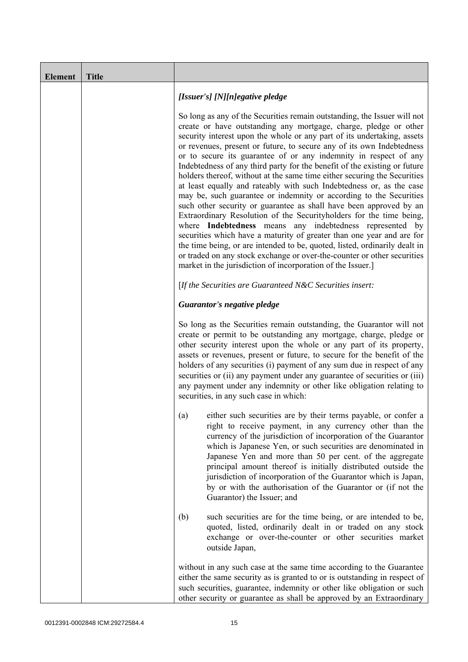| <b>Element</b> | <b>Title</b> |                                                                                                                                                                                                                                                                                                                                                                                                                                                                                                                                                                                                                                                                                                                                                                                                                                                                                                                                                                                                                                                                                                                                                                                       |
|----------------|--------------|---------------------------------------------------------------------------------------------------------------------------------------------------------------------------------------------------------------------------------------------------------------------------------------------------------------------------------------------------------------------------------------------------------------------------------------------------------------------------------------------------------------------------------------------------------------------------------------------------------------------------------------------------------------------------------------------------------------------------------------------------------------------------------------------------------------------------------------------------------------------------------------------------------------------------------------------------------------------------------------------------------------------------------------------------------------------------------------------------------------------------------------------------------------------------------------|
|                |              | [Issuer's] [N][n]egative pledge                                                                                                                                                                                                                                                                                                                                                                                                                                                                                                                                                                                                                                                                                                                                                                                                                                                                                                                                                                                                                                                                                                                                                       |
|                |              | So long as any of the Securities remain outstanding, the Issuer will not<br>create or have outstanding any mortgage, charge, pledge or other<br>security interest upon the whole or any part of its undertaking, assets<br>or revenues, present or future, to secure any of its own Indebtedness<br>or to secure its guarantee of or any indemnity in respect of any<br>Indebtedness of any third party for the benefit of the existing or future<br>holders thereof, without at the same time either securing the Securities<br>at least equally and rateably with such Indebtedness or, as the case<br>may be, such guarantee or indemnity or according to the Securities<br>such other security or guarantee as shall have been approved by an<br>Extraordinary Resolution of the Securityholders for the time being,<br>where Indebtedness means any indebtedness represented by<br>securities which have a maturity of greater than one year and are for<br>the time being, or are intended to be, quoted, listed, ordinarily dealt in<br>or traded on any stock exchange or over-the-counter or other securities<br>market in the jurisdiction of incorporation of the Issuer.] |
|                |              | [If the Securities are Guaranteed N&C Securities insert:                                                                                                                                                                                                                                                                                                                                                                                                                                                                                                                                                                                                                                                                                                                                                                                                                                                                                                                                                                                                                                                                                                                              |
|                |              | Guarantor's negative pledge                                                                                                                                                                                                                                                                                                                                                                                                                                                                                                                                                                                                                                                                                                                                                                                                                                                                                                                                                                                                                                                                                                                                                           |
|                |              | So long as the Securities remain outstanding, the Guarantor will not<br>create or permit to be outstanding any mortgage, charge, pledge or<br>other security interest upon the whole or any part of its property,<br>assets or revenues, present or future, to secure for the benefit of the<br>holders of any securities (i) payment of any sum due in respect of any<br>securities or (ii) any payment under any guarantee of securities or (iii)<br>any payment under any indemnity or other like obligation relating to<br>securities, in any such case in which:                                                                                                                                                                                                                                                                                                                                                                                                                                                                                                                                                                                                                 |
|                |              | either such securities are by their terms payable, or confer a<br>(a)<br>right to receive payment, in any currency other than the<br>currency of the jurisdiction of incorporation of the Guarantor<br>which is Japanese Yen, or such securities are denominated in<br>Japanese Yen and more than 50 per cent. of the aggregate<br>principal amount thereof is initially distributed outside the<br>jurisdiction of incorporation of the Guarantor which is Japan,<br>by or with the authorisation of the Guarantor or (if not the<br>Guarantor) the Issuer; and                                                                                                                                                                                                                                                                                                                                                                                                                                                                                                                                                                                                                      |
|                |              | (b)<br>such securities are for the time being, or are intended to be,<br>quoted, listed, ordinarily dealt in or traded on any stock<br>exchange or over-the-counter or other securities market<br>outside Japan,                                                                                                                                                                                                                                                                                                                                                                                                                                                                                                                                                                                                                                                                                                                                                                                                                                                                                                                                                                      |
|                |              | without in any such case at the same time according to the Guarantee<br>either the same security as is granted to or is outstanding in respect of<br>such securities, guarantee, indemnity or other like obligation or such<br>other security or guarantee as shall be approved by an Extraordinary                                                                                                                                                                                                                                                                                                                                                                                                                                                                                                                                                                                                                                                                                                                                                                                                                                                                                   |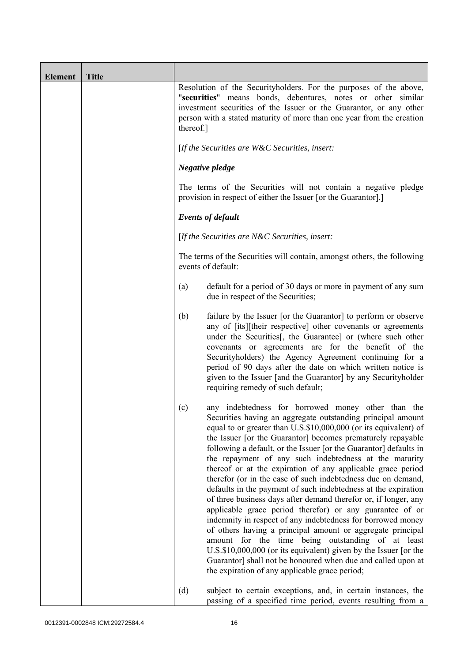| <b>Element</b> | <b>Title</b> |                                                                                                                                                                                                                                                                                                                                                                                                                                                                                                                                                                                                                                                                                                                                                                                                                                                                                                                                                                                                                                                                                                    |
|----------------|--------------|----------------------------------------------------------------------------------------------------------------------------------------------------------------------------------------------------------------------------------------------------------------------------------------------------------------------------------------------------------------------------------------------------------------------------------------------------------------------------------------------------------------------------------------------------------------------------------------------------------------------------------------------------------------------------------------------------------------------------------------------------------------------------------------------------------------------------------------------------------------------------------------------------------------------------------------------------------------------------------------------------------------------------------------------------------------------------------------------------|
|                |              | Resolution of the Securityholders. For the purposes of the above,<br>"securities" means bonds, debentures, notes or other similar<br>investment securities of the Issuer or the Guarantor, or any other<br>person with a stated maturity of more than one year from the creation<br>thereof.]                                                                                                                                                                                                                                                                                                                                                                                                                                                                                                                                                                                                                                                                                                                                                                                                      |
|                |              | [If the Securities are W&C Securities, insert:                                                                                                                                                                                                                                                                                                                                                                                                                                                                                                                                                                                                                                                                                                                                                                                                                                                                                                                                                                                                                                                     |
|                |              | Negative pledge                                                                                                                                                                                                                                                                                                                                                                                                                                                                                                                                                                                                                                                                                                                                                                                                                                                                                                                                                                                                                                                                                    |
|                |              | The terms of the Securities will not contain a negative pledge<br>provision in respect of either the Issuer [or the Guarantor].]                                                                                                                                                                                                                                                                                                                                                                                                                                                                                                                                                                                                                                                                                                                                                                                                                                                                                                                                                                   |
|                |              | <b>Events of default</b>                                                                                                                                                                                                                                                                                                                                                                                                                                                                                                                                                                                                                                                                                                                                                                                                                                                                                                                                                                                                                                                                           |
|                |              | [If the Securities are $N\&C$ Securities, insert:                                                                                                                                                                                                                                                                                                                                                                                                                                                                                                                                                                                                                                                                                                                                                                                                                                                                                                                                                                                                                                                  |
|                |              | The terms of the Securities will contain, amongst others, the following<br>events of default:                                                                                                                                                                                                                                                                                                                                                                                                                                                                                                                                                                                                                                                                                                                                                                                                                                                                                                                                                                                                      |
|                |              | default for a period of 30 days or more in payment of any sum<br>(a)<br>due in respect of the Securities;                                                                                                                                                                                                                                                                                                                                                                                                                                                                                                                                                                                                                                                                                                                                                                                                                                                                                                                                                                                          |
|                |              | (b)<br>failure by the Issuer [or the Guarantor] to perform or observe<br>any of [its][their respective] other covenants or agreements<br>under the Securities [, the Guarantee] or (where such other<br>covenants or agreements are for the benefit of the<br>Securityholders) the Agency Agreement continuing for a<br>period of 90 days after the date on which written notice is<br>given to the Issuer [and the Guarantor] by any Securityholder<br>requiring remedy of such default;                                                                                                                                                                                                                                                                                                                                                                                                                                                                                                                                                                                                          |
|                |              | any indebtedness for borrowed money other than the<br>(c)<br>Securities having an aggregate outstanding principal amount<br>equal to or greater than U.S.\$10,000,000 (or its equivalent) of<br>the Issuer [or the Guarantor] becomes prematurely repayable<br>following a default, or the Issuer [or the Guarantor] defaults in<br>the repayment of any such indebtedness at the maturity<br>thereof or at the expiration of any applicable grace period<br>therefor (or in the case of such indebtedness due on demand,<br>defaults in the payment of such indebtedness at the expiration<br>of three business days after demand therefor or, if longer, any<br>applicable grace period therefor) or any guarantee of or<br>indemnity in respect of any indebtedness for borrowed money<br>of others having a principal amount or aggregate principal<br>amount for the time being outstanding of at least<br>U.S.\$10,000,000 (or its equivalent) given by the Issuer [or the<br>Guarantor] shall not be honoured when due and called upon at<br>the expiration of any applicable grace period; |
|                |              | (d)<br>subject to certain exceptions, and, in certain instances, the<br>passing of a specified time period, events resulting from a                                                                                                                                                                                                                                                                                                                                                                                                                                                                                                                                                                                                                                                                                                                                                                                                                                                                                                                                                                |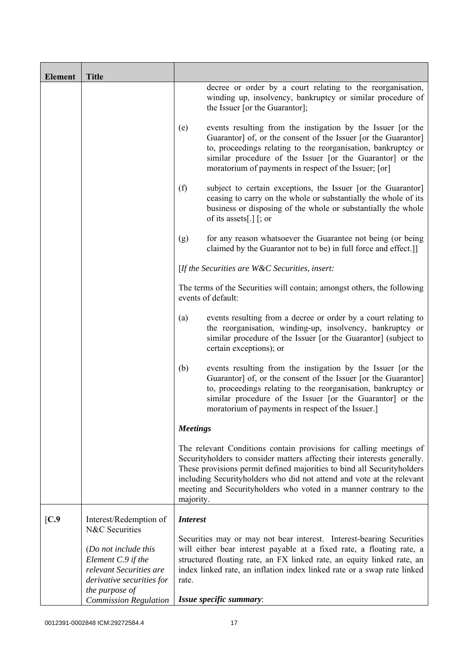| <b>Element</b> | <b>Title</b>                                                                                                         |                 |                                                                                                                                                                                                                                                                                                                                                                        |
|----------------|----------------------------------------------------------------------------------------------------------------------|-----------------|------------------------------------------------------------------------------------------------------------------------------------------------------------------------------------------------------------------------------------------------------------------------------------------------------------------------------------------------------------------------|
|                |                                                                                                                      |                 | decree or order by a court relating to the reorganisation,<br>winding up, insolvency, bankruptcy or similar procedure of<br>the Issuer [or the Guarantor];                                                                                                                                                                                                             |
|                |                                                                                                                      | (e)             | events resulting from the instigation by the Issuer [or the<br>Guarantor] of, or the consent of the Issuer [or the Guarantor]<br>to, proceedings relating to the reorganisation, bankruptcy or<br>similar procedure of the Issuer [or the Guarantor] or the<br>moratorium of payments in respect of the Issuer; [or]                                                   |
|                |                                                                                                                      | (f)             | subject to certain exceptions, the Issuer [or the Guarantor]<br>ceasing to carry on the whole or substantially the whole of its<br>business or disposing of the whole or substantially the whole<br>of its assets[.] $\lceil$ ; or                                                                                                                                     |
|                |                                                                                                                      | (g)             | for any reason whatsoever the Guarantee not being (or being<br>claimed by the Guarantor not to be) in full force and effect.]                                                                                                                                                                                                                                          |
|                |                                                                                                                      |                 | [If the Securities are W&C Securities, insert:                                                                                                                                                                                                                                                                                                                         |
|                |                                                                                                                      |                 | The terms of the Securities will contain; amongst others, the following<br>events of default:                                                                                                                                                                                                                                                                          |
|                |                                                                                                                      | (a)             | events resulting from a decree or order by a court relating to<br>the reorganisation, winding-up, insolvency, bankruptcy or<br>similar procedure of the Issuer [or the Guarantor] (subject to<br>certain exceptions); or                                                                                                                                               |
|                |                                                                                                                      | (b)             | events resulting from the instigation by the Issuer [or the<br>Guarantor] of, or the consent of the Issuer [or the Guarantor]<br>to, proceedings relating to the reorganisation, bankruptcy or<br>similar procedure of the Issuer [or the Guarantor] or the<br>moratorium of payments in respect of the Issuer.]                                                       |
|                |                                                                                                                      | <b>Meetings</b> |                                                                                                                                                                                                                                                                                                                                                                        |
|                |                                                                                                                      | majority.       | The relevant Conditions contain provisions for calling meetings of<br>Securityholders to consider matters affecting their interests generally.<br>These provisions permit defined majorities to bind all Securityholders<br>including Securityholders who did not attend and vote at the relevant<br>meeting and Securityholders who voted in a manner contrary to the |
| [C.9]          | Interest/Redemption of<br>N&C Securities                                                                             | <b>Interest</b> |                                                                                                                                                                                                                                                                                                                                                                        |
|                | (Do not include this<br>Element C.9 if the<br>relevant Securities are<br>derivative securities for<br>the purpose of | rate.           | Securities may or may not bear interest. Interest-bearing Securities<br>will either bear interest payable at a fixed rate, a floating rate, a<br>structured floating rate, an FX linked rate, an equity linked rate, an<br>index linked rate, an inflation index linked rate or a swap rate linked                                                                     |
|                | <b>Commission Regulation</b>                                                                                         |                 | Issue specific summary:                                                                                                                                                                                                                                                                                                                                                |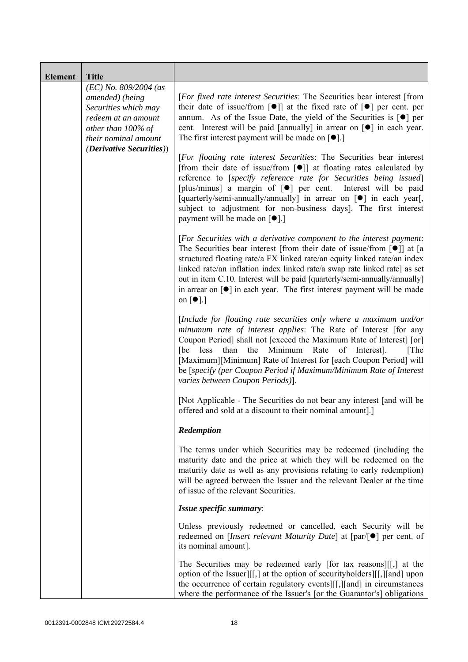| <b>Element</b> | <b>Title</b>                                                                                                                            |                                                                                                                                                                                                                                                                                                                                                                                                                                                                                                                                            |
|----------------|-----------------------------------------------------------------------------------------------------------------------------------------|--------------------------------------------------------------------------------------------------------------------------------------------------------------------------------------------------------------------------------------------------------------------------------------------------------------------------------------------------------------------------------------------------------------------------------------------------------------------------------------------------------------------------------------------|
|                | $(EC)$ No. 809/2004 (as<br>amended) (being<br>Securities which may<br>redeem at an amount<br>other than 100% of<br>their nominal amount | [For fixed rate interest Securities: The Securities bear interest [from<br>their date of issue/from $\lceil \bullet \rceil$ at the fixed rate of $\lceil \bullet \rceil$ per cent. per<br>annum. As of the Issue Date, the yield of the Securities is $\lceil \bullet \rceil$ per<br>cent. Interest will be paid [annually] in arrear on [ $\bullet$ ] in each year.<br>The first interest payment will be made on $\lceil \bullet \rceil$ .]                                                                                              |
|                | <i>(Derivative Securities))</i>                                                                                                         | [For floating rate interest Securities: The Securities bear interest<br>[from their date of issue/from $\lceil \bullet \rceil$ ] at floating rates calculated by<br>reference to [specify reference rate for Securities being issued]<br>[plus/minus] a margin of [ $\bullet$ ] per cent. Interest will be paid<br>[quarterly/semi-annually/annually] in arrear on [ $\bullet$ ] in each year[,<br>subject to adjustment for non-business days]. The first interest<br>payment will be made on [●].]                                       |
|                |                                                                                                                                         | [For Securities with a derivative component to the interest payment:<br>The Securities bear interest [from their date of issue/from $\lceil \bullet \rceil$ ] at [a<br>structured floating rate/a FX linked rate/an equity linked rate/an index<br>linked rate/an inflation index linked rate/a swap rate linked rate] as set<br>out in item C.10. Interest will be paid [quarterly/semi-annually/annually]<br>in arrear on $\lceil \bullet \rceil$ in each year. The first interest payment will be made<br>on $\lceil \bullet \rceil$ .] |
|                |                                                                                                                                         | [Include for floating rate securities only where a maximum and/or<br>minumum rate of interest applies: The Rate of Interest [for any<br>Coupon Period] shall not [exceed the Maximum Rate of Interest] [or]<br>than the Minimum<br>Rate<br>[be<br>less<br>of Interest].<br>[The]<br>[Maximum][Minimum] Rate of Interest for [each Coupon Period] will<br>be [specify (per Coupon Period if Maximum/Minimum Rate of Interest<br>varies between Coupon Periods)].                                                                            |
|                |                                                                                                                                         | [Not Applicable - The Securities do not bear any interest [and will be<br>offered and sold at a discount to their nominal amount].]                                                                                                                                                                                                                                                                                                                                                                                                        |
|                |                                                                                                                                         | Redemption                                                                                                                                                                                                                                                                                                                                                                                                                                                                                                                                 |
|                |                                                                                                                                         | The terms under which Securities may be redeemed (including the<br>maturity date and the price at which they will be redeemed on the<br>maturity date as well as any provisions relating to early redemption)<br>will be agreed between the Issuer and the relevant Dealer at the time<br>of issue of the relevant Securities.                                                                                                                                                                                                             |
|                |                                                                                                                                         | Issue specific summary:                                                                                                                                                                                                                                                                                                                                                                                                                                                                                                                    |
|                |                                                                                                                                         | Unless previously redeemed or cancelled, each Security will be<br>redeemed on [ <i>Insert relevant Maturity Date</i> ] at $[par/\lceil \bullet]$ per cent. of<br>its nominal amount].                                                                                                                                                                                                                                                                                                                                                      |
|                |                                                                                                                                         | The Securities may be redeemed early [for tax reasons][[,] at the<br>option of the Issuer][[,] at the option of security holders][[,][and] upon<br>the occurrence of certain regulatory events][[,][and] in circumstances<br>where the performance of the Issuer's [or the Guarantor's] obligations                                                                                                                                                                                                                                        |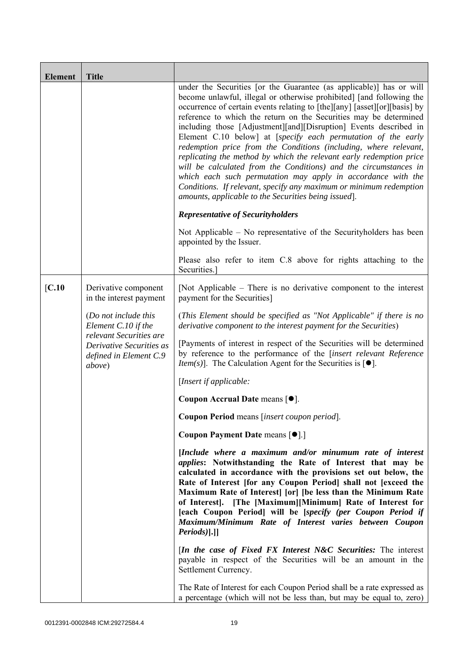| <b>Element</b>                                               | <b>Title</b>                                                                                                                                                                                                        |                                                                                                                                                                                                                                                                                                                                                                                                                                                                                                                                                                                                                                                                                                                                                                                                                                                 |
|--------------------------------------------------------------|---------------------------------------------------------------------------------------------------------------------------------------------------------------------------------------------------------------------|-------------------------------------------------------------------------------------------------------------------------------------------------------------------------------------------------------------------------------------------------------------------------------------------------------------------------------------------------------------------------------------------------------------------------------------------------------------------------------------------------------------------------------------------------------------------------------------------------------------------------------------------------------------------------------------------------------------------------------------------------------------------------------------------------------------------------------------------------|
|                                                              |                                                                                                                                                                                                                     | under the Securities [or the Guarantee (as applicable)] has or will<br>become unlawful, illegal or otherwise prohibited] [and following the<br>occurrence of certain events relating to [the][any] [asset][or][basis] by<br>reference to which the return on the Securities may be determined<br>including those [Adjustment][and][Disruption] Events described in<br>Element C.10 below] at [specify each permutation of the early<br>redemption price from the Conditions (including, where relevant,<br>replicating the method by which the relevant early redemption price<br>will be calculated from the Conditions) and the circumstances in<br>which each such permutation may apply in accordance with the<br>Conditions. If relevant, specify any maximum or minimum redemption<br>amounts, applicable to the Securities being issued. |
|                                                              |                                                                                                                                                                                                                     | <b>Representative of Securityholders</b>                                                                                                                                                                                                                                                                                                                                                                                                                                                                                                                                                                                                                                                                                                                                                                                                        |
|                                                              |                                                                                                                                                                                                                     | Not Applicable – No representative of the Security holders has been<br>appointed by the Issuer.                                                                                                                                                                                                                                                                                                                                                                                                                                                                                                                                                                                                                                                                                                                                                 |
|                                                              |                                                                                                                                                                                                                     | Please also refer to item C.8 above for rights attaching to the<br>Securities.                                                                                                                                                                                                                                                                                                                                                                                                                                                                                                                                                                                                                                                                                                                                                                  |
| $\mathbf{[C.10]}$                                            | Derivative component<br>in the interest payment                                                                                                                                                                     | [Not Applicable – There is no derivative component to the interest<br>payment for the Securities]                                                                                                                                                                                                                                                                                                                                                                                                                                                                                                                                                                                                                                                                                                                                               |
|                                                              | (Do not include this<br>Element C.10 if the<br>relevant Securities are                                                                                                                                              | (This Element should be specified as "Not Applicable" if there is no<br>derivative component to the interest payment for the Securities)                                                                                                                                                                                                                                                                                                                                                                                                                                                                                                                                                                                                                                                                                                        |
| Derivative Securities as<br>defined in Element C.9<br>above) | [Payments of interest in respect of the Securities will be determined<br>by reference to the performance of the [insert relevant Reference<br><i>Item(s)</i> ]. The Calculation Agent for the Securities is $[•]$ . |                                                                                                                                                                                                                                                                                                                                                                                                                                                                                                                                                                                                                                                                                                                                                                                                                                                 |
|                                                              |                                                                                                                                                                                                                     | [Insert if applicable:                                                                                                                                                                                                                                                                                                                                                                                                                                                                                                                                                                                                                                                                                                                                                                                                                          |
|                                                              |                                                                                                                                                                                                                     | Coupon Accrual Date means [ $\bullet$ ].                                                                                                                                                                                                                                                                                                                                                                                                                                                                                                                                                                                                                                                                                                                                                                                                        |
|                                                              |                                                                                                                                                                                                                     | Coupon Period means [insert coupon period].                                                                                                                                                                                                                                                                                                                                                                                                                                                                                                                                                                                                                                                                                                                                                                                                     |
|                                                              |                                                                                                                                                                                                                     | Coupon Payment Date means [ $\bullet$ ].]                                                                                                                                                                                                                                                                                                                                                                                                                                                                                                                                                                                                                                                                                                                                                                                                       |
|                                                              |                                                                                                                                                                                                                     | [Include where a maximum and/or minumum rate of interest<br><i>applies:</i> Notwithstanding the Rate of Interest that may be<br>calculated in accordance with the provisions set out below, the<br>Rate of Interest [for any Coupon Period] shall not [exceed the<br>Maximum Rate of Interest [or] [be less than the Minimum Rate<br>of Interest]. [The [Maximum][Minimum] Rate of Interest for<br>[each Coupon Period] will be [specify (per Coupon Period if<br>Maximum/Minimum Rate of Interest varies between Coupon<br>Periods)].]]                                                                                                                                                                                                                                                                                                        |
|                                                              |                                                                                                                                                                                                                     | <i>In the case of Fixed FX Interest N&amp;C Securities:</i> The interest<br>payable in respect of the Securities will be an amount in the<br>Settlement Currency.                                                                                                                                                                                                                                                                                                                                                                                                                                                                                                                                                                                                                                                                               |
|                                                              |                                                                                                                                                                                                                     | The Rate of Interest for each Coupon Period shall be a rate expressed as<br>a percentage (which will not be less than, but may be equal to, zero)                                                                                                                                                                                                                                                                                                                                                                                                                                                                                                                                                                                                                                                                                               |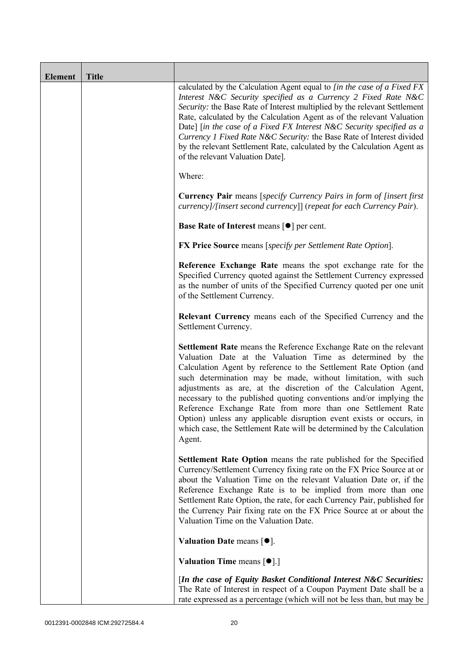| <b>Element</b> | <b>Title</b> |                                                                                                                                                                                                                                                                                                                                                                                                                                                                                                                                                                                                                                       |
|----------------|--------------|---------------------------------------------------------------------------------------------------------------------------------------------------------------------------------------------------------------------------------------------------------------------------------------------------------------------------------------------------------------------------------------------------------------------------------------------------------------------------------------------------------------------------------------------------------------------------------------------------------------------------------------|
|                |              | calculated by the Calculation Agent equal to [in the case of a Fixed FX<br>Interest N&C Security specified as a Currency 2 Fixed Rate N&C<br>Security: the Base Rate of Interest multiplied by the relevant Settlement<br>Rate, calculated by the Calculation Agent as of the relevant Valuation<br>Date] [in the case of a Fixed FX Interest N&C Security specified as a<br>Currency 1 Fixed Rate N&C Security: the Base Rate of Interest divided<br>by the relevant Settlement Rate, calculated by the Calculation Agent as<br>of the relevant Valuation Date].                                                                     |
|                |              | Where:                                                                                                                                                                                                                                                                                                                                                                                                                                                                                                                                                                                                                                |
|                |              | <b>Currency Pair</b> means [specify Currency Pairs in form of [insert first]<br>currency]/[insert second currency]] (repeat for each Currency Pair).                                                                                                                                                                                                                                                                                                                                                                                                                                                                                  |
|                |              | Base Rate of Interest means [ $\bullet$ ] per cent.                                                                                                                                                                                                                                                                                                                                                                                                                                                                                                                                                                                   |
|                |              | <b>FX Price Source</b> means [specify per Settlement Rate Option].                                                                                                                                                                                                                                                                                                                                                                                                                                                                                                                                                                    |
|                |              | Reference Exchange Rate means the spot exchange rate for the<br>Specified Currency quoted against the Settlement Currency expressed<br>as the number of units of the Specified Currency quoted per one unit<br>of the Settlement Currency.                                                                                                                                                                                                                                                                                                                                                                                            |
|                |              | Relevant Currency means each of the Specified Currency and the<br>Settlement Currency.                                                                                                                                                                                                                                                                                                                                                                                                                                                                                                                                                |
|                |              | Settlement Rate means the Reference Exchange Rate on the relevant<br>Valuation Date at the Valuation Time as determined by the<br>Calculation Agent by reference to the Settlement Rate Option (and<br>such determination may be made, without limitation, with such<br>adjustments as are, at the discretion of the Calculation Agent,<br>necessary to the published quoting conventions and/or implying the<br>Reference Exchange Rate from more than one Settlement Rate<br>Option) unless any applicable disruption event exists or occurs, in<br>which case, the Settlement Rate will be determined by the Calculation<br>Agent. |
|                |              | <b>Settlement Rate Option</b> means the rate published for the Specified<br>Currency/Settlement Currency fixing rate on the FX Price Source at or<br>about the Valuation Time on the relevant Valuation Date or, if the<br>Reference Exchange Rate is to be implied from more than one<br>Settlement Rate Option, the rate, for each Currency Pair, published for<br>the Currency Pair fixing rate on the FX Price Source at or about the<br>Valuation Time on the Valuation Date.                                                                                                                                                    |
|                |              | Valuation Date means $[•]$ .                                                                                                                                                                                                                                                                                                                                                                                                                                                                                                                                                                                                          |
|                |              | <b>Valuation Time means <math>\lceil \bullet \rceil</math>.</b>                                                                                                                                                                                                                                                                                                                                                                                                                                                                                                                                                                       |
|                |              | [In the case of Equity Basket Conditional Interest N&C Securities:<br>The Rate of Interest in respect of a Coupon Payment Date shall be a<br>rate expressed as a percentage (which will not be less than, but may be                                                                                                                                                                                                                                                                                                                                                                                                                  |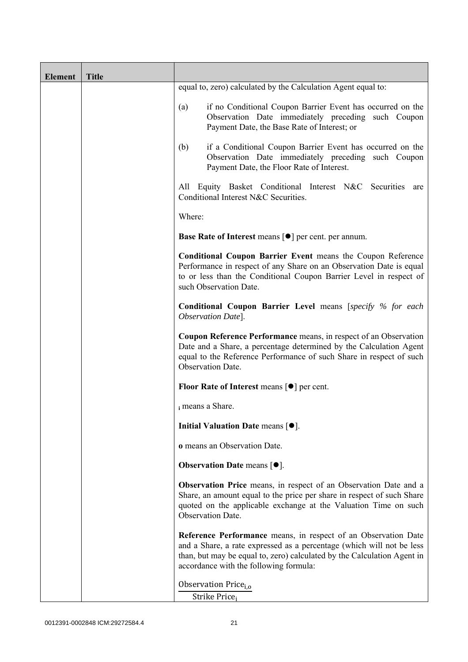| <b>Element</b> | <b>Title</b> |                                                                                                                                                                                                                                                              |
|----------------|--------------|--------------------------------------------------------------------------------------------------------------------------------------------------------------------------------------------------------------------------------------------------------------|
|                |              | equal to, zero) calculated by the Calculation Agent equal to:                                                                                                                                                                                                |
|                |              | if no Conditional Coupon Barrier Event has occurred on the<br>(a)<br>Observation Date immediately preceding such Coupon<br>Payment Date, the Base Rate of Interest; or                                                                                       |
|                |              | if a Conditional Coupon Barrier Event has occurred on the<br>(b)<br>Observation Date immediately preceding such Coupon<br>Payment Date, the Floor Rate of Interest.                                                                                          |
|                |              | Equity Basket Conditional Interest N&C Securities are<br>All<br>Conditional Interest N&C Securities.                                                                                                                                                         |
|                |              | Where:                                                                                                                                                                                                                                                       |
|                |              | <b>Base Rate of Interest means [<math>\bullet</math>] per cent. per annum.</b>                                                                                                                                                                               |
|                |              | <b>Conditional Coupon Barrier Event means the Coupon Reference</b><br>Performance in respect of any Share on an Observation Date is equal<br>to or less than the Conditional Coupon Barrier Level in respect of<br>such Observation Date.                    |
|                |              | <b>Conditional Coupon Barrier Level means [specify % for each</b><br>Observation Date].                                                                                                                                                                      |
|                |              | Coupon Reference Performance means, in respect of an Observation<br>Date and a Share, a percentage determined by the Calculation Agent<br>equal to the Reference Performance of such Share in respect of such<br>Observation Date.                           |
|                |              | Floor Rate of Interest means $\lceil \bullet \rceil$ per cent.                                                                                                                                                                                               |
|                |              | i means a Share.                                                                                                                                                                                                                                             |
|                |              | Initial Valuation Date means $[•]$ .                                                                                                                                                                                                                         |
|                |              | o means an Observation Date.                                                                                                                                                                                                                                 |
|                |              | <b>Observation Date means <math>[•]</math>.</b>                                                                                                                                                                                                              |
|                |              | Observation Price means, in respect of an Observation Date and a<br>Share, an amount equal to the price per share in respect of such Share<br>quoted on the applicable exchange at the Valuation Time on such<br>Observation Date.                           |
|                |              | Reference Performance means, in respect of an Observation Date<br>and a Share, a rate expressed as a percentage (which will not be less<br>than, but may be equal to, zero) calculated by the Calculation Agent in<br>accordance with the following formula: |
|                |              | Observation Price <sub>i.o</sub><br>Strike Price;                                                                                                                                                                                                            |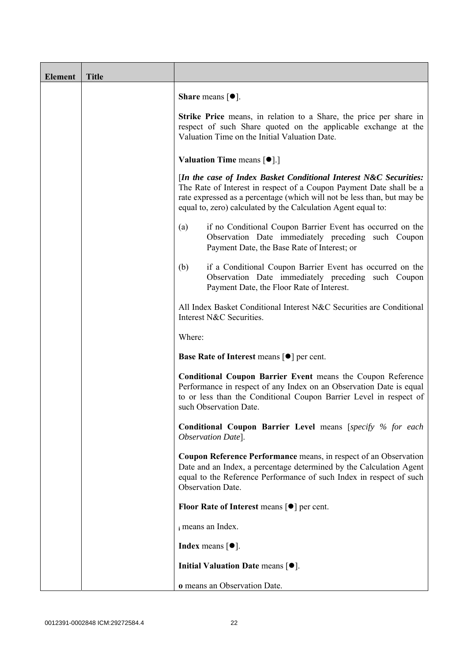| <b>Element</b> | <b>Title</b> |                                                                                                                                                                                                                                                                                      |
|----------------|--------------|--------------------------------------------------------------------------------------------------------------------------------------------------------------------------------------------------------------------------------------------------------------------------------------|
|                |              | <b>Share</b> means $\lceil \bullet \rceil$ .                                                                                                                                                                                                                                         |
|                |              | <b>Strike Price</b> means, in relation to a Share, the price per share in<br>respect of such Share quoted on the applicable exchange at the<br>Valuation Time on the Initial Valuation Date.                                                                                         |
|                |              | <b>Valuation Time means <math>\lceil \bullet \rceil</math>.</b>                                                                                                                                                                                                                      |
|                |              | [In the case of Index Basket Conditional Interest N&C Securities:<br>The Rate of Interest in respect of a Coupon Payment Date shall be a<br>rate expressed as a percentage (which will not be less than, but may be<br>equal to, zero) calculated by the Calculation Agent equal to: |
|                |              | if no Conditional Coupon Barrier Event has occurred on the<br>(a)<br>Observation Date immediately preceding such Coupon<br>Payment Date, the Base Rate of Interest; or                                                                                                               |
|                |              | if a Conditional Coupon Barrier Event has occurred on the<br>(b)<br>Observation Date immediately preceding such Coupon<br>Payment Date, the Floor Rate of Interest.                                                                                                                  |
|                |              | All Index Basket Conditional Interest N&C Securities are Conditional<br>Interest N&C Securities.                                                                                                                                                                                     |
|                |              | Where:                                                                                                                                                                                                                                                                               |
|                |              | <b>Base Rate of Interest means [<math>\bullet</math>] per cent.</b>                                                                                                                                                                                                                  |
|                |              | <b>Conditional Coupon Barrier Event means the Coupon Reference</b><br>Performance in respect of any Index on an Observation Date is equal<br>to or less than the Conditional Coupon Barrier Level in respect of<br>such Observation Date.                                            |
|                |              | <b>Conditional Coupon Barrier Level means [specify % for each</b><br>Observation Date].                                                                                                                                                                                              |
|                |              | Coupon Reference Performance means, in respect of an Observation<br>Date and an Index, a percentage determined by the Calculation Agent<br>equal to the Reference Performance of such Index in respect of such<br>Observation Date.                                                  |
|                |              | Floor Rate of Interest means $\lceil \bullet \rceil$ per cent.                                                                                                                                                                                                                       |
|                |              | i means an Index.                                                                                                                                                                                                                                                                    |
|                |              | <b>Index</b> means $\lceil \bullet \rceil$ .                                                                                                                                                                                                                                         |
|                |              | Initial Valuation Date means $[•]$ .                                                                                                                                                                                                                                                 |
|                |              | o means an Observation Date.                                                                                                                                                                                                                                                         |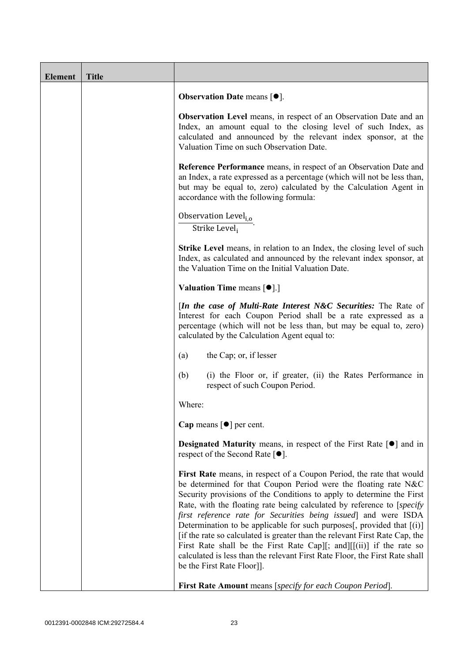| <b>Element</b> | <b>Title</b> |                                                                                                                                                                                                                                                                                                                                                                                                                                                                                                                                                                                                                                                                                                                      |
|----------------|--------------|----------------------------------------------------------------------------------------------------------------------------------------------------------------------------------------------------------------------------------------------------------------------------------------------------------------------------------------------------------------------------------------------------------------------------------------------------------------------------------------------------------------------------------------------------------------------------------------------------------------------------------------------------------------------------------------------------------------------|
|                |              | <b>Observation Date means <math>[•]</math>.</b>                                                                                                                                                                                                                                                                                                                                                                                                                                                                                                                                                                                                                                                                      |
|                |              | Observation Level means, in respect of an Observation Date and an<br>Index, an amount equal to the closing level of such Index, as<br>calculated and announced by the relevant index sponsor, at the<br>Valuation Time on such Observation Date.                                                                                                                                                                                                                                                                                                                                                                                                                                                                     |
|                |              | Reference Performance means, in respect of an Observation Date and<br>an Index, a rate expressed as a percentage (which will not be less than,<br>but may be equal to, zero) calculated by the Calculation Agent in<br>accordance with the following formula:                                                                                                                                                                                                                                                                                                                                                                                                                                                        |
|                |              | Observation Level <sub>i.o</sub><br>Strike Level;                                                                                                                                                                                                                                                                                                                                                                                                                                                                                                                                                                                                                                                                    |
|                |              | Strike Level means, in relation to an Index, the closing level of such<br>Index, as calculated and announced by the relevant index sponsor, at<br>the Valuation Time on the Initial Valuation Date.                                                                                                                                                                                                                                                                                                                                                                                                                                                                                                                  |
|                |              | <b>Valuation Time means <math>\lceil \bullet \rceil</math>.</b>                                                                                                                                                                                                                                                                                                                                                                                                                                                                                                                                                                                                                                                      |
|                |              | [In the case of Multi-Rate Interest N&C Securities: The Rate of<br>Interest for each Coupon Period shall be a rate expressed as a<br>percentage (which will not be less than, but may be equal to, zero)<br>calculated by the Calculation Agent equal to:                                                                                                                                                                                                                                                                                                                                                                                                                                                            |
|                |              | the Cap; or, if lesser<br>(a)                                                                                                                                                                                                                                                                                                                                                                                                                                                                                                                                                                                                                                                                                        |
|                |              | (b)<br>(i) the Floor or, if greater, (ii) the Rates Performance in<br>respect of such Coupon Period.                                                                                                                                                                                                                                                                                                                                                                                                                                                                                                                                                                                                                 |
|                |              | Where:                                                                                                                                                                                                                                                                                                                                                                                                                                                                                                                                                                                                                                                                                                               |
|                |              | Cap means $\lceil \bullet \rceil$ per cent.                                                                                                                                                                                                                                                                                                                                                                                                                                                                                                                                                                                                                                                                          |
|                |              | Designated Maturity means, in respect of the First Rate [ $\bullet$ ] and in<br>respect of the Second Rate $[•]$ .                                                                                                                                                                                                                                                                                                                                                                                                                                                                                                                                                                                                   |
|                |              | First Rate means, in respect of a Coupon Period, the rate that would<br>be determined for that Coupon Period were the floating rate N&C<br>Security provisions of the Conditions to apply to determine the First<br>Rate, with the floating rate being calculated by reference to [specify]<br>first reference rate for Securities being issued] and were ISDA<br>Determination to be applicable for such purposes $[$ , provided that $[(i)]$<br>[if the rate so calculated is greater than the relevant First Rate Cap, the<br>First Rate shall be the First Rate Cap][; and][ $[(ii)]$ if the rate so<br>calculated is less than the relevant First Rate Floor, the First Rate shall<br>be the First Rate Floor]. |
|                |              | <b>First Rate Amount</b> means [specify for each Coupon Period].                                                                                                                                                                                                                                                                                                                                                                                                                                                                                                                                                                                                                                                     |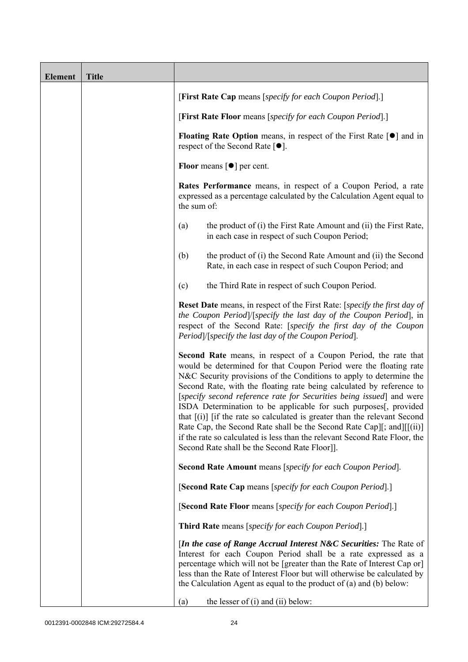| <b>Element</b> | <b>Title</b> |                                                                                                                                                                                                                                                                                                                                                                                                                                                                                                                                                                                                                                                                                                                       |
|----------------|--------------|-----------------------------------------------------------------------------------------------------------------------------------------------------------------------------------------------------------------------------------------------------------------------------------------------------------------------------------------------------------------------------------------------------------------------------------------------------------------------------------------------------------------------------------------------------------------------------------------------------------------------------------------------------------------------------------------------------------------------|
|                |              | [First Rate Cap means [specify for each Coupon Period].]                                                                                                                                                                                                                                                                                                                                                                                                                                                                                                                                                                                                                                                              |
|                |              | [First Rate Floor means [specify for each Coupon Period].]                                                                                                                                                                                                                                                                                                                                                                                                                                                                                                                                                                                                                                                            |
|                |              | <b>Floating Rate Option</b> means, in respect of the First Rate $\lceil \bullet \rceil$ and in<br>respect of the Second Rate $[•]$ .                                                                                                                                                                                                                                                                                                                                                                                                                                                                                                                                                                                  |
|                |              | <b>Floor</b> means $\lceil \bullet \rceil$ per cent.                                                                                                                                                                                                                                                                                                                                                                                                                                                                                                                                                                                                                                                                  |
|                |              | Rates Performance means, in respect of a Coupon Period, a rate<br>expressed as a percentage calculated by the Calculation Agent equal to<br>the sum of:                                                                                                                                                                                                                                                                                                                                                                                                                                                                                                                                                               |
|                |              | the product of (i) the First Rate Amount and (ii) the First Rate,<br>(a)<br>in each case in respect of such Coupon Period;                                                                                                                                                                                                                                                                                                                                                                                                                                                                                                                                                                                            |
|                |              | the product of (i) the Second Rate Amount and (ii) the Second<br>(b)<br>Rate, in each case in respect of such Coupon Period; and                                                                                                                                                                                                                                                                                                                                                                                                                                                                                                                                                                                      |
|                |              | the Third Rate in respect of such Coupon Period.<br>(c)                                                                                                                                                                                                                                                                                                                                                                                                                                                                                                                                                                                                                                                               |
|                |              | <b>Reset Date</b> means, in respect of the First Rate: [specify the first day of<br>the Coupon Period /[specify the last day of the Coupon Period], in<br>respect of the Second Rate: [specify the first day of the Coupon<br>Period /[specify the last day of the Coupon Period].                                                                                                                                                                                                                                                                                                                                                                                                                                    |
|                |              | Second Rate means, in respect of a Coupon Period, the rate that<br>would be determined for that Coupon Period were the floating rate<br>N&C Security provisions of the Conditions to apply to determine the<br>Second Rate, with the floating rate being calculated by reference to<br>[specify second reference rate for Securities being issued] and were<br>ISDA Determination to be applicable for such purposes[, provided<br>that $[(i)]$ if the rate so calculated is greater than the relevant Second<br>Rate Cap, the Second Rate shall be the Second Rate Cap][; and][[(ii)]<br>if the rate so calculated is less than the relevant Second Rate Floor, the<br>Second Rate shall be the Second Rate Floor]]. |
|                |              | Second Rate Amount means [specify for each Coupon Period].                                                                                                                                                                                                                                                                                                                                                                                                                                                                                                                                                                                                                                                            |
|                |              | [Second Rate Cap means [specify for each Coupon Period].]                                                                                                                                                                                                                                                                                                                                                                                                                                                                                                                                                                                                                                                             |
|                |              | [Second Rate Floor means [specify for each Coupon Period].]                                                                                                                                                                                                                                                                                                                                                                                                                                                                                                                                                                                                                                                           |
|                |              | Third Rate means [specify for each Coupon Period].]                                                                                                                                                                                                                                                                                                                                                                                                                                                                                                                                                                                                                                                                   |
|                |              | <i>In the case of Range Accrual Interest N&amp;C Securities:</i> The Rate of<br>Interest for each Coupon Period shall be a rate expressed as a<br>percentage which will not be [greater than the Rate of Interest Cap or]<br>less than the Rate of Interest Floor but will otherwise be calculated by<br>the Calculation Agent as equal to the product of $(a)$ and $(b)$ below:<br>the lesser of (i) and (ii) below:<br>(a)                                                                                                                                                                                                                                                                                          |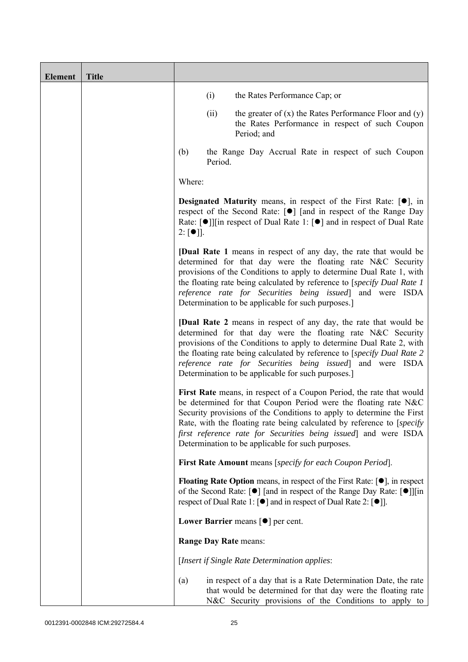| <b>Element</b> | <b>Title</b> |                                                                                                                                                                                                                                                                                                                                                                                                                     |
|----------------|--------------|---------------------------------------------------------------------------------------------------------------------------------------------------------------------------------------------------------------------------------------------------------------------------------------------------------------------------------------------------------------------------------------------------------------------|
|                |              | (i)<br>the Rates Performance Cap; or                                                                                                                                                                                                                                                                                                                                                                                |
|                |              | (ii)<br>the greater of $(x)$ the Rates Performance Floor and $(y)$<br>the Rates Performance in respect of such Coupon<br>Period; and                                                                                                                                                                                                                                                                                |
|                |              | the Range Day Accrual Rate in respect of such Coupon<br>(b)<br>Period.                                                                                                                                                                                                                                                                                                                                              |
|                |              | Where:                                                                                                                                                                                                                                                                                                                                                                                                              |
|                |              | <b>Designated Maturity</b> means, in respect of the First Rate: $[•]$ , in<br>respect of the Second Rate: [●] [and in respect of the Range Day<br>Rate: $\lceil \bullet \rceil$   [in respect of Dual Rate 1: $\lceil \bullet \rceil$ and in respect of Dual Rate<br>$2: [\bullet]$ ].                                                                                                                              |
|                |              | <b>[Dual Rate 1</b> means in respect of any day, the rate that would be<br>determined for that day were the floating rate N&C Security<br>provisions of the Conditions to apply to determine Dual Rate 1, with<br>the floating rate being calculated by reference to [specify Dual Rate 1]<br>reference rate for Securities being issued] and were ISDA<br>Determination to be applicable for such purposes.        |
|                |              | <b>[Dual Rate 2</b> means in respect of any day, the rate that would be<br>determined for that day were the floating rate N&C Security<br>provisions of the Conditions to apply to determine Dual Rate 2, with<br>the floating rate being calculated by reference to [specify Dual Rate 2<br>reference rate for Securities being issued] and were ISDA<br>Determination to be applicable for such purposes.         |
|                |              | First Rate means, in respect of a Coupon Period, the rate that would<br>be determined for that Coupon Period were the floating rate N&C<br>Security provisions of the Conditions to apply to determine the First<br>Rate, with the floating rate being calculated by reference to [specify]<br>first reference rate for Securities being issued] and were ISDA<br>Determination to be applicable for such purposes. |
|                |              | First Rate Amount means [specify for each Coupon Period].                                                                                                                                                                                                                                                                                                                                                           |
|                |              | <b>Floating Rate Option</b> means, in respect of the First Rate: $[•]$ , in respect<br>of the Second Rate: [ $\bullet$ ] [and in respect of the Range Day Rate: [ $\bullet$ ]][in<br>respect of Dual Rate 1: [ <sup>●</sup> ] and in respect of Dual Rate 2: [ <sup>●</sup> ]].                                                                                                                                     |
|                |              | Lower Barrier means $\lceil \bullet \rceil$ per cent.                                                                                                                                                                                                                                                                                                                                                               |
|                |              | <b>Range Day Rate means:</b>                                                                                                                                                                                                                                                                                                                                                                                        |
|                |              | [Insert if Single Rate Determination applies:                                                                                                                                                                                                                                                                                                                                                                       |
|                |              | in respect of a day that is a Rate Determination Date, the rate<br>(a)<br>that would be determined for that day were the floating rate<br>N&C Security provisions of the Conditions to apply to                                                                                                                                                                                                                     |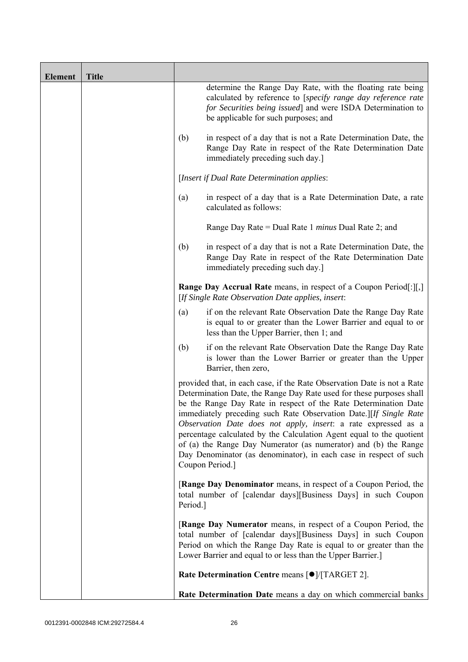| <b>Element</b> | <b>Title</b> |                                                            |                                                                                                                                                                                                                                                                                                                                                                                                                                                                                                                                                                                              |
|----------------|--------------|------------------------------------------------------------|----------------------------------------------------------------------------------------------------------------------------------------------------------------------------------------------------------------------------------------------------------------------------------------------------------------------------------------------------------------------------------------------------------------------------------------------------------------------------------------------------------------------------------------------------------------------------------------------|
|                |              |                                                            | determine the Range Day Rate, with the floating rate being<br>calculated by reference to [specify range day reference rate<br>for Securities being issued] and were ISDA Determination to<br>be applicable for such purposes; and                                                                                                                                                                                                                                                                                                                                                            |
|                |              | (b)                                                        | in respect of a day that is not a Rate Determination Date, the<br>Range Day Rate in respect of the Rate Determination Date<br>immediately preceding such day.]                                                                                                                                                                                                                                                                                                                                                                                                                               |
|                |              |                                                            | [Insert if Dual Rate Determination applies:                                                                                                                                                                                                                                                                                                                                                                                                                                                                                                                                                  |
|                |              | (a)                                                        | in respect of a day that is a Rate Determination Date, a rate<br>calculated as follows:                                                                                                                                                                                                                                                                                                                                                                                                                                                                                                      |
|                |              | Range Day Rate = Dual Rate 1 <i>minus</i> Dual Rate 2; and |                                                                                                                                                                                                                                                                                                                                                                                                                                                                                                                                                                                              |
|                |              | (b)                                                        | in respect of a day that is not a Rate Determination Date, the<br>Range Day Rate in respect of the Rate Determination Date<br>immediately preceding such day.]                                                                                                                                                                                                                                                                                                                                                                                                                               |
|                |              |                                                            | <b>Range Day Accrual Rate</b> means, in respect of a Coupon Period[:][,]<br>[If Single Rate Observation Date applies, insert:                                                                                                                                                                                                                                                                                                                                                                                                                                                                |
|                |              | (a)                                                        | if on the relevant Rate Observation Date the Range Day Rate<br>is equal to or greater than the Lower Barrier and equal to or<br>less than the Upper Barrier, then 1; and                                                                                                                                                                                                                                                                                                                                                                                                                     |
|                |              | (b)                                                        | if on the relevant Rate Observation Date the Range Day Rate<br>is lower than the Lower Barrier or greater than the Upper<br>Barrier, then zero,                                                                                                                                                                                                                                                                                                                                                                                                                                              |
|                |              |                                                            | provided that, in each case, if the Rate Observation Date is not a Rate<br>Determination Date, the Range Day Rate used for these purposes shall<br>be the Range Day Rate in respect of the Rate Determination Date<br>immediately preceding such Rate Observation Date.][If Single Rate<br>Observation Date does not apply, insert: a rate expressed as a<br>percentage calculated by the Calculation Agent equal to the quotient<br>of (a) the Range Day Numerator (as numerator) and (b) the Range<br>Day Denominator (as denominator), in each case in respect of such<br>Coupon Period.] |
|                |              | Period.]                                                   | [Range Day Denominator means, in respect of a Coupon Period, the<br>total number of [calendar days][Business Days] in such Coupon                                                                                                                                                                                                                                                                                                                                                                                                                                                            |
|                |              |                                                            | <b>[Range Day Numerator</b> means, in respect of a Coupon Period, the<br>total number of [calendar days][Business Days] in such Coupon<br>Period on which the Range Day Rate is equal to or greater than the<br>Lower Barrier and equal to or less than the Upper Barrier.]                                                                                                                                                                                                                                                                                                                  |
|                |              |                                                            | Rate Determination Centre means [ $\bullet$ ]/[TARGET 2].                                                                                                                                                                                                                                                                                                                                                                                                                                                                                                                                    |
|                |              |                                                            | Rate Determination Date means a day on which commercial banks                                                                                                                                                                                                                                                                                                                                                                                                                                                                                                                                |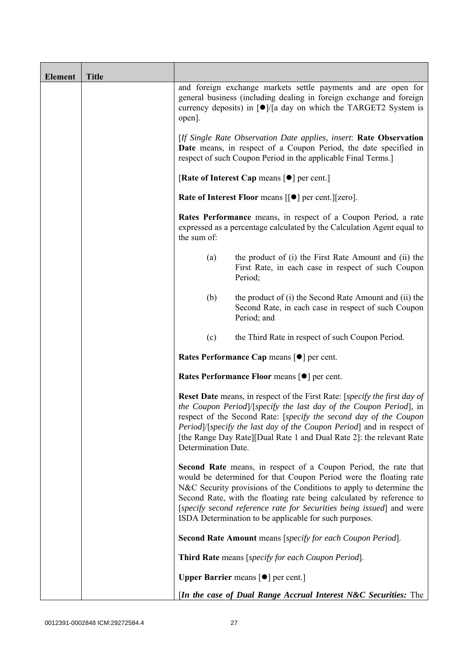| <b>Element</b> | <b>Title</b> |                                                                                                                                                                                                                                                                                                                                                                                                                              |  |  |
|----------------|--------------|------------------------------------------------------------------------------------------------------------------------------------------------------------------------------------------------------------------------------------------------------------------------------------------------------------------------------------------------------------------------------------------------------------------------------|--|--|
|                |              | and foreign exchange markets settle payments and are open for<br>general business (including dealing in foreign exchange and foreign<br>currency deposits) in $\lceil \bullet \rceil / \lceil a \rceil$ day on which the TARGET2 System is<br>open].                                                                                                                                                                         |  |  |
|                |              | [If Single Rate Observation Date applies, insert: Rate Observation<br>Date means, in respect of a Coupon Period, the date specified in<br>respect of such Coupon Period in the applicable Final Terms.]                                                                                                                                                                                                                      |  |  |
|                |              | [Rate of Interest Cap means $[•]$ per cent.]                                                                                                                                                                                                                                                                                                                                                                                 |  |  |
|                |              | Rate of Interest Floor means [[ $\bullet$ ] per cent.][zero].                                                                                                                                                                                                                                                                                                                                                                |  |  |
|                |              | Rates Performance means, in respect of a Coupon Period, a rate<br>expressed as a percentage calculated by the Calculation Agent equal to<br>the sum of:                                                                                                                                                                                                                                                                      |  |  |
|                |              | the product of (i) the First Rate Amount and (ii) the<br>(a)<br>First Rate, in each case in respect of such Coupon<br>Period;                                                                                                                                                                                                                                                                                                |  |  |
|                |              | (b)<br>the product of (i) the Second Rate Amount and (ii) the<br>Second Rate, in each case in respect of such Coupon<br>Period; and                                                                                                                                                                                                                                                                                          |  |  |
|                |              | the Third Rate in respect of such Coupon Period.<br>(c)                                                                                                                                                                                                                                                                                                                                                                      |  |  |
|                |              | Rates Performance Cap means [ $\bullet$ ] per cent.                                                                                                                                                                                                                                                                                                                                                                          |  |  |
|                |              | Rates Performance Floor means [ $\bullet$ ] per cent.                                                                                                                                                                                                                                                                                                                                                                        |  |  |
|                |              | <b>Reset Date</b> means, in respect of the First Rate: [ <i>specify the first day of</i><br>the Coupon Period /[specify the last day of the Coupon Period], in<br>respect of the Second Rate: [specify the second day of the Coupon<br><i>Period</i> ) [ <i>specify the last day of the Coupon Period</i> ] and in respect of<br>[the Range Day Rate][Dual Rate 1 and Dual Rate 2]: the relevant Rate<br>Determination Date. |  |  |
|                |              | <b>Second Rate</b> means, in respect of a Coupon Period, the rate that<br>would be determined for that Coupon Period were the floating rate<br>N&C Security provisions of the Conditions to apply to determine the<br>Second Rate, with the floating rate being calculated by reference to<br>[specify second reference rate for Securities being issued] and were<br>ISDA Determination to be applicable for such purposes. |  |  |
|                |              | Second Rate Amount means [specify for each Coupon Period].                                                                                                                                                                                                                                                                                                                                                                   |  |  |
|                |              | Third Rate means [specify for each Coupon Period].                                                                                                                                                                                                                                                                                                                                                                           |  |  |
|                |              | <b>Upper Barrier</b> means $\lceil \bullet \rceil$ per cent.                                                                                                                                                                                                                                                                                                                                                                 |  |  |
|                |              | <i>In the case of Dual Range Accrual Interest N&amp;C Securities:</i> The                                                                                                                                                                                                                                                                                                                                                    |  |  |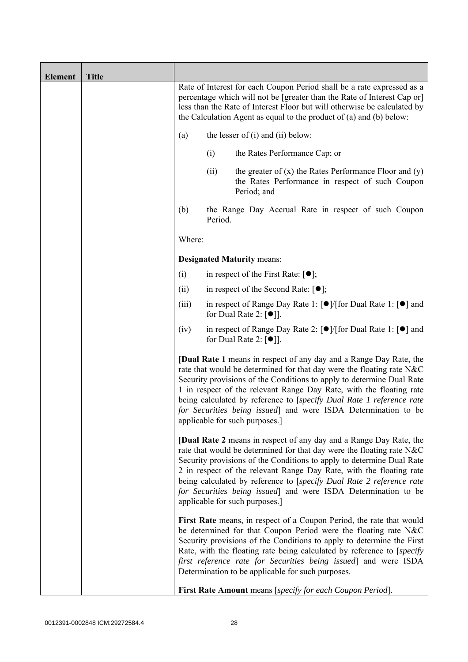| <b>Element</b> | <b>Title</b> |        |         |                                                                                                                                                                                                                                                                                                                                                                                                                                                                                |
|----------------|--------------|--------|---------|--------------------------------------------------------------------------------------------------------------------------------------------------------------------------------------------------------------------------------------------------------------------------------------------------------------------------------------------------------------------------------------------------------------------------------------------------------------------------------|
|                |              |        |         | Rate of Interest for each Coupon Period shall be a rate expressed as a<br>percentage which will not be [greater than the Rate of Interest Cap or]<br>less than the Rate of Interest Floor but will otherwise be calculated by<br>the Calculation Agent as equal to the product of $(a)$ and $(b)$ below:                                                                                                                                                                       |
|                |              | (a)    |         | the lesser of $(i)$ and $(ii)$ below:                                                                                                                                                                                                                                                                                                                                                                                                                                          |
|                |              |        | (i)     | the Rates Performance Cap; or                                                                                                                                                                                                                                                                                                                                                                                                                                                  |
|                |              |        | (ii)    | the greater of $(x)$ the Rates Performance Floor and $(y)$<br>the Rates Performance in respect of such Coupon<br>Period; and                                                                                                                                                                                                                                                                                                                                                   |
|                |              | (b)    | Period. | the Range Day Accrual Rate in respect of such Coupon                                                                                                                                                                                                                                                                                                                                                                                                                           |
|                |              | Where: |         |                                                                                                                                                                                                                                                                                                                                                                                                                                                                                |
|                |              |        |         | <b>Designated Maturity means:</b>                                                                                                                                                                                                                                                                                                                                                                                                                                              |
|                |              | (i)    |         | in respect of the First Rate: $[•]$ ;                                                                                                                                                                                                                                                                                                                                                                                                                                          |
|                |              | (ii)   |         | in respect of the Second Rate: $[•]$ ;                                                                                                                                                                                                                                                                                                                                                                                                                                         |
|                |              | (iii)  |         | in respect of Range Day Rate 1: $\lceil \bullet \rceil / \lceil \text{for Dual Rate 1} \rceil \rceil$ and<br>for Dual Rate 2: $\lceil \bullet \rceil$ .                                                                                                                                                                                                                                                                                                                        |
|                |              | (iv)   |         | in respect of Range Day Rate 2: [●]/[for Dual Rate 1: [●] and<br>for Dual Rate 2: $\lceil \bullet \rceil$ .                                                                                                                                                                                                                                                                                                                                                                    |
|                |              |        |         | <b>[Dual Rate 1</b> means in respect of any day and a Range Day Rate, the<br>rate that would be determined for that day were the floating rate N&C<br>Security provisions of the Conditions to apply to determine Dual Rate<br>1 in respect of the relevant Range Day Rate, with the floating rate<br>being calculated by reference to [specify Dual Rate 1 reference rate<br>for Securities being issued] and were ISDA Determination to be<br>applicable for such purposes.] |
|                |              |        |         | <b>[Dual Rate 2</b> means in respect of any day and a Range Day Rate, the<br>rate that would be determined for that day were the floating rate N&C<br>Security provisions of the Conditions to apply to determine Dual Rate<br>2 in respect of the relevant Range Day Rate, with the floating rate<br>being calculated by reference to [specify Dual Rate 2 reference rate<br>for Securities being issued] and were ISDA Determination to be<br>applicable for such purposes.] |
|                |              |        |         | First Rate means, in respect of a Coupon Period, the rate that would<br>be determined for that Coupon Period were the floating rate N&C<br>Security provisions of the Conditions to apply to determine the First<br>Rate, with the floating rate being calculated by reference to [specify]<br>first reference rate for Securities being issued and were ISDA<br>Determination to be applicable for such purposes.                                                             |
|                |              |        |         | First Rate Amount means [specify for each Coupon Period].                                                                                                                                                                                                                                                                                                                                                                                                                      |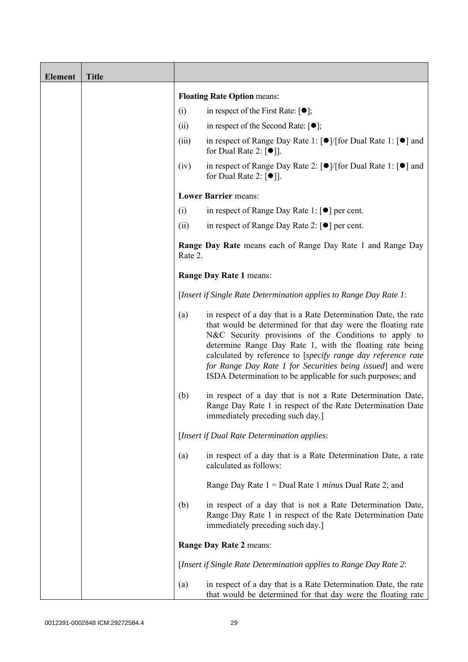| <b>Element</b> | <b>Title</b> |         |                                                                                                                                                                                                                                                                                                                                                                                                                                                  |
|----------------|--------------|---------|--------------------------------------------------------------------------------------------------------------------------------------------------------------------------------------------------------------------------------------------------------------------------------------------------------------------------------------------------------------------------------------------------------------------------------------------------|
|                |              |         | <b>Floating Rate Option means:</b>                                                                                                                                                                                                                                                                                                                                                                                                               |
|                |              | (i)     | in respect of the First Rate: $[\bullet]$ ;                                                                                                                                                                                                                                                                                                                                                                                                      |
|                |              | (ii)    | in respect of the Second Rate: $[•]$ ;                                                                                                                                                                                                                                                                                                                                                                                                           |
|                |              | (iii)   | in respect of Range Day Rate 1: $\lceil \bullet \rceil / \lceil \text{for Dual Rate 1} \rceil \rceil$ and<br>for Dual Rate 2: $[①$ ].                                                                                                                                                                                                                                                                                                            |
|                |              | (iv)    | in respect of Range Day Rate 2: $\lceil \bullet \rceil / \lceil \text{for Dual Rate 1} \rceil \rceil$ and<br>for Dual Rate 2: $\lceil \bullet \rceil$ .                                                                                                                                                                                                                                                                                          |
|                |              |         | <b>Lower Barrier means:</b>                                                                                                                                                                                                                                                                                                                                                                                                                      |
|                |              | (i)     | in respect of Range Day Rate 1: $\lceil \bullet \rceil$ per cent.                                                                                                                                                                                                                                                                                                                                                                                |
|                |              | (ii)    | in respect of Range Day Rate 2: $\lceil \bullet \rceil$ per cent.                                                                                                                                                                                                                                                                                                                                                                                |
|                |              | Rate 2. | <b>Range Day Rate</b> means each of Range Day Rate 1 and Range Day                                                                                                                                                                                                                                                                                                                                                                               |
|                |              |         | Range Day Rate 1 means:                                                                                                                                                                                                                                                                                                                                                                                                                          |
|                |              |         | [Insert if Single Rate Determination applies to Range Day Rate 1:                                                                                                                                                                                                                                                                                                                                                                                |
|                |              | (a)     | in respect of a day that is a Rate Determination Date, the rate<br>that would be determined for that day were the floating rate<br>N&C Security provisions of the Conditions to apply to<br>determine Range Day Rate 1, with the floating rate being<br>calculated by reference to [specify range day reference rate<br>for Range Day Rate 1 for Securities being issued] and were<br>ISDA Determination to be applicable for such purposes; and |
|                |              | (b)     | in respect of a day that is not a Rate Determination Date,<br>Range Day Rate 1 in respect of the Rate Determination Date<br>immediately preceding such day.                                                                                                                                                                                                                                                                                      |
|                |              |         | [Insert if Dual Rate Determination applies:                                                                                                                                                                                                                                                                                                                                                                                                      |
|                |              | (a)     | in respect of a day that is a Rate Determination Date, a rate<br>calculated as follows:                                                                                                                                                                                                                                                                                                                                                          |
|                |              |         | Range Day Rate $1 =$ Dual Rate 1 <i>minus</i> Dual Rate 2; and                                                                                                                                                                                                                                                                                                                                                                                   |
|                |              | (b)     | in respect of a day that is not a Rate Determination Date,<br>Range Day Rate 1 in respect of the Rate Determination Date<br>immediately preceding such day.]                                                                                                                                                                                                                                                                                     |
|                |              |         | Range Day Rate 2 means:                                                                                                                                                                                                                                                                                                                                                                                                                          |
|                |              |         | [Insert if Single Rate Determination applies to Range Day Rate 2:                                                                                                                                                                                                                                                                                                                                                                                |
|                |              | (a)     | in respect of a day that is a Rate Determination Date, the rate<br>that would be determined for that day were the floating rate                                                                                                                                                                                                                                                                                                                  |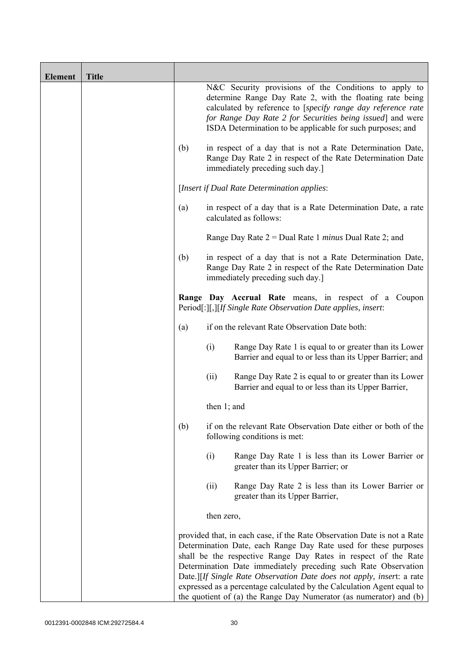| <b>Element</b> | <b>Title</b> |     |                                                                                                                                                                                                                                                                                                                                                                                                                                                                                                         |
|----------------|--------------|-----|---------------------------------------------------------------------------------------------------------------------------------------------------------------------------------------------------------------------------------------------------------------------------------------------------------------------------------------------------------------------------------------------------------------------------------------------------------------------------------------------------------|
|                |              |     | N&C Security provisions of the Conditions to apply to<br>determine Range Day Rate 2, with the floating rate being<br>calculated by reference to [specify range day reference rate<br>for Range Day Rate 2 for Securities being issued] and were<br>ISDA Determination to be applicable for such purposes; and                                                                                                                                                                                           |
|                |              | (b) | in respect of a day that is not a Rate Determination Date,<br>Range Day Rate 2 in respect of the Rate Determination Date<br>immediately preceding such day.]                                                                                                                                                                                                                                                                                                                                            |
|                |              |     | [Insert if Dual Rate Determination applies:                                                                                                                                                                                                                                                                                                                                                                                                                                                             |
|                |              | (a) | in respect of a day that is a Rate Determination Date, a rate<br>calculated as follows:                                                                                                                                                                                                                                                                                                                                                                                                                 |
|                |              |     | Range Day Rate $2 =$ Dual Rate 1 <i>minus</i> Dual Rate 2; and                                                                                                                                                                                                                                                                                                                                                                                                                                          |
|                |              | (b) | in respect of a day that is not a Rate Determination Date,<br>Range Day Rate 2 in respect of the Rate Determination Date<br>immediately preceding such day.]                                                                                                                                                                                                                                                                                                                                            |
|                |              |     | Range Day Accrual Rate means, in respect of a Coupon<br>Period[:][,][If Single Rate Observation Date applies, insert:                                                                                                                                                                                                                                                                                                                                                                                   |
|                |              | (a) | if on the relevant Rate Observation Date both:                                                                                                                                                                                                                                                                                                                                                                                                                                                          |
|                |              |     | (i)<br>Range Day Rate 1 is equal to or greater than its Lower<br>Barrier and equal to or less than its Upper Barrier; and                                                                                                                                                                                                                                                                                                                                                                               |
|                |              |     | Range Day Rate 2 is equal to or greater than its Lower<br>(ii)<br>Barrier and equal to or less than its Upper Barrier,                                                                                                                                                                                                                                                                                                                                                                                  |
|                |              |     | then 1; and                                                                                                                                                                                                                                                                                                                                                                                                                                                                                             |
|                |              | (b) | if on the relevant Rate Observation Date either or both of the<br>following conditions is met:                                                                                                                                                                                                                                                                                                                                                                                                          |
|                |              |     | (i)<br>Range Day Rate 1 is less than its Lower Barrier or<br>greater than its Upper Barrier; or                                                                                                                                                                                                                                                                                                                                                                                                         |
|                |              |     | (ii)<br>Range Day Rate 2 is less than its Lower Barrier or<br>greater than its Upper Barrier,                                                                                                                                                                                                                                                                                                                                                                                                           |
|                |              |     | then zero,                                                                                                                                                                                                                                                                                                                                                                                                                                                                                              |
|                |              |     | provided that, in each case, if the Rate Observation Date is not a Rate<br>Determination Date, each Range Day Rate used for these purposes<br>shall be the respective Range Day Rates in respect of the Rate<br>Determination Date immediately preceding such Rate Observation<br>Date.][If Single Rate Observation Date does not apply, insert: a rate<br>expressed as a percentage calculated by the Calculation Agent equal to<br>the quotient of (a) the Range Day Numerator (as numerator) and (b) |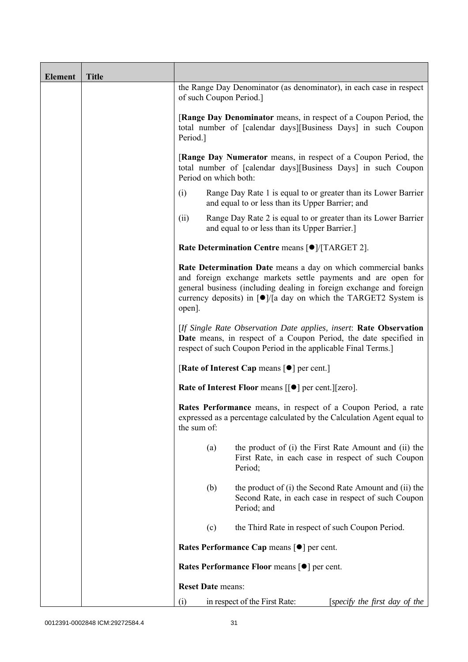| <b>Element</b> | <b>Title</b> |                                                                                                                                                                                                                                                                                                                       |  |  |  |
|----------------|--------------|-----------------------------------------------------------------------------------------------------------------------------------------------------------------------------------------------------------------------------------------------------------------------------------------------------------------------|--|--|--|
|                |              | the Range Day Denominator (as denominator), in each case in respect<br>of such Coupon Period.]                                                                                                                                                                                                                        |  |  |  |
|                |              | <b>[Range Day Denominator</b> means, in respect of a Coupon Period, the<br>total number of [calendar days][Business Days] in such Coupon<br>Period.]                                                                                                                                                                  |  |  |  |
|                |              | [Range Day Numerator means, in respect of a Coupon Period, the<br>total number of [calendar days][Business Days] in such Coupon<br>Period on which both:                                                                                                                                                              |  |  |  |
|                |              | (i)<br>Range Day Rate 1 is equal to or greater than its Lower Barrier<br>and equal to or less than its Upper Barrier; and                                                                                                                                                                                             |  |  |  |
|                |              | Range Day Rate 2 is equal to or greater than its Lower Barrier<br>(ii)<br>and equal to or less than its Upper Barrier.]                                                                                                                                                                                               |  |  |  |
|                |              | Rate Determination Centre means [ $\bullet$ ]/[TARGET 2].                                                                                                                                                                                                                                                             |  |  |  |
|                |              | Rate Determination Date means a day on which commercial banks<br>and foreign exchange markets settle payments and are open for<br>general business (including dealing in foreign exchange and foreign<br>currency deposits) in $\lceil \bullet \rceil / \lceil a \rceil$ day on which the TARGET2 System is<br>open]. |  |  |  |
|                |              | [If Single Rate Observation Date applies, insert: Rate Observation<br>Date means, in respect of a Coupon Period, the date specified in<br>respect of such Coupon Period in the applicable Final Terms.]                                                                                                               |  |  |  |
|                |              | [Rate of Interest Cap means $\lceil \bullet \rceil$ per cent.]                                                                                                                                                                                                                                                        |  |  |  |
|                |              | Rate of Interest Floor means [[ $\bullet$ ] per cent.][zero].                                                                                                                                                                                                                                                         |  |  |  |
|                |              | Rates Performance means, in respect of a Coupon Period, a rate<br>expressed as a percentage calculated by the Calculation Agent equal to<br>the sum of:                                                                                                                                                               |  |  |  |
|                |              | the product of (i) the First Rate Amount and (ii) the<br>(a)<br>First Rate, in each case in respect of such Coupon<br>Period;                                                                                                                                                                                         |  |  |  |
|                |              | (b)<br>the product of (i) the Second Rate Amount and (ii) the<br>Second Rate, in each case in respect of such Coupon<br>Period; and                                                                                                                                                                                   |  |  |  |
|                |              | the Third Rate in respect of such Coupon Period.<br>(c)                                                                                                                                                                                                                                                               |  |  |  |
|                |              | Rates Performance Cap means [ $\bullet$ ] per cent.                                                                                                                                                                                                                                                                   |  |  |  |
|                |              | Rates Performance Floor means [ $\bullet$ ] per cent.                                                                                                                                                                                                                                                                 |  |  |  |
|                |              | <b>Reset Date means:</b>                                                                                                                                                                                                                                                                                              |  |  |  |
|                |              | (i)<br>in respect of the First Rate:<br>[specify the first day of the                                                                                                                                                                                                                                                 |  |  |  |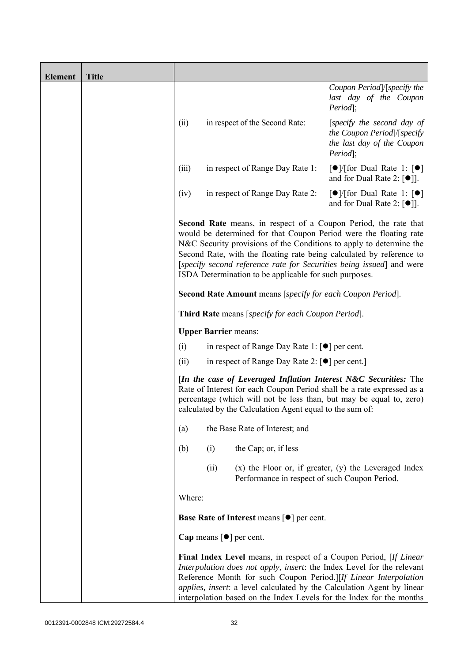| <b>Element</b> | <b>Title</b> |        |                             |                                                                     |                                                                                                                                                                                                                                                                                                                                                                    |
|----------------|--------------|--------|-----------------------------|---------------------------------------------------------------------|--------------------------------------------------------------------------------------------------------------------------------------------------------------------------------------------------------------------------------------------------------------------------------------------------------------------------------------------------------------------|
|                |              |        |                             |                                                                     | Coupon Period /[specify the<br>last day of the Coupon<br>Period];                                                                                                                                                                                                                                                                                                  |
|                |              | (ii)   |                             | in respect of the Second Rate:                                      | [specify the second day of<br>the Coupon Period /[specify<br>the last day of the Coupon<br>Period];                                                                                                                                                                                                                                                                |
|                |              | (iii)  |                             | in respect of Range Day Rate 1:                                     | $\lceil \bullet \rceil$ (for Dual Rate 1: $\lceil \bullet \rceil$<br>and for Dual Rate 2: $[\bullet]$ ].                                                                                                                                                                                                                                                           |
|                |              | (iv)   |                             | in respect of Range Day Rate 2:                                     | $\lceil \bullet \rceil$ / [for Dual Rate 1: $\lceil \bullet \rceil$<br>and for Dual Rate 2: $[•]$ ].                                                                                                                                                                                                                                                               |
|                |              |        |                             | ISDA Determination to be applicable for such purposes.              | Second Rate means, in respect of a Coupon Period, the rate that<br>would be determined for that Coupon Period were the floating rate<br>N&C Security provisions of the Conditions to apply to determine the<br>Second Rate, with the floating rate being calculated by reference to<br>[specify second reference rate for Securities being issued] and were        |
|                |              |        |                             | <b>Second Rate Amount</b> means [specify for each Coupon Period].   |                                                                                                                                                                                                                                                                                                                                                                    |
|                |              |        |                             | Third Rate means [specify for each Coupon Period].                  |                                                                                                                                                                                                                                                                                                                                                                    |
|                |              |        | <b>Upper Barrier means:</b> |                                                                     |                                                                                                                                                                                                                                                                                                                                                                    |
|                |              | (i)    |                             | in respect of Range Day Rate 1: $\lceil \bullet \rceil$ per cent.   |                                                                                                                                                                                                                                                                                                                                                                    |
|                |              | (ii)   |                             | in respect of Range Day Rate 2: $\lceil \bullet \rceil$ per cent.]  |                                                                                                                                                                                                                                                                                                                                                                    |
|                |              |        |                             | calculated by the Calculation Agent equal to the sum of:            | [In the case of Leveraged Inflation Interest N&C Securities: The<br>Rate of Interest for each Coupon Period shall be a rate expressed as a<br>percentage (which will not be less than, but may be equal to, zero)                                                                                                                                                  |
|                |              | (a)    |                             | the Base Rate of Interest; and                                      |                                                                                                                                                                                                                                                                                                                                                                    |
|                |              | (b)    | (i)                         | the Cap; or, if less                                                |                                                                                                                                                                                                                                                                                                                                                                    |
|                |              |        | (ii)                        | Performance in respect of such Coupon Period.                       | $(x)$ the Floor or, if greater, $(y)$ the Leveraged Index                                                                                                                                                                                                                                                                                                          |
|                |              | Where: |                             |                                                                     |                                                                                                                                                                                                                                                                                                                                                                    |
|                |              |        |                             | <b>Base Rate of Interest means [<math>\bullet</math>] per cent.</b> |                                                                                                                                                                                                                                                                                                                                                                    |
|                |              |        |                             | Cap means $\lceil \bullet \rceil$ per cent.                         |                                                                                                                                                                                                                                                                                                                                                                    |
|                |              |        |                             |                                                                     | Final Index Level means, in respect of a Coupon Period, [If Linear<br>Interpolation does not apply, insert: the Index Level for the relevant<br>Reference Month for such Coupon Period.][If Linear Interpolation<br>applies, insert: a level calculated by the Calculation Agent by linear<br>interpolation based on the Index Levels for the Index for the months |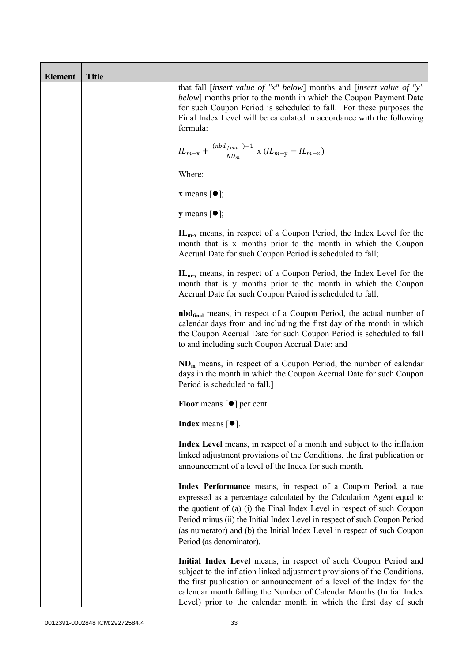| <b>Element</b> | <b>Title</b> |                                                                                                                                                                                                                                                                                                                                                                                                           |
|----------------|--------------|-----------------------------------------------------------------------------------------------------------------------------------------------------------------------------------------------------------------------------------------------------------------------------------------------------------------------------------------------------------------------------------------------------------|
|                |              | that fall [insert value of "x" below] months and [insert value of "y"<br><i>below</i> ] months prior to the month in which the Coupon Payment Date<br>for such Coupon Period is scheduled to fall. For these purposes the<br>Final Index Level will be calculated in accordance with the following<br>formula:                                                                                            |
|                |              | $IL_{m-x} + \frac{(nbd_{final})-1}{ND_m}$ x $(IL_{m-y} - IL_{m-x})$                                                                                                                                                                                                                                                                                                                                       |
|                |              | Where:                                                                                                                                                                                                                                                                                                                                                                                                    |
|                |              | <b>x</b> means $\lceil \bullet \rceil$ ;                                                                                                                                                                                                                                                                                                                                                                  |
|                |              | <b>y</b> means $\lceil \bullet \rceil$ ;                                                                                                                                                                                                                                                                                                                                                                  |
|                |              | $IL_{m-x}$ means, in respect of a Coupon Period, the Index Level for the<br>month that is x months prior to the month in which the Coupon<br>Accrual Date for such Coupon Period is scheduled to fall;                                                                                                                                                                                                    |
|                |              | IL <sub>m-v</sub> means, in respect of a Coupon Period, the Index Level for the<br>month that is y months prior to the month in which the Coupon<br>Accrual Date for such Coupon Period is scheduled to fall;                                                                                                                                                                                             |
|                |              | <b>nbd</b> <sub>final</sub> means, in respect of a Coupon Period, the actual number of<br>calendar days from and including the first day of the month in which<br>the Coupon Accrual Date for such Coupon Period is scheduled to fall<br>to and including such Coupon Accrual Date; and                                                                                                                   |
|                |              | $NDm$ means, in respect of a Coupon Period, the number of calendar<br>days in the month in which the Coupon Accrual Date for such Coupon<br>Period is scheduled to fall.]                                                                                                                                                                                                                                 |
|                |              | Floor means $[\bullet]$ per cent.                                                                                                                                                                                                                                                                                                                                                                         |
|                |              | <b>Index</b> means $\lceil \bullet \rceil$ .                                                                                                                                                                                                                                                                                                                                                              |
|                |              | Index Level means, in respect of a month and subject to the inflation<br>linked adjustment provisions of the Conditions, the first publication or<br>announcement of a level of the Index for such month.                                                                                                                                                                                                 |
|                |              | Index Performance means, in respect of a Coupon Period, a rate<br>expressed as a percentage calculated by the Calculation Agent equal to<br>the quotient of (a) (i) the Final Index Level in respect of such Coupon<br>Period minus (ii) the Initial Index Level in respect of such Coupon Period<br>(as numerator) and (b) the Initial Index Level in respect of such Coupon<br>Period (as denominator). |
|                |              | Initial Index Level means, in respect of such Coupon Period and<br>subject to the inflation linked adjustment provisions of the Conditions,<br>the first publication or announcement of a level of the Index for the<br>calendar month falling the Number of Calendar Months (Initial Index<br>Level) prior to the calendar month in which the first day of such                                          |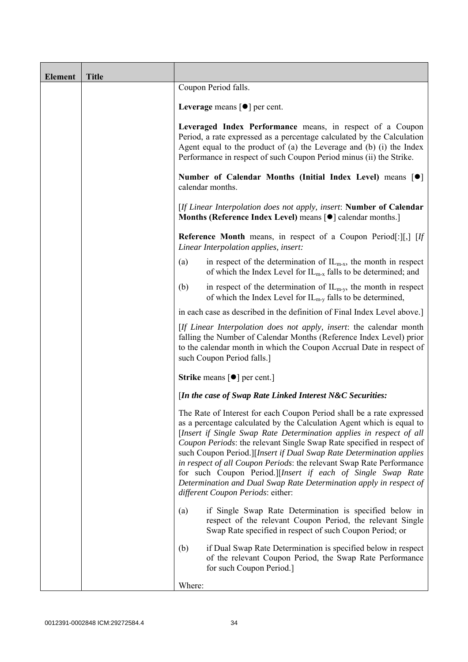| <b>Element</b> | <b>Title</b> |                                                                                                                                                                                                                                                                                                                                                                                                                                                                                                                                                                                                                         |
|----------------|--------------|-------------------------------------------------------------------------------------------------------------------------------------------------------------------------------------------------------------------------------------------------------------------------------------------------------------------------------------------------------------------------------------------------------------------------------------------------------------------------------------------------------------------------------------------------------------------------------------------------------------------------|
|                |              | Coupon Period falls.                                                                                                                                                                                                                                                                                                                                                                                                                                                                                                                                                                                                    |
|                |              | Leverage means $\lceil \bullet \rceil$ per cent.                                                                                                                                                                                                                                                                                                                                                                                                                                                                                                                                                                        |
|                |              | Leveraged Index Performance means, in respect of a Coupon<br>Period, a rate expressed as a percentage calculated by the Calculation<br>Agent equal to the product of (a) the Leverage and (b) (i) the Index<br>Performance in respect of such Coupon Period minus (ii) the Strike.                                                                                                                                                                                                                                                                                                                                      |
|                |              | Number of Calendar Months (Initial Index Level) means [ $\bullet$ ]<br>calendar months.                                                                                                                                                                                                                                                                                                                                                                                                                                                                                                                                 |
|                |              | [If Linear Interpolation does not apply, insert: Number of Calendar<br>Months (Reference Index Level) means [ $\bullet$ ] calendar months.]                                                                                                                                                                                                                                                                                                                                                                                                                                                                             |
|                |              | <b>Reference Month</b> means, in respect of a Coupon Period[:][,] [If<br>Linear Interpolation applies, insert:                                                                                                                                                                                                                                                                                                                                                                                                                                                                                                          |
|                |              | in respect of the determination of $IL_{m-x}$ , the month in respect<br>(a)<br>of which the Index Level for $IL_{m-x}$ falls to be determined; and                                                                                                                                                                                                                                                                                                                                                                                                                                                                      |
|                |              | in respect of the determination of $IL_{m-v}$ , the month in respect<br>(b)<br>of which the Index Level for $IL_{m-y}$ falls to be determined,                                                                                                                                                                                                                                                                                                                                                                                                                                                                          |
|                |              | in each case as described in the definition of Final Index Level above.]                                                                                                                                                                                                                                                                                                                                                                                                                                                                                                                                                |
|                |              | [If Linear Interpolation does not apply, insert: the calendar month<br>falling the Number of Calendar Months (Reference Index Level) prior<br>to the calendar month in which the Coupon Accrual Date in respect of<br>such Coupon Period falls.]                                                                                                                                                                                                                                                                                                                                                                        |
|                |              | <b>Strike</b> means $\lceil \bullet \rceil$ per cent.]                                                                                                                                                                                                                                                                                                                                                                                                                                                                                                                                                                  |
|                |              | [In the case of Swap Rate Linked Interest N&C Securities:                                                                                                                                                                                                                                                                                                                                                                                                                                                                                                                                                               |
|                |              | The Rate of Interest for each Coupon Period shall be a rate expressed<br>as a percentage calculated by the Calculation Agent which is equal to<br>[Insert if Single Swap Rate Determination applies in respect of all<br>Coupon Periods: the relevant Single Swap Rate specified in respect of<br>such Coupon Period.][Insert if Dual Swap Rate Determination applies<br>in respect of all Coupon Periods: the relevant Swap Rate Performance<br>for such Coupon Period.][Insert if each of Single Swap Rate<br>Determination and Dual Swap Rate Determination apply in respect of<br>different Coupon Periods: either: |
|                |              | if Single Swap Rate Determination is specified below in<br>(a)<br>respect of the relevant Coupon Period, the relevant Single<br>Swap Rate specified in respect of such Coupon Period; or                                                                                                                                                                                                                                                                                                                                                                                                                                |
|                |              | if Dual Swap Rate Determination is specified below in respect<br>(b)<br>of the relevant Coupon Period, the Swap Rate Performance<br>for such Coupon Period.]                                                                                                                                                                                                                                                                                                                                                                                                                                                            |
|                |              | Where:                                                                                                                                                                                                                                                                                                                                                                                                                                                                                                                                                                                                                  |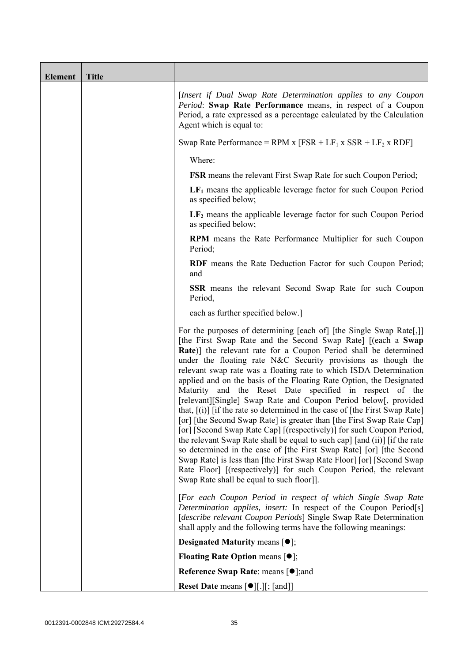| <b>Element</b> | <b>Title</b> |                                                                                                                                                                                                                                                                                                                                                                                                                                                                                                                                                                                                                                                                                                                                                                                                                                                                                                                                                                                                                                                                                                                                       |
|----------------|--------------|---------------------------------------------------------------------------------------------------------------------------------------------------------------------------------------------------------------------------------------------------------------------------------------------------------------------------------------------------------------------------------------------------------------------------------------------------------------------------------------------------------------------------------------------------------------------------------------------------------------------------------------------------------------------------------------------------------------------------------------------------------------------------------------------------------------------------------------------------------------------------------------------------------------------------------------------------------------------------------------------------------------------------------------------------------------------------------------------------------------------------------------|
|                |              | [Insert if Dual Swap Rate Determination applies to any Coupon<br>Period: Swap Rate Performance means, in respect of a Coupon<br>Period, a rate expressed as a percentage calculated by the Calculation<br>Agent which is equal to:                                                                                                                                                                                                                                                                                                                                                                                                                                                                                                                                                                                                                                                                                                                                                                                                                                                                                                    |
|                |              | Swap Rate Performance = RPM x $[FSR + LF_1 x SSR + LF_2 x RDF]$                                                                                                                                                                                                                                                                                                                                                                                                                                                                                                                                                                                                                                                                                                                                                                                                                                                                                                                                                                                                                                                                       |
|                |              | Where:                                                                                                                                                                                                                                                                                                                                                                                                                                                                                                                                                                                                                                                                                                                                                                                                                                                                                                                                                                                                                                                                                                                                |
|                |              | <b>FSR</b> means the relevant First Swap Rate for such Coupon Period;                                                                                                                                                                                                                                                                                                                                                                                                                                                                                                                                                                                                                                                                                                                                                                                                                                                                                                                                                                                                                                                                 |
|                |              | $LF1$ means the applicable leverage factor for such Coupon Period<br>as specified below;                                                                                                                                                                                                                                                                                                                                                                                                                                                                                                                                                                                                                                                                                                                                                                                                                                                                                                                                                                                                                                              |
|                |              | $LF2$ means the applicable leverage factor for such Coupon Period<br>as specified below;                                                                                                                                                                                                                                                                                                                                                                                                                                                                                                                                                                                                                                                                                                                                                                                                                                                                                                                                                                                                                                              |
|                |              | <b>RPM</b> means the Rate Performance Multiplier for such Coupon<br>Period;                                                                                                                                                                                                                                                                                                                                                                                                                                                                                                                                                                                                                                                                                                                                                                                                                                                                                                                                                                                                                                                           |
|                |              | RDF means the Rate Deduction Factor for such Coupon Period;<br>and                                                                                                                                                                                                                                                                                                                                                                                                                                                                                                                                                                                                                                                                                                                                                                                                                                                                                                                                                                                                                                                                    |
|                |              | <b>SSR</b> means the relevant Second Swap Rate for such Coupon<br>Period,                                                                                                                                                                                                                                                                                                                                                                                                                                                                                                                                                                                                                                                                                                                                                                                                                                                                                                                                                                                                                                                             |
|                |              | each as further specified below.]                                                                                                                                                                                                                                                                                                                                                                                                                                                                                                                                                                                                                                                                                                                                                                                                                                                                                                                                                                                                                                                                                                     |
|                |              | For the purposes of determining [each of] [the Single Swap Rate[,]]<br>[the First Swap Rate and the Second Swap Rate] [(each a Swap<br>Rate)] the relevant rate for a Coupon Period shall be determined<br>under the floating rate N&C Security provisions as though the<br>relevant swap rate was a floating rate to which ISDA Determination<br>applied and on the basis of the Floating Rate Option, the Designated<br>Maturity and the Reset Date specified in respect of the<br>[relevant][Single] Swap Rate and Coupon Period below[, provided<br>that, $[(i)]$ if the rate so determined in the case of [the First Swap Rate]<br>[or] [the Second Swap Rate] is greater than [the First Swap Rate Cap]<br>[or] [Second Swap Rate Cap] [(respectively)] for such Coupon Period,<br>the relevant Swap Rate shall be equal to such cap] [and (ii)] [if the rate<br>so determined in the case of [the First Swap Rate] [or] [the Second<br>Swap Rate] is less than [the First Swap Rate Floor] [or] [Second Swap<br>Rate Floor] [(respectively)] for such Coupon Period, the relevant<br>Swap Rate shall be equal to such floor]]. |
|                |              | [For each Coupon Period in respect of which Single Swap Rate<br>Determination applies, insert: In respect of the Coupon Period[s]<br>[describe relevant Coupon Periods] Single Swap Rate Determination<br>shall apply and the following terms have the following meanings:                                                                                                                                                                                                                                                                                                                                                                                                                                                                                                                                                                                                                                                                                                                                                                                                                                                            |
|                |              | <b>Designated Maturity means <math>[•]</math>;</b>                                                                                                                                                                                                                                                                                                                                                                                                                                                                                                                                                                                                                                                                                                                                                                                                                                                                                                                                                                                                                                                                                    |
|                |              | <b>Floating Rate Option means <math>[•]</math>;</b>                                                                                                                                                                                                                                                                                                                                                                                                                                                                                                                                                                                                                                                                                                                                                                                                                                                                                                                                                                                                                                                                                   |
|                |              | <b>Reference Swap Rate: means [●];and</b>                                                                                                                                                                                                                                                                                                                                                                                                                                                                                                                                                                                                                                                                                                                                                                                                                                                                                                                                                                                                                                                                                             |
|                |              | <b>Reset Date means [●][.][; [and]]</b>                                                                                                                                                                                                                                                                                                                                                                                                                                                                                                                                                                                                                                                                                                                                                                                                                                                                                                                                                                                                                                                                                               |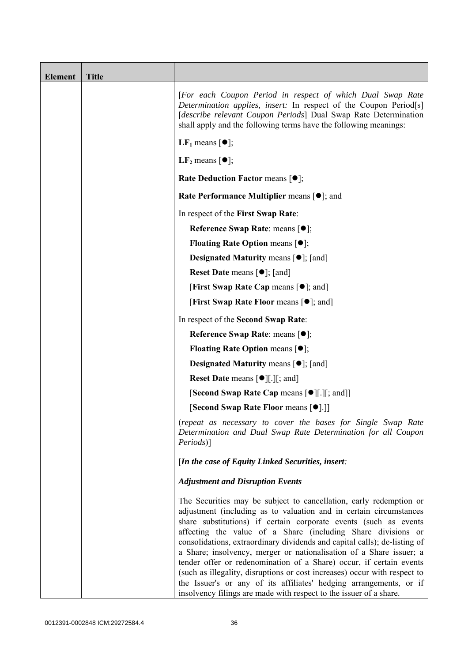| <b>Element</b> | <b>Title</b> |                                                                                                                                                                                                                                                                                                                                                                                                                                                                                                                                                                                                                                                                                                                                  |
|----------------|--------------|----------------------------------------------------------------------------------------------------------------------------------------------------------------------------------------------------------------------------------------------------------------------------------------------------------------------------------------------------------------------------------------------------------------------------------------------------------------------------------------------------------------------------------------------------------------------------------------------------------------------------------------------------------------------------------------------------------------------------------|
|                |              | [For each Coupon Period in respect of which Dual Swap Rate<br>Determination applies, insert: In respect of the Coupon Period[s]<br>[describe relevant Coupon Periods] Dual Swap Rate Determination<br>shall apply and the following terms have the following meanings:                                                                                                                                                                                                                                                                                                                                                                                                                                                           |
|                |              | <b>LF</b> <sub>1</sub> means $\lceil \bullet \rceil$ ;                                                                                                                                                                                                                                                                                                                                                                                                                                                                                                                                                                                                                                                                           |
|                |              | LF <sub>2</sub> means $\lceil \bullet \rceil$ ;                                                                                                                                                                                                                                                                                                                                                                                                                                                                                                                                                                                                                                                                                  |
|                |              | <b>Rate Deduction Factor means <math>[•]</math>;</b>                                                                                                                                                                                                                                                                                                                                                                                                                                                                                                                                                                                                                                                                             |
|                |              | Rate Performance Multiplier means [ $\bullet$ ]; and                                                                                                                                                                                                                                                                                                                                                                                                                                                                                                                                                                                                                                                                             |
|                |              | In respect of the First Swap Rate:                                                                                                                                                                                                                                                                                                                                                                                                                                                                                                                                                                                                                                                                                               |
|                |              | Reference Swap Rate: means [ $\bullet$ ];                                                                                                                                                                                                                                                                                                                                                                                                                                                                                                                                                                                                                                                                                        |
|                |              | <b>Floating Rate Option means <math>[•]</math>;</b>                                                                                                                                                                                                                                                                                                                                                                                                                                                                                                                                                                                                                                                                              |
|                |              | <b>Designated Maturity means <math>\lceil \bullet \rceil</math>; [and]</b>                                                                                                                                                                                                                                                                                                                                                                                                                                                                                                                                                                                                                                                       |
|                |              | <b>Reset Date means <math>[\bullet]</math>; [and]</b>                                                                                                                                                                                                                                                                                                                                                                                                                                                                                                                                                                                                                                                                            |
|                |              | <b>[First Swap Rate Cap means [<math>\bullet</math>]; and ]</b>                                                                                                                                                                                                                                                                                                                                                                                                                                                                                                                                                                                                                                                                  |
|                |              | <b>[First Swap Rate Floor means [<math>\bullet</math>]; and]</b>                                                                                                                                                                                                                                                                                                                                                                                                                                                                                                                                                                                                                                                                 |
|                |              | In respect of the Second Swap Rate:                                                                                                                                                                                                                                                                                                                                                                                                                                                                                                                                                                                                                                                                                              |
|                |              | Reference Swap Rate: means [ $\bullet$ ];                                                                                                                                                                                                                                                                                                                                                                                                                                                                                                                                                                                                                                                                                        |
|                |              | <b>Floating Rate Option means <math>[•]</math>;</b>                                                                                                                                                                                                                                                                                                                                                                                                                                                                                                                                                                                                                                                                              |
|                |              | <b>Designated Maturity means <math>\lceil \bullet \rceil</math>; [and]</b>                                                                                                                                                                                                                                                                                                                                                                                                                                                                                                                                                                                                                                                       |
|                |              | <b>Reset Date means <math>\lceil \bullet \rceil</math>.</b> $\lceil \cdot \rceil$ ; and $\lceil \cdot \rceil$                                                                                                                                                                                                                                                                                                                                                                                                                                                                                                                                                                                                                    |
|                |              | [Second Swap Rate Cap means [ $\bullet$ ][.][; and]]                                                                                                                                                                                                                                                                                                                                                                                                                                                                                                                                                                                                                                                                             |
|                |              | [Second Swap Rate Floor means [ $\bullet$ ].]]                                                                                                                                                                                                                                                                                                                                                                                                                                                                                                                                                                                                                                                                                   |
|                |              | (repeat as necessary to cover the bases for Single Swap Rate<br>Determination and Dual Swap Rate Determination for all Coupon<br><i>Periods</i> )]                                                                                                                                                                                                                                                                                                                                                                                                                                                                                                                                                                               |
|                |              | [In the case of Equity Linked Securities, insert:                                                                                                                                                                                                                                                                                                                                                                                                                                                                                                                                                                                                                                                                                |
|                |              | <b>Adjustment and Disruption Events</b>                                                                                                                                                                                                                                                                                                                                                                                                                                                                                                                                                                                                                                                                                          |
|                |              | The Securities may be subject to cancellation, early redemption or<br>adjustment (including as to valuation and in certain circumstances<br>share substitutions) if certain corporate events (such as events<br>affecting the value of a Share (including Share divisions or<br>consolidations, extraordinary dividends and capital calls); de-listing of<br>a Share; insolvency, merger or nationalisation of a Share issuer; a<br>tender offer or redenomination of a Share) occur, if certain events<br>(such as illegality, disruptions or cost increases) occur with respect to<br>the Issuer's or any of its affiliates' hedging arrangements, or if<br>insolvency filings are made with respect to the issuer of a share. |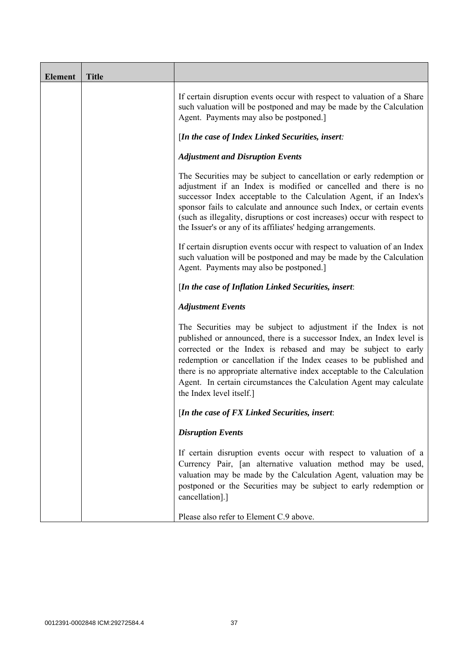| <b>Element</b> | <b>Title</b> |                                                                                                                                                                                                                                                                                                                                                                                                                                                               |
|----------------|--------------|---------------------------------------------------------------------------------------------------------------------------------------------------------------------------------------------------------------------------------------------------------------------------------------------------------------------------------------------------------------------------------------------------------------------------------------------------------------|
|                |              | If certain disruption events occur with respect to valuation of a Share<br>such valuation will be postponed and may be made by the Calculation<br>Agent. Payments may also be postponed.]                                                                                                                                                                                                                                                                     |
|                |              | [In the case of Index Linked Securities, insert:                                                                                                                                                                                                                                                                                                                                                                                                              |
|                |              | <b>Adjustment and Disruption Events</b>                                                                                                                                                                                                                                                                                                                                                                                                                       |
|                |              | The Securities may be subject to cancellation or early redemption or<br>adjustment if an Index is modified or cancelled and there is no<br>successor Index acceptable to the Calculation Agent, if an Index's<br>sponsor fails to calculate and announce such Index, or certain events<br>(such as illegality, disruptions or cost increases) occur with respect to<br>the Issuer's or any of its affiliates' hedging arrangements.                           |
|                |              | If certain disruption events occur with respect to valuation of an Index<br>such valuation will be postponed and may be made by the Calculation<br>Agent. Payments may also be postponed.]                                                                                                                                                                                                                                                                    |
|                |              | [In the case of Inflation Linked Securities, insert:                                                                                                                                                                                                                                                                                                                                                                                                          |
|                |              | <b>Adjustment Events</b>                                                                                                                                                                                                                                                                                                                                                                                                                                      |
|                |              | The Securities may be subject to adjustment if the Index is not<br>published or announced, there is a successor Index, an Index level is<br>corrected or the Index is rebased and may be subject to early<br>redemption or cancellation if the Index ceases to be published and<br>there is no appropriate alternative index acceptable to the Calculation<br>Agent. In certain circumstances the Calculation Agent may calculate<br>the Index level itself.] |
|                |              | [In the case of FX Linked Securities, insert:                                                                                                                                                                                                                                                                                                                                                                                                                 |
|                |              | <b>Disruption Events</b>                                                                                                                                                                                                                                                                                                                                                                                                                                      |
|                |              | If certain disruption events occur with respect to valuation of a<br>Currency Pair, [an alternative valuation method may be used,<br>valuation may be made by the Calculation Agent, valuation may be<br>postponed or the Securities may be subject to early redemption or<br>cancellation].]                                                                                                                                                                 |
|                |              | Please also refer to Element C.9 above.                                                                                                                                                                                                                                                                                                                                                                                                                       |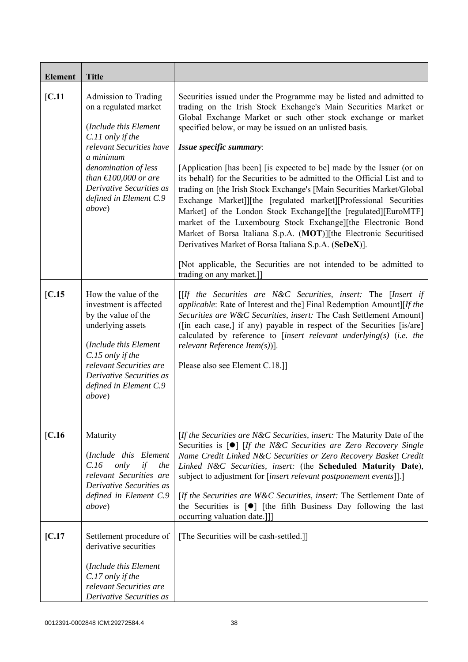| <b>Element</b> | <b>Title</b>                                                                                                                                                                                                                                                             |                                                                                                                                                                                                                                                                                                                                                                                                                                                                                                                                                                                                                                                                                                                                                                                                                                                                                                                                                                     |
|----------------|--------------------------------------------------------------------------------------------------------------------------------------------------------------------------------------------------------------------------------------------------------------------------|---------------------------------------------------------------------------------------------------------------------------------------------------------------------------------------------------------------------------------------------------------------------------------------------------------------------------------------------------------------------------------------------------------------------------------------------------------------------------------------------------------------------------------------------------------------------------------------------------------------------------------------------------------------------------------------------------------------------------------------------------------------------------------------------------------------------------------------------------------------------------------------------------------------------------------------------------------------------|
| [C.11]         | Admission to Trading<br>on a regulated market<br>(Include this Element<br>C.11 only if the<br>relevant Securities have<br>a minimum<br>denomination of less<br>than $\text{\textsterling}100,000$ or are<br>Derivative Securities as<br>defined in Element C.9<br>above) | Securities issued under the Programme may be listed and admitted to<br>trading on the Irish Stock Exchange's Main Securities Market or<br>Global Exchange Market or such other stock exchange or market<br>specified below, or may be issued on an unlisted basis.<br>Issue specific summary:<br>[Application [has been] [is expected to be] made by the Issuer (or on<br>its behalf) for the Securities to be admitted to the Official List and to<br>trading on [the Irish Stock Exchange's [Main Securities Market/Global]<br>Exchange Market]][the [regulated market][Professional Securities<br>Market] of the London Stock Exchange][the [regulated][EuroMTF]<br>market of the Luxembourg Stock Exchange][the Electronic Bond<br>Market of Borsa Italiana S.p.A. (MOT)][the Electronic Securitised<br>Derivatives Market of Borsa Italiana S.p.A. (SeDeX)].<br>[Not applicable, the Securities are not intended to be admitted to<br>trading on any market.]] |
| [C.15]         | How the value of the<br>investment is affected<br>by the value of the<br>underlying assets<br>(Include this Element<br>C.15 only if the<br>relevant Securities are<br>Derivative Securities as<br>defined in Element C.9<br>above)                                       | $[If the Securities are N&C Securities, insert: The [Insert if]$<br><i>applicable:</i> Rate of Interest and the] Final Redemption Amount][If the<br>Securities are W&C Securities, insert: The Cash Settlement Amount]<br>([in each case,] if any) payable in respect of the Securities [is/are]<br>calculated by reference to [insert relevant underlying(s) (i.e. the<br>relevant Reference Item $(s)$ ].<br>Please also see Element C.18.]                                                                                                                                                                                                                                                                                                                                                                                                                                                                                                                       |
| [C.16]         | Maturity<br>(Include this Element<br>only<br>if<br>C.16<br>the<br>relevant Securities are<br>Derivative Securities as<br>defined in Element C.9<br><i>above</i> )                                                                                                        | [If the Securities are N&C Securities, insert: The Maturity Date of the<br>Securities is [ <sup>o</sup> ] [If the N&C Securities are Zero Recovery Single<br>Name Credit Linked N&C Securities or Zero Recovery Basket Credit<br>Linked N&C Securities, insert: (the Scheduled Maturity Date),<br>subject to adjustment for [insert relevant postponement events]].]<br>[If the Securities are W&C Securities, insert: The Settlement Date of<br>the Securities is $\lceil \bullet \rceil$ [the fifth Business Day following the last<br>occurring valuation date.]]]                                                                                                                                                                                                                                                                                                                                                                                               |
| [C.17]         | Settlement procedure of<br>derivative securities<br>(Include this Element<br>C.17 only if the<br>relevant Securities are<br>Derivative Securities as                                                                                                                     | [The Securities will be cash-settled.]]                                                                                                                                                                                                                                                                                                                                                                                                                                                                                                                                                                                                                                                                                                                                                                                                                                                                                                                             |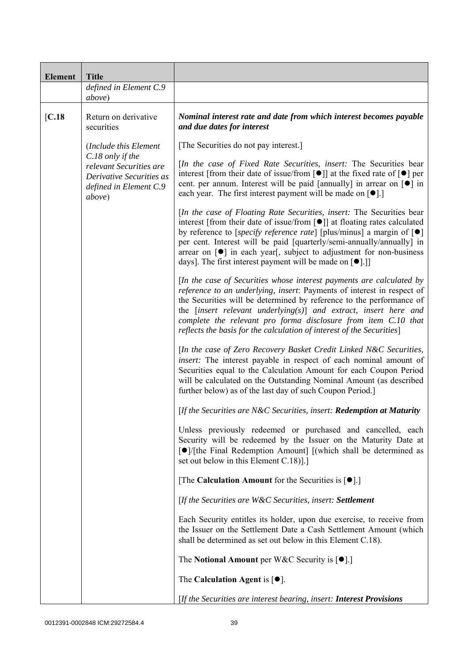| <b>Element</b> | <b>Title</b>                                                                                                |                                                                                                                                                                                                                                                                                                                                                                                                                                                                                           |
|----------------|-------------------------------------------------------------------------------------------------------------|-------------------------------------------------------------------------------------------------------------------------------------------------------------------------------------------------------------------------------------------------------------------------------------------------------------------------------------------------------------------------------------------------------------------------------------------------------------------------------------------|
|                | defined in Element C.9<br>above)                                                                            |                                                                                                                                                                                                                                                                                                                                                                                                                                                                                           |
| [C.18]         | Return on derivative<br>securities                                                                          | Nominal interest rate and date from which interest becomes payable<br>and due dates for interest                                                                                                                                                                                                                                                                                                                                                                                          |
|                | (Include this Element                                                                                       | [The Securities do not pay interest.]                                                                                                                                                                                                                                                                                                                                                                                                                                                     |
|                | C.18 only if the<br>relevant Securities are<br>Derivative Securities as<br>defined in Element C.9<br>above) | [In the case of Fixed Rate Securities, insert: The Securities bear<br>interest [from their date of issue/from [ $\bullet$ ]] at the fixed rate of $\lceil \bullet \rceil$ per<br>cent. per annum. Interest will be paid [annually] in arrear on [ $\bullet$ ] in<br>each year. The first interest payment will be made on $[•]$ .]                                                                                                                                                        |
|                |                                                                                                             | [In the case of Floating Rate Securities, insert: The Securities bear<br>interest [from their date of issue/from [ $\bullet$ ]] at floating rates calculated<br>by reference to [specify reference rate] [plus/minus] a margin of $[\bullet]$<br>per cent. Interest will be paid [quarterly/semi-annually/annually] in<br>arrear on $\lceil \bullet \rceil$ in each year, subject to adjustment for non-business<br>days]. The first interest payment will be made on [ <sup>•</sup> ].]] |
|                |                                                                                                             | [In the case of Securities whose interest payments are calculated by<br>reference to an underlying, insert: Payments of interest in respect of<br>the Securities will be determined by reference to the performance of<br>the $[insert$ relevant underlying $(s)$ ] and extract, insert here and<br>complete the relevant pro forma disclosure from item C.10 that<br>reflects the basis for the calculation of interest of the Securities]                                               |
|                |                                                                                                             | [In the case of Zero Recovery Basket Credit Linked N&C Securities,<br>insert: The interest payable in respect of each nominal amount of<br>Securities equal to the Calculation Amount for each Coupon Period<br>will be calculated on the Outstanding Nominal Amount (as described<br>further below) as of the last day of such Coupon Period.                                                                                                                                            |
|                |                                                                                                             | [If the Securities are N&C Securities, insert: Redemption at Maturity                                                                                                                                                                                                                                                                                                                                                                                                                     |
|                |                                                                                                             | Unless previously redeemed or purchased and cancelled, each<br>Security will be redeemed by the Issuer on the Maturity Date at<br>[●]/[the Final Redemption Amount] [(which shall be determined as<br>set out below in this Element C.18).]                                                                                                                                                                                                                                               |
|                |                                                                                                             | [The Calculation Amount for the Securities is $[•]$ .]                                                                                                                                                                                                                                                                                                                                                                                                                                    |
|                |                                                                                                             | [If the Securities are W&C Securities, insert: Settlement                                                                                                                                                                                                                                                                                                                                                                                                                                 |
|                |                                                                                                             | Each Security entitles its holder, upon due exercise, to receive from<br>the Issuer on the Settlement Date a Cash Settlement Amount (which<br>shall be determined as set out below in this Element C.18).                                                                                                                                                                                                                                                                                 |
|                |                                                                                                             | The Notional Amount per W&C Security is $[•]$ .                                                                                                                                                                                                                                                                                                                                                                                                                                           |
|                |                                                                                                             | The Calculation Agent is $[•]$ .                                                                                                                                                                                                                                                                                                                                                                                                                                                          |
|                |                                                                                                             | [If the Securities are interest bearing, insert: <b>Interest Provisions</b>                                                                                                                                                                                                                                                                                                                                                                                                               |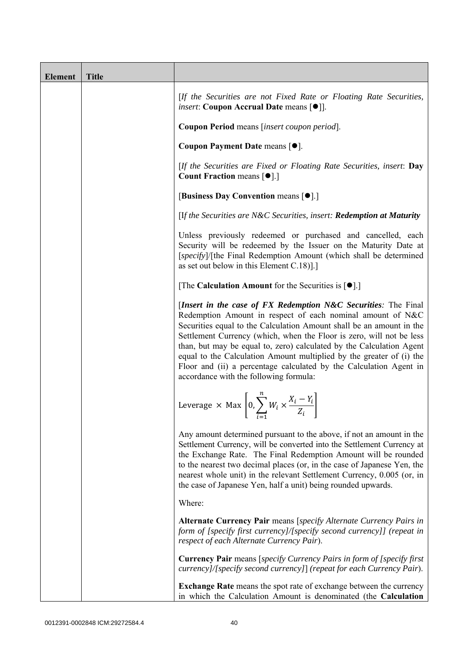| <b>Element</b> | <b>Title</b> |                                                                                                                                                                                                                                                                                                                                                                                                                                                                                                                                              |
|----------------|--------------|----------------------------------------------------------------------------------------------------------------------------------------------------------------------------------------------------------------------------------------------------------------------------------------------------------------------------------------------------------------------------------------------------------------------------------------------------------------------------------------------------------------------------------------------|
|                |              | [If the Securities are not Fixed Rate or Floating Rate Securities,<br><i>insert</i> : Coupon Accrual Date means [ $\bullet$ ].                                                                                                                                                                                                                                                                                                                                                                                                               |
|                |              | Coupon Period means [insert coupon period].                                                                                                                                                                                                                                                                                                                                                                                                                                                                                                  |
|                |              | Coupon Payment Date means [ $\bullet$ ].                                                                                                                                                                                                                                                                                                                                                                                                                                                                                                     |
|                |              | [If the Securities are Fixed or Floating Rate Securities, insert: Day<br><b>Count Fraction means [<math>\bullet</math>].</b> ]                                                                                                                                                                                                                                                                                                                                                                                                               |
|                |              | [Business Day Convention means [ $\bullet$ ].]                                                                                                                                                                                                                                                                                                                                                                                                                                                                                               |
|                |              | [If the Securities are N&C Securities, insert: Redemption at Maturity                                                                                                                                                                                                                                                                                                                                                                                                                                                                        |
|                |              | Unless previously redeemed or purchased and cancelled, each<br>Security will be redeemed by the Issuer on the Maturity Date at<br>[specify]/[the Final Redemption Amount (which shall be determined<br>as set out below in this Element C.18).]                                                                                                                                                                                                                                                                                              |
|                |              | [The Calculation Amount for the Securities is $[•]$ .]                                                                                                                                                                                                                                                                                                                                                                                                                                                                                       |
|                |              | [Insert in the case of FX Redemption N&C Securities: The Final<br>Redemption Amount in respect of each nominal amount of N&C<br>Securities equal to the Calculation Amount shall be an amount in the<br>Settlement Currency (which, when the Floor is zero, will not be less<br>than, but may be equal to, zero) calculated by the Calculation Agent<br>equal to the Calculation Amount multiplied by the greater of (i) the<br>Floor and (ii) a percentage calculated by the Calculation Agent in<br>accordance with the following formula: |
|                |              | Leverage $\times$ Max $\left[0, \sum_{i=1}^{n} W_i \times \frac{X_i - Y_i}{Z_i}\right]$                                                                                                                                                                                                                                                                                                                                                                                                                                                      |
|                |              | Any amount determined pursuant to the above, if not an amount in the<br>Settlement Currency, will be converted into the Settlement Currency at<br>the Exchange Rate. The Final Redemption Amount will be rounded<br>to the nearest two decimal places (or, in the case of Japanese Yen, the<br>nearest whole unit) in the relevant Settlement Currency, 0.005 (or, in<br>the case of Japanese Yen, half a unit) being rounded upwards.                                                                                                       |
|                |              | Where:                                                                                                                                                                                                                                                                                                                                                                                                                                                                                                                                       |
|                |              | Alternate Currency Pair means [specify Alternate Currency Pairs in<br>form of [specify first currency]/[specify second currency]] (repeat in<br>respect of each Alternate Currency Pair).                                                                                                                                                                                                                                                                                                                                                    |
|                |              | <b>Currency Pair</b> means [specify Currency Pairs in form of [specify first]<br>currency]/[specify second currency]] (repeat for each Currency Pair).                                                                                                                                                                                                                                                                                                                                                                                       |
|                |              | <b>Exchange Rate</b> means the spot rate of exchange between the currency<br>in which the Calculation Amount is denominated (the Calculation                                                                                                                                                                                                                                                                                                                                                                                                 |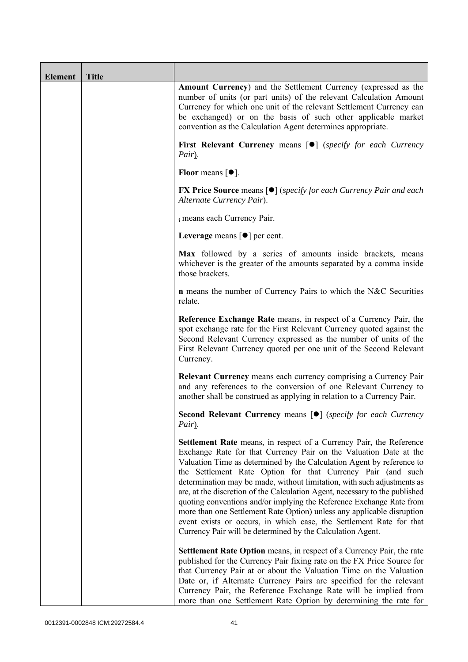| <b>Element</b> | <b>Title</b> |                                                                                                                                                                                                                                                                                                                                                                                                                                                                                                                                                                                                                                                                                                                                          |
|----------------|--------------|------------------------------------------------------------------------------------------------------------------------------------------------------------------------------------------------------------------------------------------------------------------------------------------------------------------------------------------------------------------------------------------------------------------------------------------------------------------------------------------------------------------------------------------------------------------------------------------------------------------------------------------------------------------------------------------------------------------------------------------|
|                |              | <b>Amount Currency</b> ) and the Settlement Currency (expressed as the<br>number of units (or part units) of the relevant Calculation Amount<br>Currency for which one unit of the relevant Settlement Currency can<br>be exchanged) or on the basis of such other applicable market<br>convention as the Calculation Agent determines appropriate.                                                                                                                                                                                                                                                                                                                                                                                      |
|                |              | First Relevant Currency means [ $\bullet$ ] (specify for each Currency<br>Pair).                                                                                                                                                                                                                                                                                                                                                                                                                                                                                                                                                                                                                                                         |
|                |              | Floor means $[①]$ .                                                                                                                                                                                                                                                                                                                                                                                                                                                                                                                                                                                                                                                                                                                      |
|                |              | <b>FX Price Source</b> means $[\bullet]$ ( <i>specify for each Currency Pair and each</i><br>Alternate Currency Pair).                                                                                                                                                                                                                                                                                                                                                                                                                                                                                                                                                                                                                   |
|                |              | i means each Currency Pair.                                                                                                                                                                                                                                                                                                                                                                                                                                                                                                                                                                                                                                                                                                              |
|                |              | Leverage means $\lceil \bullet \rceil$ per cent.                                                                                                                                                                                                                                                                                                                                                                                                                                                                                                                                                                                                                                                                                         |
|                |              | Max followed by a series of amounts inside brackets, means<br>whichever is the greater of the amounts separated by a comma inside<br>those brackets.                                                                                                                                                                                                                                                                                                                                                                                                                                                                                                                                                                                     |
|                |              | <b>n</b> means the number of Currency Pairs to which the N&C Securities<br>relate.                                                                                                                                                                                                                                                                                                                                                                                                                                                                                                                                                                                                                                                       |
|                |              | Reference Exchange Rate means, in respect of a Currency Pair, the<br>spot exchange rate for the First Relevant Currency quoted against the<br>Second Relevant Currency expressed as the number of units of the<br>First Relevant Currency quoted per one unit of the Second Relevant<br>Currency.                                                                                                                                                                                                                                                                                                                                                                                                                                        |
|                |              | Relevant Currency means each currency comprising a Currency Pair<br>and any references to the conversion of one Relevant Currency to<br>another shall be construed as applying in relation to a Currency Pair.                                                                                                                                                                                                                                                                                                                                                                                                                                                                                                                           |
|                |              | Second Relevant Currency means [ $\bullet$ ] (specify for each Currency<br>Pair).                                                                                                                                                                                                                                                                                                                                                                                                                                                                                                                                                                                                                                                        |
|                |              | <b>Settlement Rate</b> means, in respect of a Currency Pair, the Reference<br>Exchange Rate for that Currency Pair on the Valuation Date at the<br>Valuation Time as determined by the Calculation Agent by reference to<br>the Settlement Rate Option for that Currency Pair (and such<br>determination may be made, without limitation, with such adjustments as<br>are, at the discretion of the Calculation Agent, necessary to the published<br>quoting conventions and/or implying the Reference Exchange Rate from<br>more than one Settlement Rate Option) unless any applicable disruption<br>event exists or occurs, in which case, the Settlement Rate for that<br>Currency Pair will be determined by the Calculation Agent. |
|                |              | Settlement Rate Option means, in respect of a Currency Pair, the rate<br>published for the Currency Pair fixing rate on the FX Price Source for<br>that Currency Pair at or about the Valuation Time on the Valuation<br>Date or, if Alternate Currency Pairs are specified for the relevant<br>Currency Pair, the Reference Exchange Rate will be implied from<br>more than one Settlement Rate Option by determining the rate for                                                                                                                                                                                                                                                                                                      |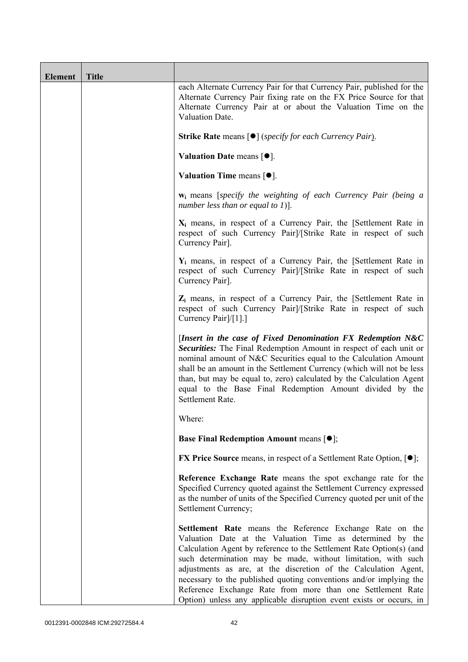| Element | <b>Title</b> |                                                                                                                                                                                                                                                                                                                                                                                                                                                                                                                                              |
|---------|--------------|----------------------------------------------------------------------------------------------------------------------------------------------------------------------------------------------------------------------------------------------------------------------------------------------------------------------------------------------------------------------------------------------------------------------------------------------------------------------------------------------------------------------------------------------|
|         |              | each Alternate Currency Pair for that Currency Pair, published for the<br>Alternate Currency Pair fixing rate on the FX Price Source for that<br>Alternate Currency Pair at or about the Valuation Time on the<br>Valuation Date.                                                                                                                                                                                                                                                                                                            |
|         |              | <b>Strike Rate</b> means $\lceil \bullet \rceil$ ( <i>specify for each Currency Pair</i> ).                                                                                                                                                                                                                                                                                                                                                                                                                                                  |
|         |              | Valuation Date means $[•]$ .                                                                                                                                                                                                                                                                                                                                                                                                                                                                                                                 |
|         |              | Valuation Time means $[•]$ .                                                                                                                                                                                                                                                                                                                                                                                                                                                                                                                 |
|         |              | <b>w</b> <sub>i</sub> means [specify the weighting of each Currency Pair (being a<br>number less than or equal to 1)].                                                                                                                                                                                                                                                                                                                                                                                                                       |
|         |              | $X_i$ means, in respect of a Currency Pair, the [Settlement Rate in<br>respect of such Currency Pair]/[Strike Rate in respect of such<br>Currency Pair].                                                                                                                                                                                                                                                                                                                                                                                     |
|         |              | $Y_i$ means, in respect of a Currency Pair, the [Settlement Rate in<br>respect of such Currency Pair]/[Strike Rate in respect of such<br>Currency Pair].                                                                                                                                                                                                                                                                                                                                                                                     |
|         |              | $Z_i$ means, in respect of a Currency Pair, the [Settlement Rate in<br>respect of such Currency Pairl/[Strike Rate in respect of such<br>Currency Pair]/[1].]                                                                                                                                                                                                                                                                                                                                                                                |
|         |              | [Insert in the case of Fixed Denomination FX Redemption N&C<br>Securities: The Final Redemption Amount in respect of each unit or<br>nominal amount of N&C Securities equal to the Calculation Amount<br>shall be an amount in the Settlement Currency (which will not be less<br>than, but may be equal to, zero) calculated by the Calculation Agent<br>equal to the Base Final Redemption Amount divided by the<br>Settlement Rate.                                                                                                       |
|         |              | Where:                                                                                                                                                                                                                                                                                                                                                                                                                                                                                                                                       |
|         |              | <b>Base Final Redemption Amount means [O];</b>                                                                                                                                                                                                                                                                                                                                                                                                                                                                                               |
|         |              | <b>FX Price Source</b> means, in respect of a Settlement Rate Option, $[•]$ ;                                                                                                                                                                                                                                                                                                                                                                                                                                                                |
|         |              | Reference Exchange Rate means the spot exchange rate for the<br>Specified Currency quoted against the Settlement Currency expressed<br>as the number of units of the Specified Currency quoted per unit of the<br>Settlement Currency;                                                                                                                                                                                                                                                                                                       |
|         |              | Settlement Rate means the Reference Exchange Rate on the<br>Valuation Date at the Valuation Time as determined by the<br>Calculation Agent by reference to the Settlement Rate Option(s) (and<br>such determination may be made, without limitation, with such<br>adjustments as are, at the discretion of the Calculation Agent,<br>necessary to the published quoting conventions and/or implying the<br>Reference Exchange Rate from more than one Settlement Rate<br>Option) unless any applicable disruption event exists or occurs, in |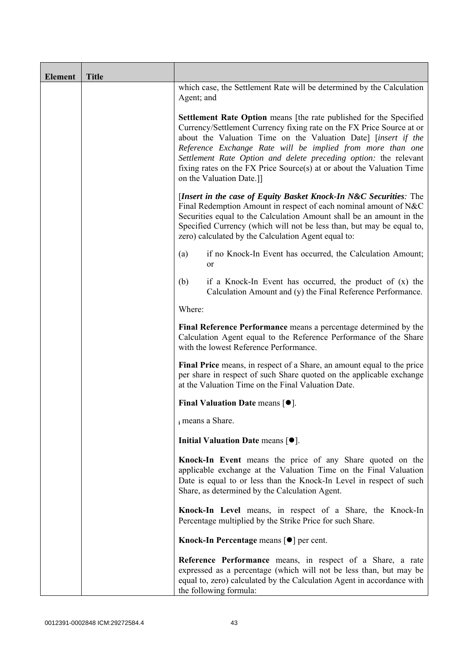| <b>Element</b> | <b>Title</b> |                                                                                                                                                                                                                                                                                                                                                                                                                                                      |  |  |  |
|----------------|--------------|------------------------------------------------------------------------------------------------------------------------------------------------------------------------------------------------------------------------------------------------------------------------------------------------------------------------------------------------------------------------------------------------------------------------------------------------------|--|--|--|
|                |              | which case, the Settlement Rate will be determined by the Calculation<br>Agent; and                                                                                                                                                                                                                                                                                                                                                                  |  |  |  |
|                |              | Settlement Rate Option means [the rate published for the Specified<br>Currency/Settlement Currency fixing rate on the FX Price Source at or<br>about the Valuation Time on the Valuation Date] [insert if the<br>Reference Exchange Rate will be implied from more than one<br>Settlement Rate Option and delete preceding option: the relevant<br>fixing rates on the FX Price Source(s) at or about the Valuation Time<br>on the Valuation Date.]] |  |  |  |
|                |              | [Insert in the case of Equity Basket Knock-In N&C Securities: The<br>Final Redemption Amount in respect of each nominal amount of N&C<br>Securities equal to the Calculation Amount shall be an amount in the<br>Specified Currency (which will not be less than, but may be equal to,<br>zero) calculated by the Calculation Agent equal to:                                                                                                        |  |  |  |
|                |              | if no Knock-In Event has occurred, the Calculation Amount;<br>(a)<br><sub>or</sub>                                                                                                                                                                                                                                                                                                                                                                   |  |  |  |
|                |              | (b)<br>if a Knock-In Event has occurred, the product of $(x)$ the<br>Calculation Amount and (y) the Final Reference Performance.                                                                                                                                                                                                                                                                                                                     |  |  |  |
|                |              | Where:                                                                                                                                                                                                                                                                                                                                                                                                                                               |  |  |  |
|                |              | Final Reference Performance means a percentage determined by the<br>Calculation Agent equal to the Reference Performance of the Share<br>with the lowest Reference Performance.                                                                                                                                                                                                                                                                      |  |  |  |
|                |              | Final Price means, in respect of a Share, an amount equal to the price<br>per share in respect of such Share quoted on the applicable exchange<br>at the Valuation Time on the Final Valuation Date.                                                                                                                                                                                                                                                 |  |  |  |
|                |              | Final Valuation Date means $[•]$ .                                                                                                                                                                                                                                                                                                                                                                                                                   |  |  |  |
|                |              | i means a Share.                                                                                                                                                                                                                                                                                                                                                                                                                                     |  |  |  |
|                |              | Initial Valuation Date means $[•]$ .                                                                                                                                                                                                                                                                                                                                                                                                                 |  |  |  |
|                |              | Knock-In Event means the price of any Share quoted on the<br>applicable exchange at the Valuation Time on the Final Valuation<br>Date is equal to or less than the Knock-In Level in respect of such<br>Share, as determined by the Calculation Agent.                                                                                                                                                                                               |  |  |  |
|                |              | Knock-In Level means, in respect of a Share, the Knock-In<br>Percentage multiplied by the Strike Price for such Share.                                                                                                                                                                                                                                                                                                                               |  |  |  |
|                |              | Knock-In Percentage means [●] per cent.                                                                                                                                                                                                                                                                                                                                                                                                              |  |  |  |
|                |              | Reference Performance means, in respect of a Share, a rate<br>expressed as a percentage (which will not be less than, but may be<br>equal to, zero) calculated by the Calculation Agent in accordance with<br>the following formula:                                                                                                                                                                                                                 |  |  |  |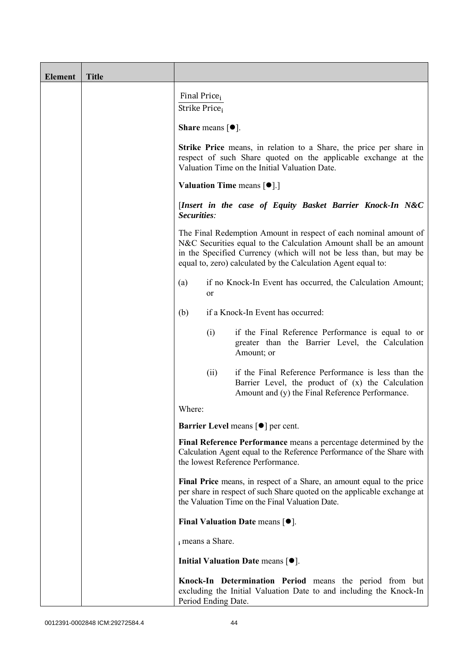| <b>Element</b> | <b>Title</b> |                                                                                                                                                                                                                                                                              |      |                                                                                                                                                                                                      |  |  |
|----------------|--------------|------------------------------------------------------------------------------------------------------------------------------------------------------------------------------------------------------------------------------------------------------------------------------|------|------------------------------------------------------------------------------------------------------------------------------------------------------------------------------------------------------|--|--|
|                |              | Final Price <sub>i</sub><br>Strike Price;                                                                                                                                                                                                                                    |      |                                                                                                                                                                                                      |  |  |
|                |              | <b>Share</b> means $\lceil \bullet \rceil$ .                                                                                                                                                                                                                                 |      |                                                                                                                                                                                                      |  |  |
|                |              | <b>Strike Price</b> means, in relation to a Share, the price per share in<br>respect of such Share quoted on the applicable exchange at the<br>Valuation Time on the Initial Valuation Date.                                                                                 |      |                                                                                                                                                                                                      |  |  |
|                |              | <b>Valuation Time means <math>[\bullet]</math>.</b> ]                                                                                                                                                                                                                        |      |                                                                                                                                                                                                      |  |  |
|                |              | [Insert in the case of Equity Basket Barrier Knock-In N&C<br>Securities:                                                                                                                                                                                                     |      |                                                                                                                                                                                                      |  |  |
|                |              | The Final Redemption Amount in respect of each nominal amount of<br>N&C Securities equal to the Calculation Amount shall be an amount<br>in the Specified Currency (which will not be less than, but may be<br>equal to, zero) calculated by the Calculation Agent equal to: |      |                                                                                                                                                                                                      |  |  |
|                |              | if no Knock-In Event has occurred, the Calculation Amount;<br>(a)<br><sub>or</sub>                                                                                                                                                                                           |      |                                                                                                                                                                                                      |  |  |
|                |              | (b)                                                                                                                                                                                                                                                                          |      | if a Knock-In Event has occurred:                                                                                                                                                                    |  |  |
|                |              |                                                                                                                                                                                                                                                                              | (i)  | if the Final Reference Performance is equal to or<br>greater than the Barrier Level, the Calculation<br>Amount; or                                                                                   |  |  |
|                |              |                                                                                                                                                                                                                                                                              | (ii) | if the Final Reference Performance is less than the<br>Barrier Level, the product of (x) the Calculation<br>Amount and (y) the Final Reference Performance.                                          |  |  |
|                |              | Where:                                                                                                                                                                                                                                                                       |      |                                                                                                                                                                                                      |  |  |
|                |              |                                                                                                                                                                                                                                                                              |      | <b>Barrier Level</b> means $\lceil \bullet \rceil$ per cent.                                                                                                                                         |  |  |
|                |              |                                                                                                                                                                                                                                                                              |      | Final Reference Performance means a percentage determined by the<br>Calculation Agent equal to the Reference Performance of the Share with<br>the lowest Reference Performance.                      |  |  |
|                |              |                                                                                                                                                                                                                                                                              |      | Final Price means, in respect of a Share, an amount equal to the price<br>per share in respect of such Share quoted on the applicable exchange at<br>the Valuation Time on the Final Valuation Date. |  |  |
|                |              |                                                                                                                                                                                                                                                                              |      | Final Valuation Date means $[•]$ .                                                                                                                                                                   |  |  |
|                |              | i means a Share.                                                                                                                                                                                                                                                             |      |                                                                                                                                                                                                      |  |  |
|                |              |                                                                                                                                                                                                                                                                              |      | Initial Valuation Date means $[•]$ .                                                                                                                                                                 |  |  |
|                |              | Period Ending Date.                                                                                                                                                                                                                                                          |      | Knock-In Determination Period means the period from but<br>excluding the Initial Valuation Date to and including the Knock-In                                                                        |  |  |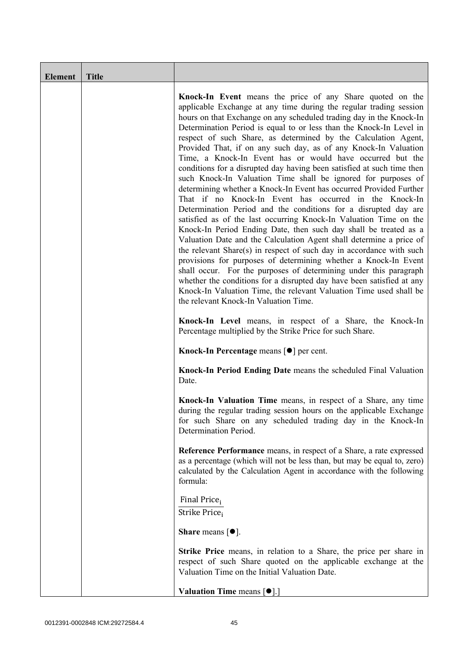| Element | <b>Title</b> |                                                                                                                                                                                                                                                                                                                                                                                                                                                                                                                                                                                                                                                                                                                                                                                                                                                                                                                                                                                                                                                                                                                                                                                                                                                                                                                                                                                                                                                       |
|---------|--------------|-------------------------------------------------------------------------------------------------------------------------------------------------------------------------------------------------------------------------------------------------------------------------------------------------------------------------------------------------------------------------------------------------------------------------------------------------------------------------------------------------------------------------------------------------------------------------------------------------------------------------------------------------------------------------------------------------------------------------------------------------------------------------------------------------------------------------------------------------------------------------------------------------------------------------------------------------------------------------------------------------------------------------------------------------------------------------------------------------------------------------------------------------------------------------------------------------------------------------------------------------------------------------------------------------------------------------------------------------------------------------------------------------------------------------------------------------------|
|         |              | Knock-In Event means the price of any Share quoted on the<br>applicable Exchange at any time during the regular trading session<br>hours on that Exchange on any scheduled trading day in the Knock-In<br>Determination Period is equal to or less than the Knock-In Level in<br>respect of such Share, as determined by the Calculation Agent,<br>Provided That, if on any such day, as of any Knock-In Valuation<br>Time, a Knock-In Event has or would have occurred but the<br>conditions for a disrupted day having been satisfied at such time then<br>such Knock-In Valuation Time shall be ignored for purposes of<br>determining whether a Knock-In Event has occurred Provided Further<br>That if no Knock-In Event has occurred in the Knock-In<br>Determination Period and the conditions for a disrupted day are<br>satisfied as of the last occurring Knock-In Valuation Time on the<br>Knock-In Period Ending Date, then such day shall be treated as a<br>Valuation Date and the Calculation Agent shall determine a price of<br>the relevant Share(s) in respect of such day in accordance with such<br>provisions for purposes of determining whether a Knock-In Event<br>shall occur. For the purposes of determining under this paragraph<br>whether the conditions for a disrupted day have been satisfied at any<br>Knock-In Valuation Time, the relevant Valuation Time used shall be<br>the relevant Knock-In Valuation Time. |
|         |              | Knock-In Level means, in respect of a Share, the Knock-In<br>Percentage multiplied by the Strike Price for such Share.                                                                                                                                                                                                                                                                                                                                                                                                                                                                                                                                                                                                                                                                                                                                                                                                                                                                                                                                                                                                                                                                                                                                                                                                                                                                                                                                |
|         |              | Knock-In Percentage means [●] per cent.                                                                                                                                                                                                                                                                                                                                                                                                                                                                                                                                                                                                                                                                                                                                                                                                                                                                                                                                                                                                                                                                                                                                                                                                                                                                                                                                                                                                               |
|         |              | Knock-In Period Ending Date means the scheduled Final Valuation<br>Date.                                                                                                                                                                                                                                                                                                                                                                                                                                                                                                                                                                                                                                                                                                                                                                                                                                                                                                                                                                                                                                                                                                                                                                                                                                                                                                                                                                              |
|         |              | Knock-In Valuation Time means, in respect of a Share, any time<br>during the regular trading session hours on the applicable Exchange<br>for such Share on any scheduled trading day in the Knock-In<br>Determination Period.                                                                                                                                                                                                                                                                                                                                                                                                                                                                                                                                                                                                                                                                                                                                                                                                                                                                                                                                                                                                                                                                                                                                                                                                                         |
|         |              | Reference Performance means, in respect of a Share, a rate expressed<br>as a percentage (which will not be less than, but may be equal to, zero)<br>calculated by the Calculation Agent in accordance with the following<br>formula:                                                                                                                                                                                                                                                                                                                                                                                                                                                                                                                                                                                                                                                                                                                                                                                                                                                                                                                                                                                                                                                                                                                                                                                                                  |
|         |              | Final Price <sub>i</sub><br>Strike Price <sub>i</sub>                                                                                                                                                                                                                                                                                                                                                                                                                                                                                                                                                                                                                                                                                                                                                                                                                                                                                                                                                                                                                                                                                                                                                                                                                                                                                                                                                                                                 |
|         |              | <b>Share</b> means $\lceil \bullet \rceil$ .                                                                                                                                                                                                                                                                                                                                                                                                                                                                                                                                                                                                                                                                                                                                                                                                                                                                                                                                                                                                                                                                                                                                                                                                                                                                                                                                                                                                          |
|         |              | <b>Strike Price</b> means, in relation to a Share, the price per share in<br>respect of such Share quoted on the applicable exchange at the<br>Valuation Time on the Initial Valuation Date.                                                                                                                                                                                                                                                                                                                                                                                                                                                                                                                                                                                                                                                                                                                                                                                                                                                                                                                                                                                                                                                                                                                                                                                                                                                          |
|         |              | Valuation Time means [ $\bullet$ ].]                                                                                                                                                                                                                                                                                                                                                                                                                                                                                                                                                                                                                                                                                                                                                                                                                                                                                                                                                                                                                                                                                                                                                                                                                                                                                                                                                                                                                  |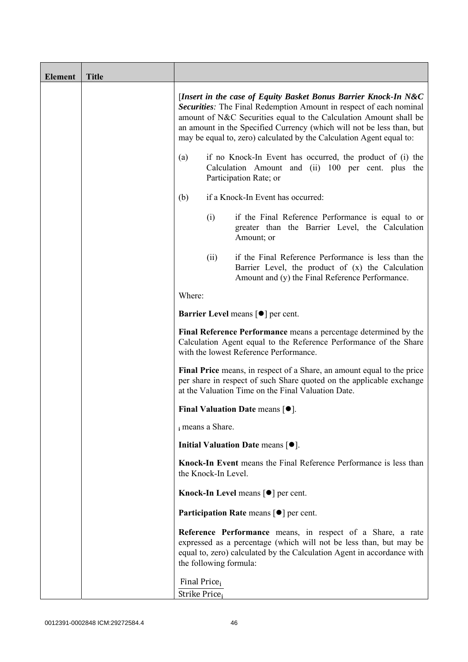| <b>Element</b> | <b>Title</b> |                                                                                                                                                                                                                                                                                                                                                             |                        |                                                                                                                                                                                                                   |
|----------------|--------------|-------------------------------------------------------------------------------------------------------------------------------------------------------------------------------------------------------------------------------------------------------------------------------------------------------------------------------------------------------------|------------------------|-------------------------------------------------------------------------------------------------------------------------------------------------------------------------------------------------------------------|
|                |              | [Insert in the case of Equity Basket Bonus Barrier Knock-In N&C<br>Securities: The Final Redemption Amount in respect of each nominal<br>amount of N&C Securities equal to the Calculation Amount shall be<br>an amount in the Specified Currency (which will not be less than, but<br>may be equal to, zero) calculated by the Calculation Agent equal to: |                        |                                                                                                                                                                                                                   |
|                |              | if no Knock-In Event has occurred, the product of (i) the<br>(a)<br>Calculation Amount and (ii) 100 per cent. plus the<br>Participation Rate; or                                                                                                                                                                                                            |                        |                                                                                                                                                                                                                   |
|                |              | if a Knock-In Event has occurred:<br>(b)                                                                                                                                                                                                                                                                                                                    |                        |                                                                                                                                                                                                                   |
|                |              |                                                                                                                                                                                                                                                                                                                                                             | (i)                    | if the Final Reference Performance is equal to or<br>greater than the Barrier Level, the Calculation<br>Amount; or                                                                                                |
|                |              |                                                                                                                                                                                                                                                                                                                                                             | (ii)                   | if the Final Reference Performance is less than the<br>Barrier Level, the product of (x) the Calculation<br>Amount and (y) the Final Reference Performance.                                                       |
|                |              | Where:                                                                                                                                                                                                                                                                                                                                                      |                        |                                                                                                                                                                                                                   |
|                |              | <b>Barrier Level</b> means $\lceil \bullet \rceil$ per cent.                                                                                                                                                                                                                                                                                                |                        |                                                                                                                                                                                                                   |
|                |              | Final Reference Performance means a percentage determined by the<br>Calculation Agent equal to the Reference Performance of the Share<br>with the lowest Reference Performance.                                                                                                                                                                             |                        |                                                                                                                                                                                                                   |
|                |              | Final Price means, in respect of a Share, an amount equal to the price<br>per share in respect of such Share quoted on the applicable exchange<br>at the Valuation Time on the Final Valuation Date.                                                                                                                                                        |                        |                                                                                                                                                                                                                   |
|                |              | Final Valuation Date means $[•]$ .                                                                                                                                                                                                                                                                                                                          |                        |                                                                                                                                                                                                                   |
|                |              | i means a Share.                                                                                                                                                                                                                                                                                                                                            |                        |                                                                                                                                                                                                                   |
|                |              |                                                                                                                                                                                                                                                                                                                                                             |                        | Initial Valuation Date means $[•]$ .                                                                                                                                                                              |
|                |              |                                                                                                                                                                                                                                                                                                                                                             | the Knock-In Level.    | Knock-In Event means the Final Reference Performance is less than                                                                                                                                                 |
|                |              |                                                                                                                                                                                                                                                                                                                                                             |                        | Knock-In Level means $\lceil \bullet \rceil$ per cent.                                                                                                                                                            |
|                |              |                                                                                                                                                                                                                                                                                                                                                             |                        | <b>Participation Rate means <math>\lceil \bullet \rceil</math> per cent.</b>                                                                                                                                      |
|                |              |                                                                                                                                                                                                                                                                                                                                                             | the following formula: | <b>Reference Performance</b> means, in respect of a Share, a rate<br>expressed as a percentage (which will not be less than, but may be<br>equal to, zero) calculated by the Calculation Agent in accordance with |
|                |              | Final Price <sub>i</sub><br>Strike Price <sub>i</sub>                                                                                                                                                                                                                                                                                                       |                        |                                                                                                                                                                                                                   |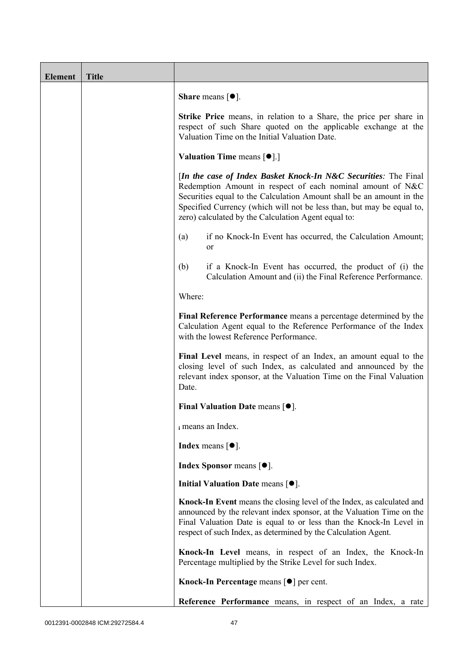| <b>Element</b> | <b>Title</b> |                                                                                                                                                                                                                                                                                                                                       |
|----------------|--------------|---------------------------------------------------------------------------------------------------------------------------------------------------------------------------------------------------------------------------------------------------------------------------------------------------------------------------------------|
|                |              | <b>Share</b> means $[•]$ .                                                                                                                                                                                                                                                                                                            |
|                |              | Strike Price means, in relation to a Share, the price per share in<br>respect of such Share quoted on the applicable exchange at the<br>Valuation Time on the Initial Valuation Date.                                                                                                                                                 |
|                |              | <b>Valuation Time means <math>\lceil \bullet \rceil</math>.</b>                                                                                                                                                                                                                                                                       |
|                |              | [In the case of Index Basket Knock-In N&C Securities: The Final<br>Redemption Amount in respect of each nominal amount of N&C<br>Securities equal to the Calculation Amount shall be an amount in the<br>Specified Currency (which will not be less than, but may be equal to,<br>zero) calculated by the Calculation Agent equal to: |
|                |              | if no Knock-In Event has occurred, the Calculation Amount;<br>(a)<br>or                                                                                                                                                                                                                                                               |
|                |              | (b)<br>if a Knock-In Event has occurred, the product of (i) the<br>Calculation Amount and (ii) the Final Reference Performance.                                                                                                                                                                                                       |
|                |              | Where:                                                                                                                                                                                                                                                                                                                                |
|                |              | Final Reference Performance means a percentage determined by the<br>Calculation Agent equal to the Reference Performance of the Index<br>with the lowest Reference Performance.                                                                                                                                                       |
|                |              | Final Level means, in respect of an Index, an amount equal to the<br>closing level of such Index, as calculated and announced by the<br>relevant index sponsor, at the Valuation Time on the Final Valuation<br>Date.                                                                                                                 |
|                |              | Final Valuation Date means $[•]$ .                                                                                                                                                                                                                                                                                                    |
|                |              | i means an Index.                                                                                                                                                                                                                                                                                                                     |
|                |              | <b>Index</b> means $\lceil \bullet \rceil$ .                                                                                                                                                                                                                                                                                          |
|                |              | <b>Index Sponsor</b> means $[•]$ .                                                                                                                                                                                                                                                                                                    |
|                |              | Initial Valuation Date means $[•]$ .                                                                                                                                                                                                                                                                                                  |
|                |              | Knock-In Event means the closing level of the Index, as calculated and<br>announced by the relevant index sponsor, at the Valuation Time on the<br>Final Valuation Date is equal to or less than the Knock-In Level in<br>respect of such Index, as determined by the Calculation Agent.                                              |
|                |              | Knock-In Level means, in respect of an Index, the Knock-In<br>Percentage multiplied by the Strike Level for such Index.                                                                                                                                                                                                               |
|                |              | Knock-In Percentage means [●] per cent.                                                                                                                                                                                                                                                                                               |
|                |              | Reference Performance means, in respect of an Index, a rate                                                                                                                                                                                                                                                                           |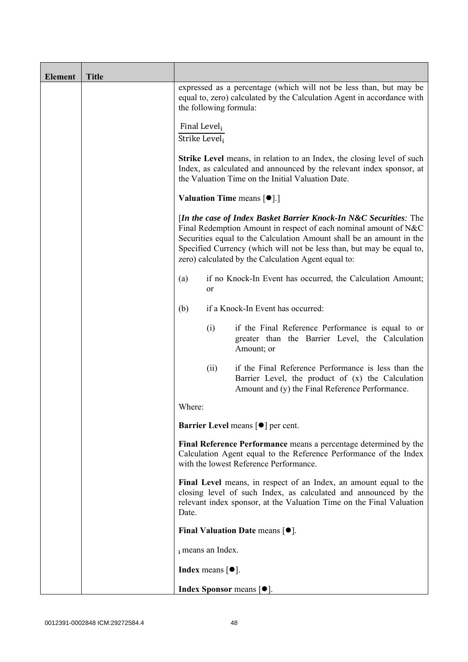| <b>Element</b> | <b>Title</b> |                                                                                                                                                                                                                                                                                                                                               |                            |                                                                                                                                                             |  |
|----------------|--------------|-----------------------------------------------------------------------------------------------------------------------------------------------------------------------------------------------------------------------------------------------------------------------------------------------------------------------------------------------|----------------------------|-------------------------------------------------------------------------------------------------------------------------------------------------------------|--|
|                |              | expressed as a percentage (which will not be less than, but may be<br>equal to, zero) calculated by the Calculation Agent in accordance with<br>the following formula:                                                                                                                                                                        |                            |                                                                                                                                                             |  |
|                |              | Final Level <sub>i</sub><br>Strike Level,                                                                                                                                                                                                                                                                                                     |                            |                                                                                                                                                             |  |
|                |              | <b>Strike Level</b> means, in relation to an Index, the closing level of such<br>Index, as calculated and announced by the relevant index sponsor, at<br>the Valuation Time on the Initial Valuation Date.                                                                                                                                    |                            |                                                                                                                                                             |  |
|                |              | <b>Valuation Time means <math>[\bullet]</math>.</b> ]                                                                                                                                                                                                                                                                                         |                            |                                                                                                                                                             |  |
|                |              | [In the case of Index Basket Barrier Knock-In N&C Securities: The<br>Final Redemption Amount in respect of each nominal amount of N&C<br>Securities equal to the Calculation Amount shall be an amount in the<br>Specified Currency (which will not be less than, but may be equal to,<br>zero) calculated by the Calculation Agent equal to: |                            |                                                                                                                                                             |  |
|                |              | if no Knock-In Event has occurred, the Calculation Amount;<br>(a)<br>or                                                                                                                                                                                                                                                                       |                            |                                                                                                                                                             |  |
|                |              | (b)                                                                                                                                                                                                                                                                                                                                           |                            | if a Knock-In Event has occurred:                                                                                                                           |  |
|                |              |                                                                                                                                                                                                                                                                                                                                               | (i)                        | if the Final Reference Performance is equal to or<br>greater than the Barrier Level, the Calculation<br>Amount; or                                          |  |
|                |              |                                                                                                                                                                                                                                                                                                                                               | (ii)                       | if the Final Reference Performance is less than the<br>Barrier Level, the product of (x) the Calculation<br>Amount and (y) the Final Reference Performance. |  |
|                |              | Where:                                                                                                                                                                                                                                                                                                                                        |                            |                                                                                                                                                             |  |
|                |              |                                                                                                                                                                                                                                                                                                                                               |                            | Barrier Level means [ $\bullet$ ] per cent.                                                                                                                 |  |
|                |              | Final Reference Performance means a percentage determined by the<br>Calculation Agent equal to the Reference Performance of the Index<br>with the lowest Reference Performance.                                                                                                                                                               |                            |                                                                                                                                                             |  |
|                |              | Final Level means, in respect of an Index, an amount equal to the<br>closing level of such Index, as calculated and announced by the<br>relevant index sponsor, at the Valuation Time on the Final Valuation<br>Date.                                                                                                                         |                            |                                                                                                                                                             |  |
|                |              |                                                                                                                                                                                                                                                                                                                                               |                            | Final Valuation Date means $[•]$ .                                                                                                                          |  |
|                |              |                                                                                                                                                                                                                                                                                                                                               | i means an Index.          |                                                                                                                                                             |  |
|                |              |                                                                                                                                                                                                                                                                                                                                               | <b>Index</b> means $[•]$ . |                                                                                                                                                             |  |
|                |              |                                                                                                                                                                                                                                                                                                                                               |                            | <b>Index Sponsor</b> means $[•]$ .                                                                                                                          |  |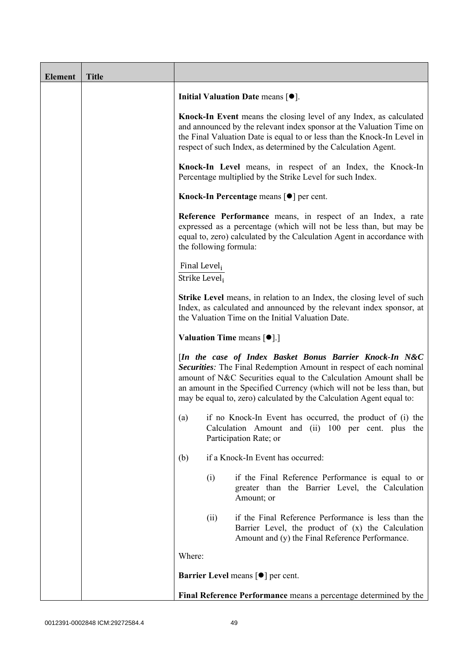| <b>Element</b> | <b>Title</b> |                                                       |                        |                                                                                                                                                                                                                                                                                                                                                            |
|----------------|--------------|-------------------------------------------------------|------------------------|------------------------------------------------------------------------------------------------------------------------------------------------------------------------------------------------------------------------------------------------------------------------------------------------------------------------------------------------------------|
|                |              |                                                       |                        | Initial Valuation Date means $[•]$ .                                                                                                                                                                                                                                                                                                                       |
|                |              |                                                       |                        | Knock-In Event means the closing level of any Index, as calculated<br>and announced by the relevant index sponsor at the Valuation Time on<br>the Final Valuation Date is equal to or less than the Knock-In Level in<br>respect of such Index, as determined by the Calculation Agent.                                                                    |
|                |              |                                                       |                        | Knock-In Level means, in respect of an Index, the Knock-In<br>Percentage multiplied by the Strike Level for such Index.                                                                                                                                                                                                                                    |
|                |              |                                                       |                        | Knock-In Percentage means [●] per cent.                                                                                                                                                                                                                                                                                                                    |
|                |              |                                                       | the following formula: | Reference Performance means, in respect of an Index, a rate<br>expressed as a percentage (which will not be less than, but may be<br>equal to, zero) calculated by the Calculation Agent in accordance with                                                                                                                                                |
|                |              | Final Level <sub>i</sub><br>Strike Level <sub>i</sub> |                        |                                                                                                                                                                                                                                                                                                                                                            |
|                |              |                                                       |                        | <b>Strike Level</b> means, in relation to an Index, the closing level of such<br>Index, as calculated and announced by the relevant index sponsor, at<br>the Valuation Time on the Initial Valuation Date.                                                                                                                                                 |
|                |              |                                                       |                        | <b>Valuation Time means <math>\lceil \bullet \rceil</math>.</b>                                                                                                                                                                                                                                                                                            |
|                |              |                                                       |                        | [In the case of Index Basket Bonus Barrier Knock-In N&C<br><b>Securities:</b> The Final Redemption Amount in respect of each nominal<br>amount of N&C Securities equal to the Calculation Amount shall be<br>an amount in the Specified Currency (which will not be less than, but<br>may be equal to, zero) calculated by the Calculation Agent equal to: |
|                |              | (a)                                                   |                        | if no Knock-In Event has occurred, the product of (i) the<br>Calculation Amount and (ii) 100 per cent. plus the<br>Participation Rate; or                                                                                                                                                                                                                  |
|                |              | (b)                                                   |                        | if a Knock-In Event has occurred:                                                                                                                                                                                                                                                                                                                          |
|                |              |                                                       | (i)                    | if the Final Reference Performance is equal to or<br>greater than the Barrier Level, the Calculation<br>Amount; or                                                                                                                                                                                                                                         |
|                |              |                                                       | (ii)                   | if the Final Reference Performance is less than the<br>Barrier Level, the product of (x) the Calculation<br>Amount and (y) the Final Reference Performance.                                                                                                                                                                                                |
|                |              | Where:                                                |                        |                                                                                                                                                                                                                                                                                                                                                            |
|                |              |                                                       |                        | <b>Barrier Level means [<math>\bullet</math>] per cent.</b>                                                                                                                                                                                                                                                                                                |
|                |              |                                                       |                        | Final Reference Performance means a percentage determined by the                                                                                                                                                                                                                                                                                           |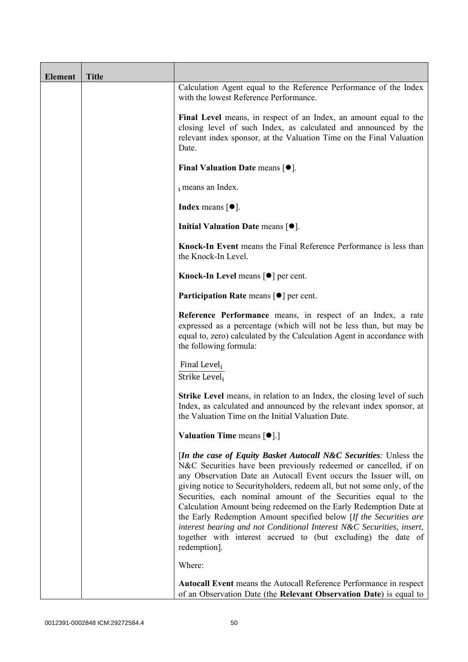| <b>Element</b> | <b>Title</b> |                                                                                                                                                                                                                                                                                                                                                                                                                                                                                                                                                                                                                                                                        |
|----------------|--------------|------------------------------------------------------------------------------------------------------------------------------------------------------------------------------------------------------------------------------------------------------------------------------------------------------------------------------------------------------------------------------------------------------------------------------------------------------------------------------------------------------------------------------------------------------------------------------------------------------------------------------------------------------------------------|
|                |              | Calculation Agent equal to the Reference Performance of the Index<br>with the lowest Reference Performance.                                                                                                                                                                                                                                                                                                                                                                                                                                                                                                                                                            |
|                |              | Final Level means, in respect of an Index, an amount equal to the<br>closing level of such Index, as calculated and announced by the<br>relevant index sponsor, at the Valuation Time on the Final Valuation<br>Date.                                                                                                                                                                                                                                                                                                                                                                                                                                                  |
|                |              | Final Valuation Date means $[•]$ .                                                                                                                                                                                                                                                                                                                                                                                                                                                                                                                                                                                                                                     |
|                |              | i means an Index.                                                                                                                                                                                                                                                                                                                                                                                                                                                                                                                                                                                                                                                      |
|                |              | <b>Index</b> means $[•]$ .                                                                                                                                                                                                                                                                                                                                                                                                                                                                                                                                                                                                                                             |
|                |              | Initial Valuation Date means [ $\bullet$ ].                                                                                                                                                                                                                                                                                                                                                                                                                                                                                                                                                                                                                            |
|                |              | Knock-In Event means the Final Reference Performance is less than<br>the Knock-In Level.                                                                                                                                                                                                                                                                                                                                                                                                                                                                                                                                                                               |
|                |              | Knock-In Level means $\lceil \bullet \rceil$ per cent.                                                                                                                                                                                                                                                                                                                                                                                                                                                                                                                                                                                                                 |
|                |              | <b>Participation Rate</b> means $\lceil \bullet \rceil$ per cent.                                                                                                                                                                                                                                                                                                                                                                                                                                                                                                                                                                                                      |
|                |              | Reference Performance means, in respect of an Index, a rate<br>expressed as a percentage (which will not be less than, but may be<br>equal to, zero) calculated by the Calculation Agent in accordance with<br>the following formula:                                                                                                                                                                                                                                                                                                                                                                                                                                  |
|                |              | Final Level,<br>Strike Level;                                                                                                                                                                                                                                                                                                                                                                                                                                                                                                                                                                                                                                          |
|                |              | <b>Strike Level</b> means, in relation to an Index, the closing level of such<br>Index, as calculated and announced by the relevant index sponsor, at<br>the Valuation Time on the Initial Valuation Date.                                                                                                                                                                                                                                                                                                                                                                                                                                                             |
|                |              | <b>Valuation Time means <math>\lceil \bullet \rceil</math>.</b>                                                                                                                                                                                                                                                                                                                                                                                                                                                                                                                                                                                                        |
|                |              | <i>In the case of Equity Basket Autocall N&amp;C Securities: Unless the</i><br>N&C Securities have been previously redeemed or cancelled, if on<br>any Observation Date an Autocall Event occurs the Issuer will, on<br>giving notice to Securityholders, redeem all, but not some only, of the<br>Securities, each nominal amount of the Securities equal to the<br>Calculation Amount being redeemed on the Early Redemption Date at<br>the Early Redemption Amount specified below [If the Securities are<br>interest bearing and not Conditional Interest N&C Securities, insert,<br>together with interest accrued to (but excluding) the date of<br>redemption]. |
|                |              | Where:                                                                                                                                                                                                                                                                                                                                                                                                                                                                                                                                                                                                                                                                 |
|                |              | Autocall Event means the Autocall Reference Performance in respect<br>of an Observation Date (the Relevant Observation Date) is equal to                                                                                                                                                                                                                                                                                                                                                                                                                                                                                                                               |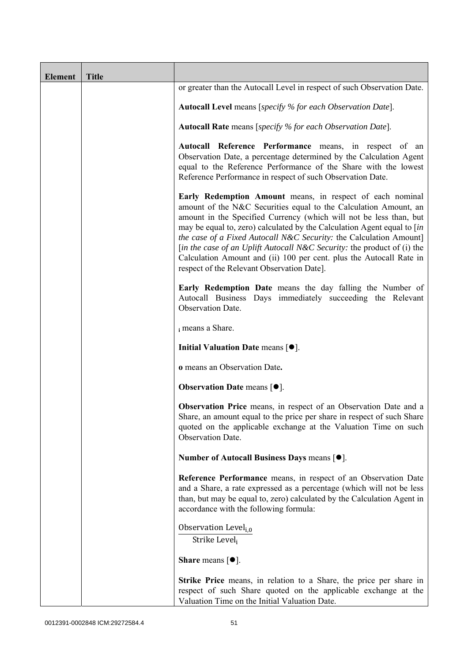| <b>Element</b> | <b>Title</b> |                                                                                                                                                                                                                                                                                                                                                                                                                                                                                                                                                      |  |
|----------------|--------------|------------------------------------------------------------------------------------------------------------------------------------------------------------------------------------------------------------------------------------------------------------------------------------------------------------------------------------------------------------------------------------------------------------------------------------------------------------------------------------------------------------------------------------------------------|--|
|                |              | or greater than the Autocall Level in respect of such Observation Date.                                                                                                                                                                                                                                                                                                                                                                                                                                                                              |  |
|                |              | <b>Autocall Level</b> means [specify % for each Observation Date].                                                                                                                                                                                                                                                                                                                                                                                                                                                                                   |  |
|                |              | Autocall Rate means [specify % for each Observation Date].                                                                                                                                                                                                                                                                                                                                                                                                                                                                                           |  |
|                |              | Autocall Reference Performance means, in respect of an<br>Observation Date, a percentage determined by the Calculation Agent<br>equal to the Reference Performance of the Share with the lowest<br>Reference Performance in respect of such Observation Date.                                                                                                                                                                                                                                                                                        |  |
|                |              | Early Redemption Amount means, in respect of each nominal<br>amount of the N&C Securities equal to the Calculation Amount, an<br>amount in the Specified Currency (which will not be less than, but<br>may be equal to, zero) calculated by the Calculation Agent equal to [in<br>the case of a Fixed Autocall N&C Security: the Calculation Amount]<br>[in the case of an Uplift Autocall N&C Security: the product of (i) the<br>Calculation Amount and (ii) 100 per cent. plus the Autocall Rate in<br>respect of the Relevant Observation Date]. |  |
|                |              | Early Redemption Date means the day falling the Number of<br>Autocall Business Days immediately succeeding the Relevant<br>Observation Date.                                                                                                                                                                                                                                                                                                                                                                                                         |  |
|                |              | i means a Share.                                                                                                                                                                                                                                                                                                                                                                                                                                                                                                                                     |  |
|                |              | Initial Valuation Date means $[•]$ .                                                                                                                                                                                                                                                                                                                                                                                                                                                                                                                 |  |
|                |              | o means an Observation Date.                                                                                                                                                                                                                                                                                                                                                                                                                                                                                                                         |  |
|                |              | <b>Observation Date means <math>\lceil \bullet \rceil</math>.</b>                                                                                                                                                                                                                                                                                                                                                                                                                                                                                    |  |
|                |              | Observation Price means, in respect of an Observation Date and a<br>Share, an amount equal to the price per share in respect of such Share<br>quoted on the applicable exchange at the Valuation Time on such<br>Observation Date.                                                                                                                                                                                                                                                                                                                   |  |
|                |              | Number of Autocall Business Days means [●].                                                                                                                                                                                                                                                                                                                                                                                                                                                                                                          |  |
|                |              | Reference Performance means, in respect of an Observation Date<br>and a Share, a rate expressed as a percentage (which will not be less<br>than, but may be equal to, zero) calculated by the Calculation Agent in<br>accordance with the following formula:                                                                                                                                                                                                                                                                                         |  |
|                |              | Observation Level <sub>i,0</sub><br>Strike Level,                                                                                                                                                                                                                                                                                                                                                                                                                                                                                                    |  |
|                |              | <b>Share</b> means $\lceil \bullet \rceil$ .                                                                                                                                                                                                                                                                                                                                                                                                                                                                                                         |  |
|                |              | <b>Strike Price</b> means, in relation to a Share, the price per share in<br>respect of such Share quoted on the applicable exchange at the<br>Valuation Time on the Initial Valuation Date.                                                                                                                                                                                                                                                                                                                                                         |  |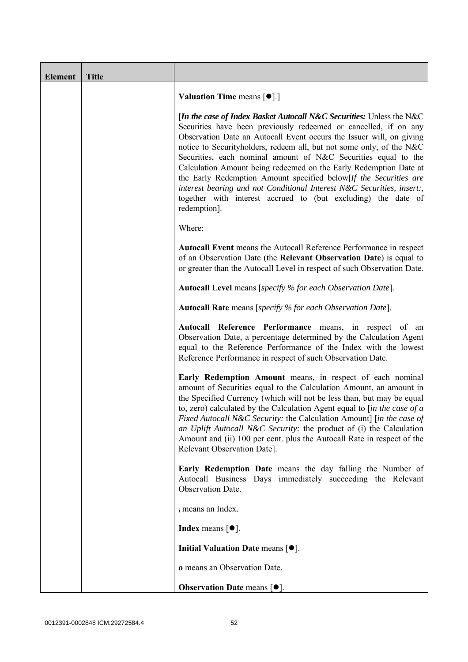| <b>Element</b> | <b>Title</b> |                                                                                                                                                                                                                                                                                                                                                                                                                                                                                                                                                                                                                                                                 |
|----------------|--------------|-----------------------------------------------------------------------------------------------------------------------------------------------------------------------------------------------------------------------------------------------------------------------------------------------------------------------------------------------------------------------------------------------------------------------------------------------------------------------------------------------------------------------------------------------------------------------------------------------------------------------------------------------------------------|
|                |              | <b>Valuation Time means <math>[\bullet]</math>.</b> ]                                                                                                                                                                                                                                                                                                                                                                                                                                                                                                                                                                                                           |
|                |              | [In the case of Index Basket Autocall N&C Securities: Unless the N&C<br>Securities have been previously redeemed or cancelled, if on any<br>Observation Date an Autocall Event occurs the Issuer will, on giving<br>notice to Securityholders, redeem all, but not some only, of the N&C<br>Securities, each nominal amount of N&C Securities equal to the<br>Calculation Amount being redeemed on the Early Redemption Date at<br>the Early Redemption Amount specified below[If the Securities are<br>interest bearing and not Conditional Interest N&C Securities, insert:,<br>together with interest accrued to (but excluding) the date of<br>redemption]. |
|                |              | Where:                                                                                                                                                                                                                                                                                                                                                                                                                                                                                                                                                                                                                                                          |
|                |              | Autocall Event means the Autocall Reference Performance in respect<br>of an Observation Date (the Relevant Observation Date) is equal to<br>or greater than the Autocall Level in respect of such Observation Date.                                                                                                                                                                                                                                                                                                                                                                                                                                             |
|                |              | Autocall Level means [specify % for each Observation Date].                                                                                                                                                                                                                                                                                                                                                                                                                                                                                                                                                                                                     |
|                |              | <b>Autocall Rate</b> means [specify % for each Observation Date].                                                                                                                                                                                                                                                                                                                                                                                                                                                                                                                                                                                               |
|                |              | Autocall Reference Performance means, in respect of an<br>Observation Date, a percentage determined by the Calculation Agent<br>equal to the Reference Performance of the Index with the lowest<br>Reference Performance in respect of such Observation Date.                                                                                                                                                                                                                                                                                                                                                                                                   |
|                |              | Early Redemption Amount means, in respect of each nominal<br>amount of Securities equal to the Calculation Amount, an amount in<br>the Specified Currency (which will not be less than, but may be equal<br>to, zero) calculated by the Calculation Agent equal to $\sin$ the case of a<br>Fixed Autocall N&C Security: the Calculation Amount] [in the case of<br>an Uplift Autocall N&C Security: the product of (i) the Calculation<br>Amount and (ii) 100 per cent. plus the Autocall Rate in respect of the<br>Relevant Observation Date].                                                                                                                 |
|                |              | Early Redemption Date means the day falling the Number of<br>Autocall Business Days immediately succeeding the Relevant<br>Observation Date.                                                                                                                                                                                                                                                                                                                                                                                                                                                                                                                    |
|                |              | i means an Index.                                                                                                                                                                                                                                                                                                                                                                                                                                                                                                                                                                                                                                               |
|                |              | <b>Index</b> means $\lceil \bullet \rceil$ .                                                                                                                                                                                                                                                                                                                                                                                                                                                                                                                                                                                                                    |
|                |              | Initial Valuation Date means $[•]$ .                                                                                                                                                                                                                                                                                                                                                                                                                                                                                                                                                                                                                            |
|                |              | o means an Observation Date.                                                                                                                                                                                                                                                                                                                                                                                                                                                                                                                                                                                                                                    |
|                |              | <b>Observation Date means <math>[•]</math>.</b>                                                                                                                                                                                                                                                                                                                                                                                                                                                                                                                                                                                                                 |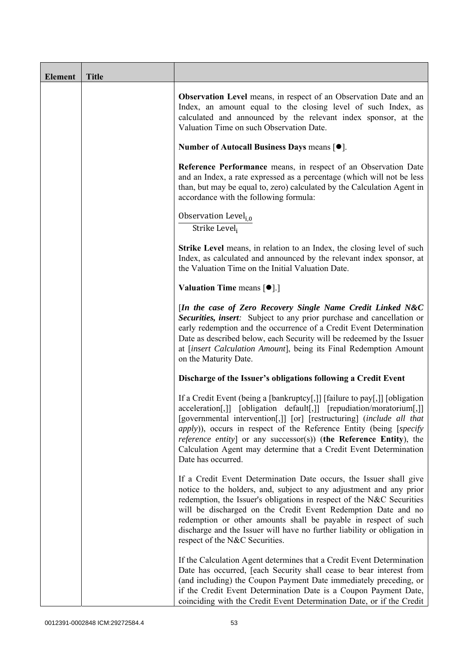| <b>Element</b> | <b>Title</b> |                                                                                                                                                                                                                                                                                                                                                                                                                                                                                            |
|----------------|--------------|--------------------------------------------------------------------------------------------------------------------------------------------------------------------------------------------------------------------------------------------------------------------------------------------------------------------------------------------------------------------------------------------------------------------------------------------------------------------------------------------|
|                |              | <b>Observation Level</b> means, in respect of an Observation Date and an<br>Index, an amount equal to the closing level of such Index, as<br>calculated and announced by the relevant index sponsor, at the<br>Valuation Time on such Observation Date.                                                                                                                                                                                                                                    |
|                |              | Number of Autocall Business Days means [●].                                                                                                                                                                                                                                                                                                                                                                                                                                                |
|                |              | Reference Performance means, in respect of an Observation Date<br>and an Index, a rate expressed as a percentage (which will not be less<br>than, but may be equal to, zero) calculated by the Calculation Agent in<br>accordance with the following formula:                                                                                                                                                                                                                              |
|                |              | Observation Level <sub>i.0</sub><br>Strike Level <sub>i</sub>                                                                                                                                                                                                                                                                                                                                                                                                                              |
|                |              | <b>Strike Level</b> means, in relation to an Index, the closing level of such<br>Index, as calculated and announced by the relevant index sponsor, at<br>the Valuation Time on the Initial Valuation Date.                                                                                                                                                                                                                                                                                 |
|                |              | <b>Valuation Time means <math>\lceil \bullet \rceil</math>.</b>                                                                                                                                                                                                                                                                                                                                                                                                                            |
|                |              | [In the case of Zero Recovery Single Name Credit Linked N&C<br>Securities, insert: Subject to any prior purchase and cancellation or<br>early redemption and the occurrence of a Credit Event Determination<br>Date as described below, each Security will be redeemed by the Issuer<br>at [insert Calculation Amount], being its Final Redemption Amount<br>on the Maturity Date.                                                                                                         |
|                |              | Discharge of the Issuer's obligations following a Credit Event                                                                                                                                                                                                                                                                                                                                                                                                                             |
|                |              | If a Credit Event (being a [bankruptcy[,]] [failure to pay[,]] [obligation<br>acceleration[,]] [obligation default[,]] [repudiation/moratorium[,]]<br>[governmental intervention[,]] [or] [restructuring] (include all that<br><i>apply</i> )), occurs in respect of the Reference Entity (being [ <i>specify</i><br><i>reference entity</i> ] or any successor(s)) (the Reference Entity), the<br>Calculation Agent may determine that a Credit Event Determination<br>Date has occurred. |
|                |              | If a Credit Event Determination Date occurs, the Issuer shall give<br>notice to the holders, and, subject to any adjustment and any prior<br>redemption, the Issuer's obligations in respect of the N&C Securities<br>will be discharged on the Credit Event Redemption Date and no<br>redemption or other amounts shall be payable in respect of such<br>discharge and the Issuer will have no further liability or obligation in<br>respect of the N&C Securities.                       |
|                |              | If the Calculation Agent determines that a Credit Event Determination<br>Date has occurred, [each Security shall cease to bear interest from<br>(and including) the Coupon Payment Date immediately preceding, or<br>if the Credit Event Determination Date is a Coupon Payment Date,<br>coinciding with the Credit Event Determination Date, or if the Credit                                                                                                                             |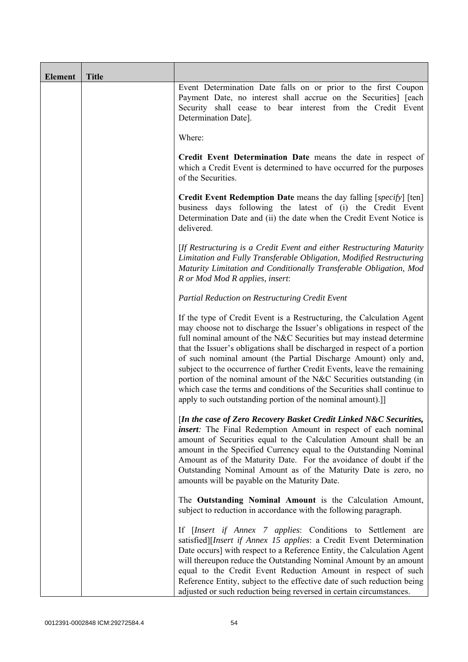| <b>Element</b> | <b>Title</b> |                                                                                                                                                                                                                                                                                                                                                                                                                                                                                                                                                                                                                                                                   |
|----------------|--------------|-------------------------------------------------------------------------------------------------------------------------------------------------------------------------------------------------------------------------------------------------------------------------------------------------------------------------------------------------------------------------------------------------------------------------------------------------------------------------------------------------------------------------------------------------------------------------------------------------------------------------------------------------------------------|
|                |              | Event Determination Date falls on or prior to the first Coupon<br>Payment Date, no interest shall accrue on the Securities] [each<br>Security shall cease to bear interest from the Credit Event<br>Determination Date].                                                                                                                                                                                                                                                                                                                                                                                                                                          |
|                |              | Where:                                                                                                                                                                                                                                                                                                                                                                                                                                                                                                                                                                                                                                                            |
|                |              | Credit Event Determination Date means the date in respect of<br>which a Credit Event is determined to have occurred for the purposes<br>of the Securities.                                                                                                                                                                                                                                                                                                                                                                                                                                                                                                        |
|                |              | Credit Event Redemption Date means the day falling [specify] [ten]<br>business days following the latest of (i) the Credit Event<br>Determination Date and (ii) the date when the Credit Event Notice is<br>delivered.                                                                                                                                                                                                                                                                                                                                                                                                                                            |
|                |              | [If Restructuring is a Credit Event and either Restructuring Maturity<br>Limitation and Fully Transferable Obligation, Modified Restructuring<br>Maturity Limitation and Conditionally Transferable Obligation, Mod<br>R or Mod Mod R applies, insert:                                                                                                                                                                                                                                                                                                                                                                                                            |
|                |              | Partial Reduction on Restructuring Credit Event                                                                                                                                                                                                                                                                                                                                                                                                                                                                                                                                                                                                                   |
|                |              | If the type of Credit Event is a Restructuring, the Calculation Agent<br>may choose not to discharge the Issuer's obligations in respect of the<br>full nominal amount of the N&C Securities but may instead determine<br>that the Issuer's obligations shall be discharged in respect of a portion<br>of such nominal amount (the Partial Discharge Amount) only and,<br>subject to the occurrence of further Credit Events, leave the remaining<br>portion of the nominal amount of the N&C Securities outstanding (in<br>which case the terms and conditions of the Securities shall continue to<br>apply to such outstanding portion of the nominal amount).] |
|                |              | [In the case of Zero Recovery Basket Credit Linked N&C Securities,<br><i>insert</i> : The Final Redemption Amount in respect of each nominal<br>amount of Securities equal to the Calculation Amount shall be an<br>amount in the Specified Currency equal to the Outstanding Nominal<br>Amount as of the Maturity Date. For the avoidance of doubt if the<br>Outstanding Nominal Amount as of the Maturity Date is zero, no<br>amounts will be payable on the Maturity Date.                                                                                                                                                                                     |
|                |              | The Outstanding Nominal Amount is the Calculation Amount,<br>subject to reduction in accordance with the following paragraph.                                                                                                                                                                                                                                                                                                                                                                                                                                                                                                                                     |
|                |              | If [Insert if Annex 7 applies: Conditions to Settlement are<br>satisfied][Insert if Annex 15 applies: a Credit Event Determination<br>Date occurs] with respect to a Reference Entity, the Calculation Agent<br>will thereupon reduce the Outstanding Nominal Amount by an amount<br>equal to the Credit Event Reduction Amount in respect of such<br>Reference Entity, subject to the effective date of such reduction being<br>adjusted or such reduction being reversed in certain circumstances.                                                                                                                                                              |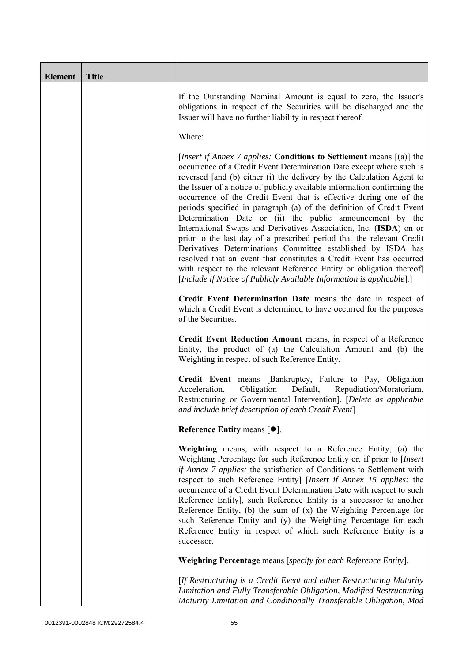| <b>Element</b> | <b>Title</b> |                                                                                                                                                                                                                                                                                                                                                                                                                                                                                                                                                                                                                                                                                                                                                                                                                                                                                                                                                           |
|----------------|--------------|-----------------------------------------------------------------------------------------------------------------------------------------------------------------------------------------------------------------------------------------------------------------------------------------------------------------------------------------------------------------------------------------------------------------------------------------------------------------------------------------------------------------------------------------------------------------------------------------------------------------------------------------------------------------------------------------------------------------------------------------------------------------------------------------------------------------------------------------------------------------------------------------------------------------------------------------------------------|
|                |              | If the Outstanding Nominal Amount is equal to zero, the Issuer's<br>obligations in respect of the Securities will be discharged and the<br>Issuer will have no further liability in respect thereof.                                                                                                                                                                                                                                                                                                                                                                                                                                                                                                                                                                                                                                                                                                                                                      |
|                |              | Where:                                                                                                                                                                                                                                                                                                                                                                                                                                                                                                                                                                                                                                                                                                                                                                                                                                                                                                                                                    |
|                |              | <i>[Insert if Annex 7 applies: Conditions to Settlement means [(a)] the</i><br>occurrence of a Credit Event Determination Date except where such is<br>reversed [and (b) either (i) the delivery by the Calculation Agent to<br>the Issuer of a notice of publicly available information confirming the<br>occurrence of the Credit Event that is effective during one of the<br>periods specified in paragraph (a) of the definition of Credit Event<br>Determination Date or (ii) the public announcement by the<br>International Swaps and Derivatives Association, Inc. (ISDA) on or<br>prior to the last day of a prescribed period that the relevant Credit<br>Derivatives Determinations Committee established by ISDA has<br>resolved that an event that constitutes a Credit Event has occurred<br>with respect to the relevant Reference Entity or obligation thereof]<br>[Include if Notice of Publicly Available Information is applicable].] |
|                |              | Credit Event Determination Date means the date in respect of<br>which a Credit Event is determined to have occurred for the purposes<br>of the Securities.                                                                                                                                                                                                                                                                                                                                                                                                                                                                                                                                                                                                                                                                                                                                                                                                |
|                |              | Credit Event Reduction Amount means, in respect of a Reference<br>Entity, the product of (a) the Calculation Amount and (b) the<br>Weighting in respect of such Reference Entity.                                                                                                                                                                                                                                                                                                                                                                                                                                                                                                                                                                                                                                                                                                                                                                         |
|                |              | Credit Event means [Bankruptcy, Failure to Pay, Obligation<br>Acceleration,<br>Obligation<br>Default,<br>Repudiation/Moratorium,<br>Restructuring or Governmental Intervention]. [Delete as applicable<br>and include brief description of each Credit Event]                                                                                                                                                                                                                                                                                                                                                                                                                                                                                                                                                                                                                                                                                             |
|                |              | Reference Entity means [ $\bullet$ ].                                                                                                                                                                                                                                                                                                                                                                                                                                                                                                                                                                                                                                                                                                                                                                                                                                                                                                                     |
|                |              | Weighting means, with respect to a Reference Entity, (a) the<br>Weighting Percentage for such Reference Entity or, if prior to [Insert<br>if Annex 7 applies: the satisfaction of Conditions to Settlement with<br>respect to such Reference Entity] [Insert if Annex 15 applies: the<br>occurrence of a Credit Event Determination Date with respect to such<br>Reference Entity], such Reference Entity is a successor to another<br>Reference Entity, (b) the sum of $(x)$ the Weighting Percentage for<br>such Reference Entity and (y) the Weighting Percentage for each<br>Reference Entity in respect of which such Reference Entity is a<br>successor.                                                                                                                                                                                                                                                                                            |
|                |              | Weighting Percentage means [specify for each Reference Entity].                                                                                                                                                                                                                                                                                                                                                                                                                                                                                                                                                                                                                                                                                                                                                                                                                                                                                           |
|                |              | [If Restructuring is a Credit Event and either Restructuring Maturity<br>Limitation and Fully Transferable Obligation, Modified Restructuring<br>Maturity Limitation and Conditionally Transferable Obligation, Mod                                                                                                                                                                                                                                                                                                                                                                                                                                                                                                                                                                                                                                                                                                                                       |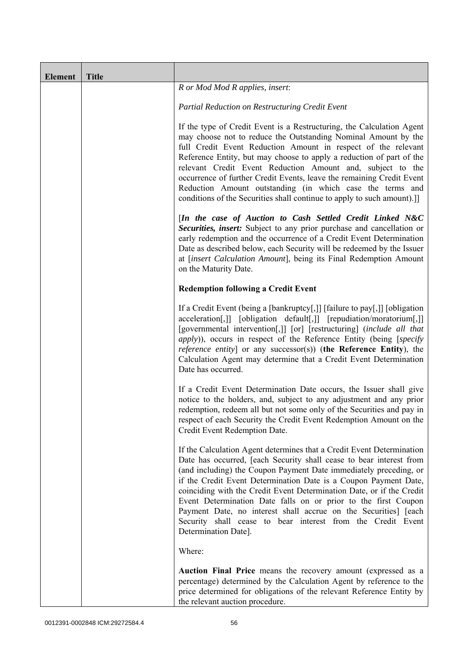| <b>Element</b> | <b>Title</b> |                                                                                                                                                                                                                                                                                                                                                                                                                                                                                                                                                                                            |
|----------------|--------------|--------------------------------------------------------------------------------------------------------------------------------------------------------------------------------------------------------------------------------------------------------------------------------------------------------------------------------------------------------------------------------------------------------------------------------------------------------------------------------------------------------------------------------------------------------------------------------------------|
|                |              | R or Mod Mod R applies, insert:                                                                                                                                                                                                                                                                                                                                                                                                                                                                                                                                                            |
|                |              | Partial Reduction on Restructuring Credit Event                                                                                                                                                                                                                                                                                                                                                                                                                                                                                                                                            |
|                |              | If the type of Credit Event is a Restructuring, the Calculation Agent<br>may choose not to reduce the Outstanding Nominal Amount by the<br>full Credit Event Reduction Amount in respect of the relevant<br>Reference Entity, but may choose to apply a reduction of part of the<br>relevant Credit Event Reduction Amount and, subject to the<br>occurrence of further Credit Events, leave the remaining Credit Event<br>Reduction Amount outstanding (in which case the terms and<br>conditions of the Securities shall continue to apply to such amount).]]                            |
|                |              | [In the case of Auction to Cash Settled Credit Linked N&C<br>Securities, insert: Subject to any prior purchase and cancellation or<br>early redemption and the occurrence of a Credit Event Determination<br>Date as described below, each Security will be redeemed by the Issuer<br>at [insert Calculation Amount], being its Final Redemption Amount<br>on the Maturity Date.                                                                                                                                                                                                           |
|                |              | <b>Redemption following a Credit Event</b>                                                                                                                                                                                                                                                                                                                                                                                                                                                                                                                                                 |
|                |              | If a Credit Event (being a [bankruptcy[,]] [failure to pay[,]] [obligation<br>acceleration[,]] [obligation default[,]] [repudiation/moratorium[,]]<br>[governmental intervention[,]] [or] [restructuring] (include all that<br><i>apply</i> )), occurs in respect of the Reference Entity (being [specify<br><i>reference entity</i> ] or any successor(s)) (the Reference Entity), the<br>Calculation Agent may determine that a Credit Event Determination<br>Date has occurred.                                                                                                         |
|                |              | If a Credit Event Determination Date occurs, the Issuer shall give<br>notice to the holders, and, subject to any adjustment and any prior<br>redemption, redeem all but not some only of the Securities and pay in<br>respect of each Security the Credit Event Redemption Amount on the<br>Credit Event Redemption Date.                                                                                                                                                                                                                                                                  |
|                |              | If the Calculation Agent determines that a Credit Event Determination<br>Date has occurred, [each Security shall cease to bear interest from<br>(and including) the Coupon Payment Date immediately preceding, or<br>if the Credit Event Determination Date is a Coupon Payment Date,<br>coinciding with the Credit Event Determination Date, or if the Credit<br>Event Determination Date falls on or prior to the first Coupon<br>Payment Date, no interest shall accrue on the Securities] [each<br>Security shall cease to bear interest from the Credit Event<br>Determination Date]. |
|                |              | Where:                                                                                                                                                                                                                                                                                                                                                                                                                                                                                                                                                                                     |
|                |              | Auction Final Price means the recovery amount (expressed as a<br>percentage) determined by the Calculation Agent by reference to the<br>price determined for obligations of the relevant Reference Entity by<br>the relevant auction procedure.                                                                                                                                                                                                                                                                                                                                            |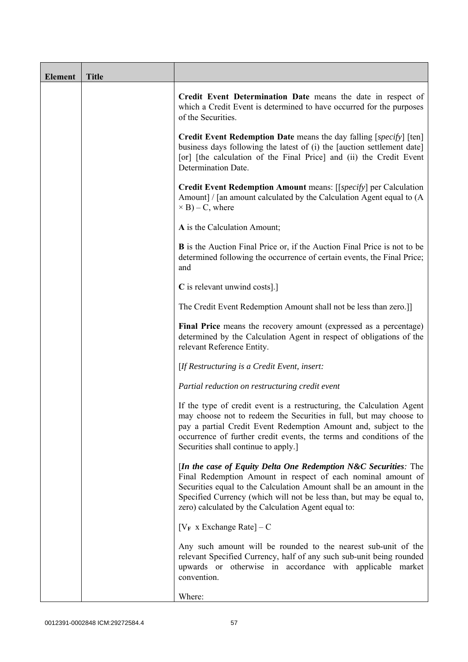| <b>Element</b> | <b>Title</b> |                                                                                                                                                                                                                                                                                                                                           |  |
|----------------|--------------|-------------------------------------------------------------------------------------------------------------------------------------------------------------------------------------------------------------------------------------------------------------------------------------------------------------------------------------------|--|
|                |              | Credit Event Determination Date means the date in respect of<br>which a Credit Event is determined to have occurred for the purposes<br>of the Securities.                                                                                                                                                                                |  |
|                |              | Credit Event Redemption Date means the day falling [specify] [ten]<br>business days following the latest of (i) the [auction settlement date]<br>[or] [the calculation of the Final Price] and (ii) the Credit Event<br>Determination Date.                                                                                               |  |
|                |              | Credit Event Redemption Amount means: [[specify] per Calculation<br>Amount] / [an amount calculated by the Calculation Agent equal to (A)<br>$\times$ B) – C, where                                                                                                                                                                       |  |
|                |              | A is the Calculation Amount;                                                                                                                                                                                                                                                                                                              |  |
|                |              | <b>B</b> is the Auction Final Price or, if the Auction Final Price is not to be<br>determined following the occurrence of certain events, the Final Price;<br>and                                                                                                                                                                         |  |
|                |              | C is relevant unwind costs].]                                                                                                                                                                                                                                                                                                             |  |
|                |              | The Credit Event Redemption Amount shall not be less than zero.]]                                                                                                                                                                                                                                                                         |  |
|                |              | Final Price means the recovery amount (expressed as a percentage)<br>determined by the Calculation Agent in respect of obligations of the<br>relevant Reference Entity.                                                                                                                                                                   |  |
|                |              | [If Restructuring is a Credit Event, insert:                                                                                                                                                                                                                                                                                              |  |
|                |              | Partial reduction on restructuring credit event                                                                                                                                                                                                                                                                                           |  |
|                |              | If the type of credit event is a restructuring, the Calculation Agent<br>may choose not to redeem the Securities in full, but may choose to<br>pay a partial Credit Event Redemption Amount and, subject to the<br>occurrence of further credit events, the terms and conditions of the<br>Securities shall continue to apply.]           |  |
|                |              | [In the case of Equity Delta One Redemption $N&C$ Securities: The<br>Final Redemption Amount in respect of each nominal amount of<br>Securities equal to the Calculation Amount shall be an amount in the<br>Specified Currency (which will not be less than, but may be equal to,<br>zero) calculated by the Calculation Agent equal to: |  |
|                |              | $[V_F \times Exchange Rate] - C$                                                                                                                                                                                                                                                                                                          |  |
|                |              | Any such amount will be rounded to the nearest sub-unit of the<br>relevant Specified Currency, half of any such sub-unit being rounded<br>upwards or otherwise in accordance with applicable market<br>convention.                                                                                                                        |  |
|                |              | Where:                                                                                                                                                                                                                                                                                                                                    |  |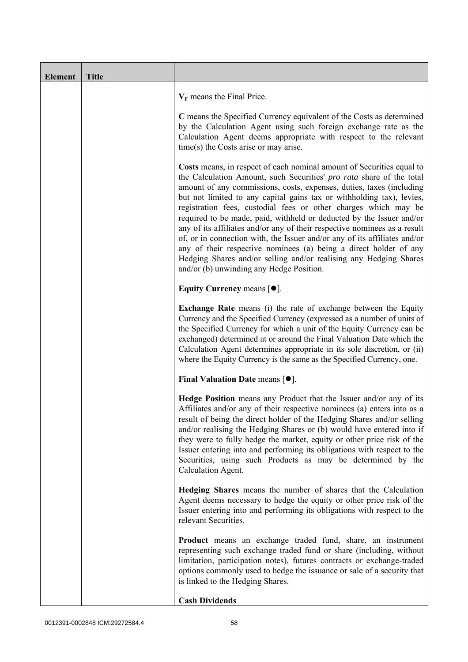| <b>Element</b> | <b>Title</b> |                                                                                                                                                                                                                                                                                                                                                                                                                                                                                                                                                                                                                                                                                                                                                                                           |  |
|----------------|--------------|-------------------------------------------------------------------------------------------------------------------------------------------------------------------------------------------------------------------------------------------------------------------------------------------------------------------------------------------------------------------------------------------------------------------------------------------------------------------------------------------------------------------------------------------------------------------------------------------------------------------------------------------------------------------------------------------------------------------------------------------------------------------------------------------|--|
|                |              | $V_F$ means the Final Price.                                                                                                                                                                                                                                                                                                                                                                                                                                                                                                                                                                                                                                                                                                                                                              |  |
|                |              | C means the Specified Currency equivalent of the Costs as determined<br>by the Calculation Agent using such foreign exchange rate as the<br>Calculation Agent deems appropriate with respect to the relevant<br>time(s) the Costs arise or may arise.                                                                                                                                                                                                                                                                                                                                                                                                                                                                                                                                     |  |
|                |              | Costs means, in respect of each nominal amount of Securities equal to<br>the Calculation Amount, such Securities' pro rata share of the total<br>amount of any commissions, costs, expenses, duties, taxes (including<br>but not limited to any capital gains tax or withholding tax), levies,<br>registration fees, custodial fees or other charges which may be<br>required to be made, paid, withheld or deducted by the Issuer and/or<br>any of its affiliates and/or any of their respective nominees as a result<br>of, or in connection with, the Issuer and/or any of its affiliates and/or<br>any of their respective nominees (a) being a direct holder of any<br>Hedging Shares and/or selling and/or realising any Hedging Shares<br>and/or (b) unwinding any Hedge Position. |  |
|                |              | Equity Currency means $[\bullet].$                                                                                                                                                                                                                                                                                                                                                                                                                                                                                                                                                                                                                                                                                                                                                        |  |
|                |              | <b>Exchange Rate</b> means (i) the rate of exchange between the Equity<br>Currency and the Specified Currency (expressed as a number of units of<br>the Specified Currency for which a unit of the Equity Currency can be<br>exchanged) determined at or around the Final Valuation Date which the<br>Calculation Agent determines appropriate in its sole discretion, or (ii)<br>where the Equity Currency is the same as the Specified Currency, one.                                                                                                                                                                                                                                                                                                                                   |  |
|                |              | Final Valuation Date means [ $\bullet$ ].                                                                                                                                                                                                                                                                                                                                                                                                                                                                                                                                                                                                                                                                                                                                                 |  |
|                |              | Hedge Position means any Product that the Issuer and/or any of its<br>Affiliates and/or any of their respective nominees (a) enters into as a<br>result of being the direct holder of the Hedging Shares and/or selling<br>and/or realising the Hedging Shares or (b) would have entered into if<br>they were to fully hedge the market, equity or other price risk of the<br>Issuer entering into and performing its obligations with respect to the<br>Securities, using such Products as may be determined by the<br>Calculation Agent.                                                                                                                                                                                                                                                |  |
|                |              | Hedging Shares means the number of shares that the Calculation<br>Agent deems necessary to hedge the equity or other price risk of the<br>Issuer entering into and performing its obligations with respect to the<br>relevant Securities.                                                                                                                                                                                                                                                                                                                                                                                                                                                                                                                                                 |  |
|                |              | <b>Product</b> means an exchange traded fund, share, an instrument<br>representing such exchange traded fund or share (including, without<br>limitation, participation notes), futures contracts or exchange-traded<br>options commonly used to hedge the issuance or sale of a security that<br>is linked to the Hedging Shares.                                                                                                                                                                                                                                                                                                                                                                                                                                                         |  |
|                |              | <b>Cash Dividends</b>                                                                                                                                                                                                                                                                                                                                                                                                                                                                                                                                                                                                                                                                                                                                                                     |  |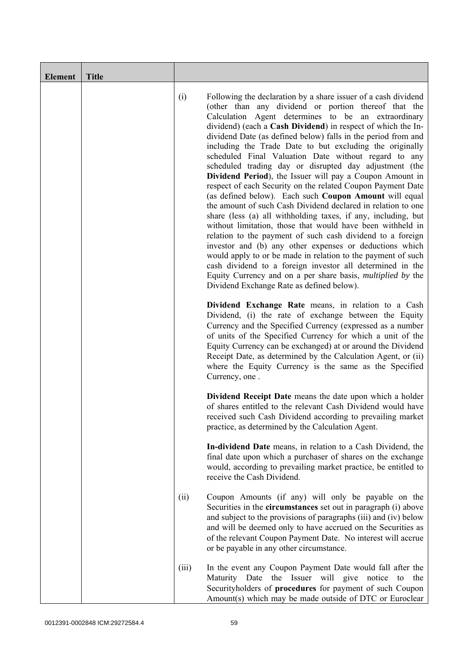| <b>Element</b> | <b>Title</b> |       |                                                                                                                                                                                                                                                                                                                                                                                                                                                                                                                                                                                                                                                                                                                                                                                                                                                                                                                                                                                                                                                                                                                                                                                                                                                           |
|----------------|--------------|-------|-----------------------------------------------------------------------------------------------------------------------------------------------------------------------------------------------------------------------------------------------------------------------------------------------------------------------------------------------------------------------------------------------------------------------------------------------------------------------------------------------------------------------------------------------------------------------------------------------------------------------------------------------------------------------------------------------------------------------------------------------------------------------------------------------------------------------------------------------------------------------------------------------------------------------------------------------------------------------------------------------------------------------------------------------------------------------------------------------------------------------------------------------------------------------------------------------------------------------------------------------------------|
|                |              | (i)   | Following the declaration by a share issuer of a cash dividend<br>(other than any dividend or portion thereof that the<br>Calculation Agent determines to be an extraordinary<br>dividend) (each a Cash Dividend) in respect of which the In-<br>dividend Date (as defined below) falls in the period from and<br>including the Trade Date to but excluding the originally<br>scheduled Final Valuation Date without regard to any<br>scheduled trading day or disrupted day adjustment (the<br>Dividend Period), the Issuer will pay a Coupon Amount in<br>respect of each Security on the related Coupon Payment Date<br>(as defined below). Each such Coupon Amount will equal<br>the amount of such Cash Dividend declared in relation to one<br>share (less (a) all withholding taxes, if any, including, but<br>without limitation, those that would have been withheld in<br>relation to the payment of such cash dividend to a foreign<br>investor and (b) any other expenses or deductions which<br>would apply to or be made in relation to the payment of such<br>cash dividend to a foreign investor all determined in the<br>Equity Currency and on a per share basis, <i>multiplied by</i> the<br>Dividend Exchange Rate as defined below). |
|                |              |       | Dividend Exchange Rate means, in relation to a Cash<br>Dividend, (i) the rate of exchange between the Equity<br>Currency and the Specified Currency (expressed as a number<br>of units of the Specified Currency for which a unit of the<br>Equity Currency can be exchanged) at or around the Dividend<br>Receipt Date, as determined by the Calculation Agent, or (ii)<br>where the Equity Currency is the same as the Specified<br>Currency, one.                                                                                                                                                                                                                                                                                                                                                                                                                                                                                                                                                                                                                                                                                                                                                                                                      |
|                |              |       | <b>Dividend Receipt Date</b> means the date upon which a holder<br>of shares entitled to the relevant Cash Dividend would have<br>received such Cash Dividend according to prevailing market<br>practice, as determined by the Calculation Agent.                                                                                                                                                                                                                                                                                                                                                                                                                                                                                                                                                                                                                                                                                                                                                                                                                                                                                                                                                                                                         |
|                |              |       | In-dividend Date means, in relation to a Cash Dividend, the<br>final date upon which a purchaser of shares on the exchange<br>would, according to prevailing market practice, be entitled to<br>receive the Cash Dividend.                                                                                                                                                                                                                                                                                                                                                                                                                                                                                                                                                                                                                                                                                                                                                                                                                                                                                                                                                                                                                                |
|                |              | (ii)  | Coupon Amounts (if any) will only be payable on the<br>Securities in the <b>circumstances</b> set out in paragraph (i) above<br>and subject to the provisions of paragraphs (iii) and (iv) below<br>and will be deemed only to have accrued on the Securities as<br>of the relevant Coupon Payment Date. No interest will accrue<br>or be payable in any other circumstance.                                                                                                                                                                                                                                                                                                                                                                                                                                                                                                                                                                                                                                                                                                                                                                                                                                                                              |
|                |              | (iii) | In the event any Coupon Payment Date would fall after the<br>the Issuer will give<br>notice<br>Maturity Date<br>the<br>to<br>Securityholders of procedures for payment of such Coupon<br>Amount(s) which may be made outside of DTC or Euroclear                                                                                                                                                                                                                                                                                                                                                                                                                                                                                                                                                                                                                                                                                                                                                                                                                                                                                                                                                                                                          |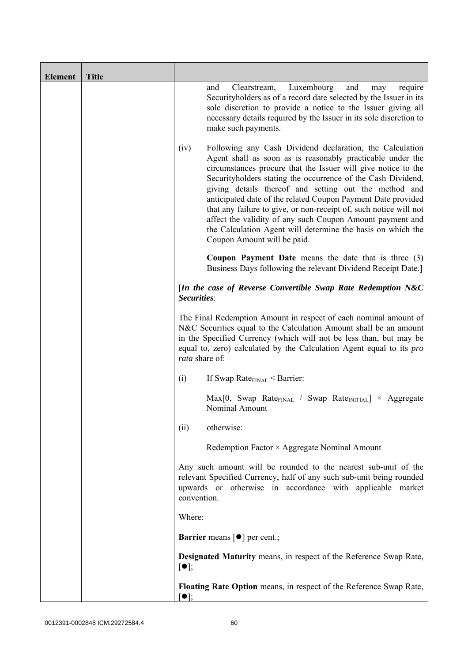| <b>Element</b> | <b>Title</b> |                                                                                                                                                                                                                                                                                                                                                                                                                                                                                                                                                                                                                          |
|----------------|--------------|--------------------------------------------------------------------------------------------------------------------------------------------------------------------------------------------------------------------------------------------------------------------------------------------------------------------------------------------------------------------------------------------------------------------------------------------------------------------------------------------------------------------------------------------------------------------------------------------------------------------------|
|                |              | Luxembourg<br>and<br>and<br>Clearstream,<br>require<br>may<br>Security holders as of a record date selected by the Issuer in its<br>sole discretion to provide a notice to the Issuer giving all<br>necessary details required by the Issuer in its sole discretion to<br>make such payments.                                                                                                                                                                                                                                                                                                                            |
|                |              | (iv)<br>Following any Cash Dividend declaration, the Calculation<br>Agent shall as soon as is reasonably practicable under the<br>circumstances procure that the Issuer will give notice to the<br>Securityholders stating the occurrence of the Cash Dividend,<br>giving details thereof and setting out the method and<br>anticipated date of the related Coupon Payment Date provided<br>that any failure to give, or non-receipt of, such notice will not<br>affect the validity of any such Coupon Amount payment and<br>the Calculation Agent will determine the basis on which the<br>Coupon Amount will be paid. |
|                |              | <b>Coupon Payment Date</b> means the date that is three (3)<br>Business Days following the relevant Dividend Receipt Date.]                                                                                                                                                                                                                                                                                                                                                                                                                                                                                              |
|                |              | [In the case of Reverse Convertible Swap Rate Redemption $N&C$<br>Securities:                                                                                                                                                                                                                                                                                                                                                                                                                                                                                                                                            |
|                |              | The Final Redemption Amount in respect of each nominal amount of<br>N&C Securities equal to the Calculation Amount shall be an amount<br>in the Specified Currency (which will not be less than, but may be<br>equal to, zero) calculated by the Calculation Agent equal to its pro<br>rata share of:                                                                                                                                                                                                                                                                                                                    |
|                |              | (i)<br>If Swap Rate $_{\text{FINAL}}$ < Barrier:                                                                                                                                                                                                                                                                                                                                                                                                                                                                                                                                                                         |
|                |              | $Max[0, Swap Rate_{FINAL} / Swap Rate_{INITIAL}] \times Aggregate$<br>Nominal Amount                                                                                                                                                                                                                                                                                                                                                                                                                                                                                                                                     |
|                |              | otherwise:<br>(ii)                                                                                                                                                                                                                                                                                                                                                                                                                                                                                                                                                                                                       |
|                |              | Redemption Factor × Aggregate Nominal Amount                                                                                                                                                                                                                                                                                                                                                                                                                                                                                                                                                                             |
|                |              | Any such amount will be rounded to the nearest sub-unit of the<br>relevant Specified Currency, half of any such sub-unit being rounded<br>upwards or otherwise in accordance with applicable market<br>convention.                                                                                                                                                                                                                                                                                                                                                                                                       |
|                |              | Where:                                                                                                                                                                                                                                                                                                                                                                                                                                                                                                                                                                                                                   |
|                |              | <b>Barrier</b> means $\lceil \bullet \rceil$ per cent.;                                                                                                                                                                                                                                                                                                                                                                                                                                                                                                                                                                  |
|                |              | <b>Designated Maturity means, in respect of the Reference Swap Rate,</b><br>$[\bullet]$ ;                                                                                                                                                                                                                                                                                                                                                                                                                                                                                                                                |
|                |              | Floating Rate Option means, in respect of the Reference Swap Rate,<br>$\lceil \bullet \rceil$ :                                                                                                                                                                                                                                                                                                                                                                                                                                                                                                                          |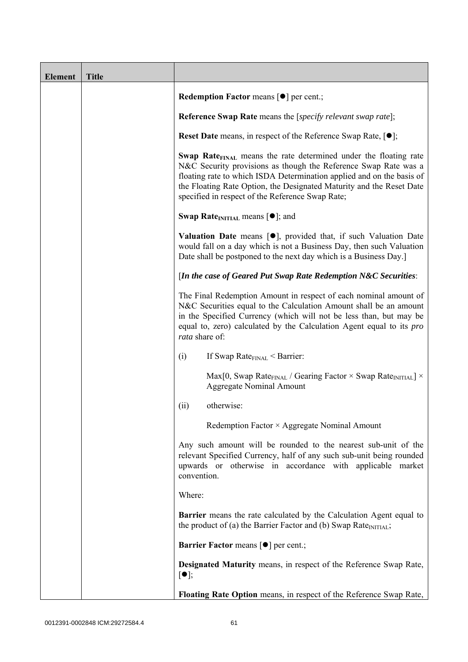| <b>Element</b> | <b>Title</b> |                                                                                                                                                                                                                                                                                                                                                             |
|----------------|--------------|-------------------------------------------------------------------------------------------------------------------------------------------------------------------------------------------------------------------------------------------------------------------------------------------------------------------------------------------------------------|
|                |              | <b>Redemption Factor means <math>\lceil \bullet \rceil</math> per cent.;</b>                                                                                                                                                                                                                                                                                |
|                |              | <b>Reference Swap Rate</b> means the [ <i>specify relevant swap rate</i> ];                                                                                                                                                                                                                                                                                 |
|                |              | <b>Reset Date</b> means, in respect of the Reference Swap Rate, $[•]$ ;                                                                                                                                                                                                                                                                                     |
|                |              | <b>Swap Rate</b> <sub>FINAL</sub> means the rate determined under the floating rate<br>N&C Security provisions as though the Reference Swap Rate was a<br>floating rate to which ISDA Determination applied and on the basis of<br>the Floating Rate Option, the Designated Maturity and the Reset Date<br>specified in respect of the Reference Swap Rate; |
|                |              | <b>Swap Rate</b> <sub>INITIAL</sub> means $[\bullet]$ ; and                                                                                                                                                                                                                                                                                                 |
|                |              | <b>Valuation Date</b> means $[\bullet]$ , provided that, if such Valuation Date<br>would fall on a day which is not a Business Day, then such Valuation<br>Date shall be postponed to the next day which is a Business Day.]                                                                                                                                |
|                |              | [In the case of Geared Put Swap Rate Redemption N&C Securities:                                                                                                                                                                                                                                                                                             |
|                |              | The Final Redemption Amount in respect of each nominal amount of<br>N&C Securities equal to the Calculation Amount shall be an amount<br>in the Specified Currency (which will not be less than, but may be<br>equal to, zero) calculated by the Calculation Agent equal to its <i>pro</i><br>rata share of:                                                |
|                |              | If Swap Rate $_{\text{FINAL}}$ < Barrier:<br>(i)                                                                                                                                                                                                                                                                                                            |
|                |              | Max[0, Swap Rate <sub>FINAL</sub> / Gearing Factor $\times$ Swap Rate <sub>INITIAL</sub> ] $\times$<br><b>Aggregate Nominal Amount</b>                                                                                                                                                                                                                      |
|                |              | otherwise:<br>(ii)                                                                                                                                                                                                                                                                                                                                          |
|                |              | Redemption Factor × Aggregate Nominal Amount                                                                                                                                                                                                                                                                                                                |
|                |              | Any such amount will be rounded to the nearest sub-unit of the<br>relevant Specified Currency, half of any such sub-unit being rounded<br>upwards or otherwise in accordance with applicable market<br>convention.                                                                                                                                          |
|                |              | Where:                                                                                                                                                                                                                                                                                                                                                      |
|                |              | <b>Barrier</b> means the rate calculated by the Calculation Agent equal to<br>the product of (a) the Barrier Factor and (b) Swap Rate $_{\text{INITIAL}}$ ;                                                                                                                                                                                                 |
|                |              | <b>Barrier Factor means [O] per cent.;</b>                                                                                                                                                                                                                                                                                                                  |
|                |              | Designated Maturity means, in respect of the Reference Swap Rate,<br>$[\bullet]$ ;                                                                                                                                                                                                                                                                          |
|                |              | Floating Rate Option means, in respect of the Reference Swap Rate,                                                                                                                                                                                                                                                                                          |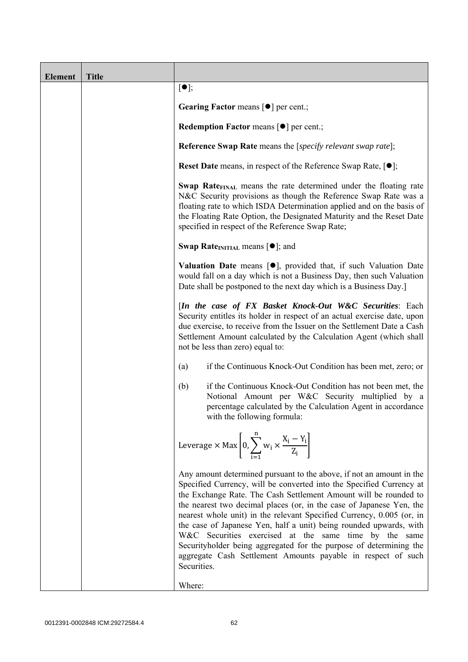| <b>Element</b> | <b>Title</b> |                                                                                                                                                                                                                                                                                                                                                                                                                                                                                                                                                                                                                                                       |
|----------------|--------------|-------------------------------------------------------------------------------------------------------------------------------------------------------------------------------------------------------------------------------------------------------------------------------------------------------------------------------------------------------------------------------------------------------------------------------------------------------------------------------------------------------------------------------------------------------------------------------------------------------------------------------------------------------|
|                |              | $[\bullet]$ ;                                                                                                                                                                                                                                                                                                                                                                                                                                                                                                                                                                                                                                         |
|                |              | Gearing Factor means [ $\bullet$ ] per cent.;                                                                                                                                                                                                                                                                                                                                                                                                                                                                                                                                                                                                         |
|                |              | <b>Redemption Factor means <math>\lceil \bullet \rceil</math> per cent.;</b>                                                                                                                                                                                                                                                                                                                                                                                                                                                                                                                                                                          |
|                |              | <b>Reference Swap Rate</b> means the [specify relevant swap rate];                                                                                                                                                                                                                                                                                                                                                                                                                                                                                                                                                                                    |
|                |              | <b>Reset Date</b> means, in respect of the Reference Swap Rate, $[•]$ ;                                                                                                                                                                                                                                                                                                                                                                                                                                                                                                                                                                               |
|                |              | Swap Rate <sub>FINAL</sub> means the rate determined under the floating rate<br>N&C Security provisions as though the Reference Swap Rate was a<br>floating rate to which ISDA Determination applied and on the basis of<br>the Floating Rate Option, the Designated Maturity and the Reset Date<br>specified in respect of the Reference Swap Rate;                                                                                                                                                                                                                                                                                                  |
|                |              | <b>Swap Rate</b> <sub>INITIAL</sub> means $[\bullet]$ ; and                                                                                                                                                                                                                                                                                                                                                                                                                                                                                                                                                                                           |
|                |              | <b>Valuation Date</b> means $[\bullet]$ , provided that, if such Valuation Date<br>would fall on a day which is not a Business Day, then such Valuation<br>Date shall be postponed to the next day which is a Business Day.]                                                                                                                                                                                                                                                                                                                                                                                                                          |
|                |              | [In the case of FX Basket Knock-Out W&C Securities: Each<br>Security entitles its holder in respect of an actual exercise date, upon<br>due exercise, to receive from the Issuer on the Settlement Date a Cash<br>Settlement Amount calculated by the Calculation Agent (which shall<br>not be less than zero) equal to:                                                                                                                                                                                                                                                                                                                              |
|                |              | if the Continuous Knock-Out Condition has been met, zero; or<br>(a)                                                                                                                                                                                                                                                                                                                                                                                                                                                                                                                                                                                   |
|                |              | if the Continuous Knock-Out Condition has not been met, the<br>(b)<br>Notional Amount per W&C Security multiplied by a<br>percentage calculated by the Calculation Agent in accordance<br>with the following formula:                                                                                                                                                                                                                                                                                                                                                                                                                                 |
|                |              | Leverage $\times$ Max $\left[0, \sum_{i=1}^{n} w_i \times \frac{X_i - Y_i}{Z_i}\right]$                                                                                                                                                                                                                                                                                                                                                                                                                                                                                                                                                               |
|                |              | Any amount determined pursuant to the above, if not an amount in the<br>Specified Currency, will be converted into the Specified Currency at<br>the Exchange Rate. The Cash Settlement Amount will be rounded to<br>the nearest two decimal places (or, in the case of Japanese Yen, the<br>nearest whole unit) in the relevant Specified Currency, 0.005 (or, in<br>the case of Japanese Yen, half a unit) being rounded upwards, with<br>W&C Securities exercised at the same time by the same<br>Securityholder being aggregated for the purpose of determining the<br>aggregate Cash Settlement Amounts payable in respect of such<br>Securities. |
|                |              | Where:                                                                                                                                                                                                                                                                                                                                                                                                                                                                                                                                                                                                                                                |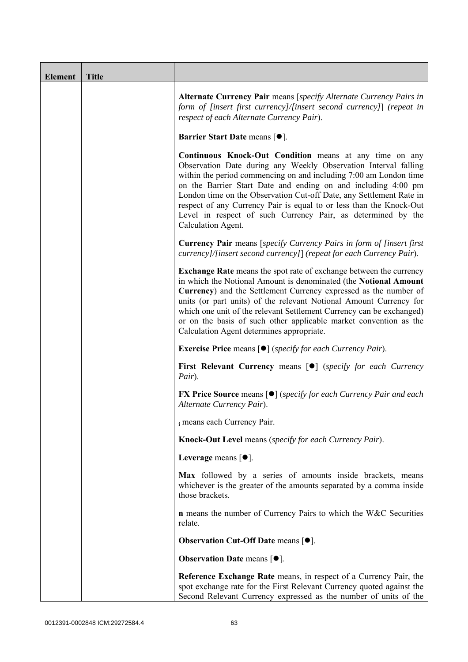| <b>Element</b> | <b>Title</b> |                                                                                                                                                                                                                                                                                                                                                                                                                                                                                                             |
|----------------|--------------|-------------------------------------------------------------------------------------------------------------------------------------------------------------------------------------------------------------------------------------------------------------------------------------------------------------------------------------------------------------------------------------------------------------------------------------------------------------------------------------------------------------|
|                |              | Alternate Currency Pair means [specify Alternate Currency Pairs in<br>form of [insert first currency]/[insert second currency]] (repeat in<br>respect of each Alternate Currency Pair).                                                                                                                                                                                                                                                                                                                     |
|                |              | <b>Barrier Start Date means [<math>\bullet</math>].</b>                                                                                                                                                                                                                                                                                                                                                                                                                                                     |
|                |              | <b>Continuous Knock-Out Condition</b> means at any time on any<br>Observation Date during any Weekly Observation Interval falling<br>within the period commencing on and including 7:00 am London time<br>on the Barrier Start Date and ending on and including 4:00 pm<br>London time on the Observation Cut-off Date, any Settlement Rate in<br>respect of any Currency Pair is equal to or less than the Knock-Out<br>Level in respect of such Currency Pair, as determined by the<br>Calculation Agent. |
|                |              | <b>Currency Pair</b> means [specify Currency Pairs in form of [insert first]<br>currency]/[insert second currency]] (repeat for each Currency Pair).                                                                                                                                                                                                                                                                                                                                                        |
|                |              | <b>Exchange Rate</b> means the spot rate of exchange between the currency<br>in which the Notional Amount is denominated (the Notional Amount<br>Currency) and the Settlement Currency expressed as the number of<br>units (or part units) of the relevant Notional Amount Currency for<br>which one unit of the relevant Settlement Currency can be exchanged)<br>or on the basis of such other applicable market convention as the<br>Calculation Agent determines appropriate.                           |
|                |              | <b>Exercise Price</b> means $\lceil \bullet \rceil$ ( <i>specify for each Currency Pair</i> ).                                                                                                                                                                                                                                                                                                                                                                                                              |
|                |              | <b>First Relevant Currency means [O]</b> (specify for each Currency<br>Pair).                                                                                                                                                                                                                                                                                                                                                                                                                               |
|                |              | <b>FX Price Source means [●]</b> (specify for each Currency Pair and each<br>Alternate Currency Pair).                                                                                                                                                                                                                                                                                                                                                                                                      |
|                |              | i means each Currency Pair.                                                                                                                                                                                                                                                                                                                                                                                                                                                                                 |
|                |              | Knock-Out Level means (specify for each Currency Pair).                                                                                                                                                                                                                                                                                                                                                                                                                                                     |
|                |              | Leverage means $[•]$ .                                                                                                                                                                                                                                                                                                                                                                                                                                                                                      |
|                |              | Max followed by a series of amounts inside brackets, means<br>whichever is the greater of the amounts separated by a comma inside<br>those brackets.                                                                                                                                                                                                                                                                                                                                                        |
|                |              | <b>n</b> means the number of Currency Pairs to which the W&C Securities<br>relate.                                                                                                                                                                                                                                                                                                                                                                                                                          |
|                |              | <b>Observation Cut-Off Date means [<math>\bullet</math>].</b>                                                                                                                                                                                                                                                                                                                                                                                                                                               |
|                |              | <b>Observation Date means <math>[•]</math>.</b>                                                                                                                                                                                                                                                                                                                                                                                                                                                             |
|                |              | Reference Exchange Rate means, in respect of a Currency Pair, the<br>spot exchange rate for the First Relevant Currency quoted against the<br>Second Relevant Currency expressed as the number of units of the                                                                                                                                                                                                                                                                                              |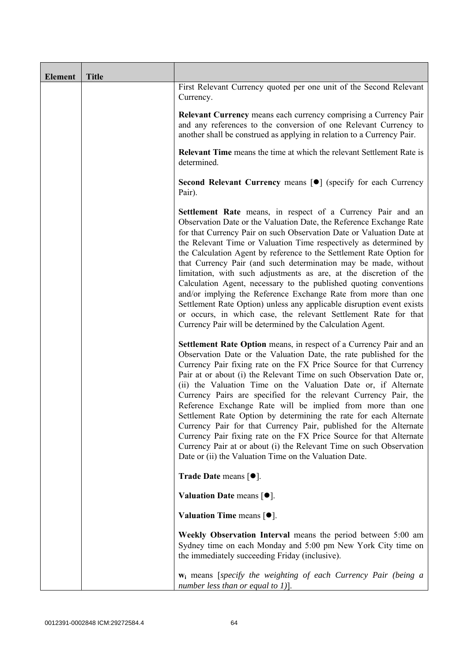| <b>Element</b> | <b>Title</b> |                                                                                                                                                                                                                                                                                                                                                                                                                                                                                                                                                                                                                                                                                                                                                                                                                                                          |
|----------------|--------------|----------------------------------------------------------------------------------------------------------------------------------------------------------------------------------------------------------------------------------------------------------------------------------------------------------------------------------------------------------------------------------------------------------------------------------------------------------------------------------------------------------------------------------------------------------------------------------------------------------------------------------------------------------------------------------------------------------------------------------------------------------------------------------------------------------------------------------------------------------|
|                |              | First Relevant Currency quoted per one unit of the Second Relevant<br>Currency.                                                                                                                                                                                                                                                                                                                                                                                                                                                                                                                                                                                                                                                                                                                                                                          |
|                |              | Relevant Currency means each currency comprising a Currency Pair<br>and any references to the conversion of one Relevant Currency to<br>another shall be construed as applying in relation to a Currency Pair.                                                                                                                                                                                                                                                                                                                                                                                                                                                                                                                                                                                                                                           |
|                |              | <b>Relevant Time</b> means the time at which the relevant Settlement Rate is<br>determined.                                                                                                                                                                                                                                                                                                                                                                                                                                                                                                                                                                                                                                                                                                                                                              |
|                |              | Second Relevant Currency means [ $\bullet$ ] (specify for each Currency<br>Pair).                                                                                                                                                                                                                                                                                                                                                                                                                                                                                                                                                                                                                                                                                                                                                                        |
|                |              | <b>Settlement Rate</b> means, in respect of a Currency Pair and an<br>Observation Date or the Valuation Date, the Reference Exchange Rate<br>for that Currency Pair on such Observation Date or Valuation Date at<br>the Relevant Time or Valuation Time respectively as determined by<br>the Calculation Agent by reference to the Settlement Rate Option for<br>that Currency Pair (and such determination may be made, without<br>limitation, with such adjustments as are, at the discretion of the<br>Calculation Agent, necessary to the published quoting conventions<br>and/or implying the Reference Exchange Rate from more than one<br>Settlement Rate Option) unless any applicable disruption event exists<br>or occurs, in which case, the relevant Settlement Rate for that<br>Currency Pair will be determined by the Calculation Agent. |
|                |              | Settlement Rate Option means, in respect of a Currency Pair and an<br>Observation Date or the Valuation Date, the rate published for the<br>Currency Pair fixing rate on the FX Price Source for that Currency<br>Pair at or about (i) the Relevant Time on such Observation Date or,<br>(ii) the Valuation Time on the Valuation Date or, if Alternate<br>Currency Pairs are specified for the relevant Currency Pair, the<br>Reference Exchange Rate will be implied from more than one<br>Settlement Rate Option by determining the rate for each Alternate<br>Currency Pair for that Currency Pair, published for the Alternate<br>Currency Pair fixing rate on the FX Price Source for that Alternate<br>Currency Pair at or about (i) the Relevant Time on such Observation<br>Date or (ii) the Valuation Time on the Valuation Date.              |
|                |              | Trade Date means $[•]$ .                                                                                                                                                                                                                                                                                                                                                                                                                                                                                                                                                                                                                                                                                                                                                                                                                                 |
|                |              | Valuation Date means $[•]$ .                                                                                                                                                                                                                                                                                                                                                                                                                                                                                                                                                                                                                                                                                                                                                                                                                             |
|                |              | Valuation Time means $[•]$ .                                                                                                                                                                                                                                                                                                                                                                                                                                                                                                                                                                                                                                                                                                                                                                                                                             |
|                |              | Weekly Observation Interval means the period between 5:00 am<br>Sydney time on each Monday and 5:00 pm New York City time on<br>the immediately succeeding Friday (inclusive).                                                                                                                                                                                                                                                                                                                                                                                                                                                                                                                                                                                                                                                                           |
|                |              | <b>w</b> <sub>i</sub> means [specify the weighting of each Currency Pair (being a<br>number less than or equal to 1)].                                                                                                                                                                                                                                                                                                                                                                                                                                                                                                                                                                                                                                                                                                                                   |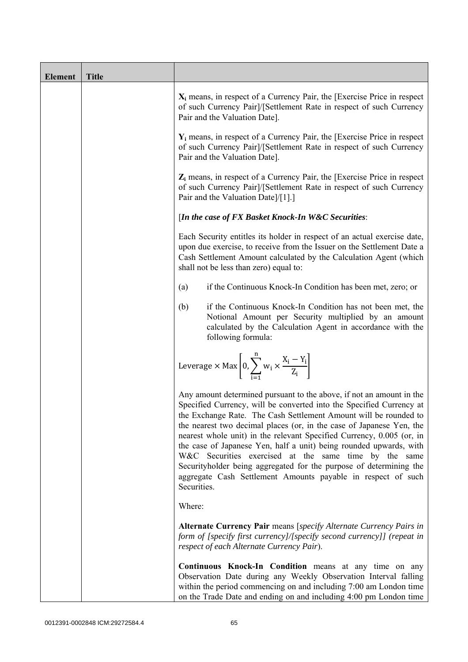| <b>Element</b> | <b>Title</b> |                                                                                                                                                                                                                                                                                                                                                                                                                                                                                                                                                                                                                                                       |
|----------------|--------------|-------------------------------------------------------------------------------------------------------------------------------------------------------------------------------------------------------------------------------------------------------------------------------------------------------------------------------------------------------------------------------------------------------------------------------------------------------------------------------------------------------------------------------------------------------------------------------------------------------------------------------------------------------|
|                |              | $X_i$ means, in respect of a Currency Pair, the [Exercise Price in respect<br>of such Currency Pair]/[Settlement Rate in respect of such Currency<br>Pair and the Valuation Date].                                                                                                                                                                                                                                                                                                                                                                                                                                                                    |
|                |              | $Y_i$ means, in respect of a Currency Pair, the [Exercise Price in respect<br>of such Currency Pair]/[Settlement Rate in respect of such Currency<br>Pair and the Valuation Date].                                                                                                                                                                                                                                                                                                                                                                                                                                                                    |
|                |              | $Z_i$ means, in respect of a Currency Pair, the [Exercise Price in respect<br>of such Currency Pair]/[Settlement Rate in respect of such Currency<br>Pair and the Valuation Date]/[1].]                                                                                                                                                                                                                                                                                                                                                                                                                                                               |
|                |              | [In the case of FX Basket Knock-In W&C Securities:                                                                                                                                                                                                                                                                                                                                                                                                                                                                                                                                                                                                    |
|                |              | Each Security entitles its holder in respect of an actual exercise date,<br>upon due exercise, to receive from the Issuer on the Settlement Date a<br>Cash Settlement Amount calculated by the Calculation Agent (which<br>shall not be less than zero) equal to:                                                                                                                                                                                                                                                                                                                                                                                     |
|                |              | if the Continuous Knock-In Condition has been met, zero; or<br>(a)                                                                                                                                                                                                                                                                                                                                                                                                                                                                                                                                                                                    |
|                |              | if the Continuous Knock-In Condition has not been met, the<br>(b)<br>Notional Amount per Security multiplied by an amount<br>calculated by the Calculation Agent in accordance with the<br>following formula:                                                                                                                                                                                                                                                                                                                                                                                                                                         |
|                |              | Leverage $\times$ Max $\left[0, \sum_{i=1}^{n} w_i \times \frac{X_i - Y_i}{Z_i}\right]$                                                                                                                                                                                                                                                                                                                                                                                                                                                                                                                                                               |
|                |              | Any amount determined pursuant to the above, if not an amount in the<br>Specified Currency, will be converted into the Specified Currency at<br>the Exchange Rate. The Cash Settlement Amount will be rounded to<br>the nearest two decimal places (or, in the case of Japanese Yen, the<br>nearest whole unit) in the relevant Specified Currency, 0.005 (or, in<br>the case of Japanese Yen, half a unit) being rounded upwards, with<br>W&C Securities exercised at the same time by the same<br>Securityholder being aggregated for the purpose of determining the<br>aggregate Cash Settlement Amounts payable in respect of such<br>Securities. |
|                |              | Where:                                                                                                                                                                                                                                                                                                                                                                                                                                                                                                                                                                                                                                                |
|                |              | Alternate Currency Pair means [specify Alternate Currency Pairs in<br>form of [specify first currency]/[specify second currency]] (repeat in<br>respect of each Alternate Currency Pair).                                                                                                                                                                                                                                                                                                                                                                                                                                                             |
|                |              | Continuous Knock-In Condition means at any time on any<br>Observation Date during any Weekly Observation Interval falling<br>within the period commencing on and including 7:00 am London time<br>on the Trade Date and ending on and including 4:00 pm London time                                                                                                                                                                                                                                                                                                                                                                                   |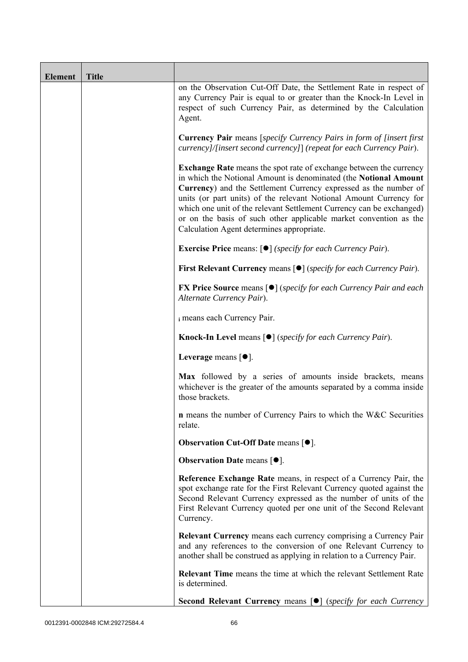| <b>Element</b> | <b>Title</b> |                                                                                                                                                                                                                                                                                                                                                                                                                                                                                   |
|----------------|--------------|-----------------------------------------------------------------------------------------------------------------------------------------------------------------------------------------------------------------------------------------------------------------------------------------------------------------------------------------------------------------------------------------------------------------------------------------------------------------------------------|
|                |              | on the Observation Cut-Off Date, the Settlement Rate in respect of<br>any Currency Pair is equal to or greater than the Knock-In Level in<br>respect of such Currency Pair, as determined by the Calculation<br>Agent.                                                                                                                                                                                                                                                            |
|                |              | <b>Currency Pair</b> means [specify Currency Pairs in form of [insert first<br>currency]/[insert second currency]] (repeat for each Currency Pair).                                                                                                                                                                                                                                                                                                                               |
|                |              | <b>Exchange Rate</b> means the spot rate of exchange between the currency<br>in which the Notional Amount is denominated (the Notional Amount<br>Currency) and the Settlement Currency expressed as the number of<br>units (or part units) of the relevant Notional Amount Currency for<br>which one unit of the relevant Settlement Currency can be exchanged)<br>or on the basis of such other applicable market convention as the<br>Calculation Agent determines appropriate. |
|                |              | <b>Exercise Price</b> means: $\lceil \bullet \rceil$ ( <i>specify for each Currency Pair</i> ).                                                                                                                                                                                                                                                                                                                                                                                   |
|                |              | <b>First Relevant Currency means <math>\lceil \bullet \rceil</math> (specify for each Currency Pair).</b>                                                                                                                                                                                                                                                                                                                                                                         |
|                |              | <b>FX Price Source</b> means $\lceil \bullet \rceil$ (specify for each Currency Pair and each<br>Alternate Currency Pair).                                                                                                                                                                                                                                                                                                                                                        |
|                |              | i means each Currency Pair.                                                                                                                                                                                                                                                                                                                                                                                                                                                       |
|                |              | <b>Knock-In Level</b> means $\lceil \bullet \rceil$ ( <i>specify for each Currency Pair</i> ).                                                                                                                                                                                                                                                                                                                                                                                    |
|                |              | Leverage means $[•]$ .                                                                                                                                                                                                                                                                                                                                                                                                                                                            |
|                |              | Max followed by a series of amounts inside brackets, means<br>whichever is the greater of the amounts separated by a comma inside<br>those brackets.                                                                                                                                                                                                                                                                                                                              |
|                |              | <b>n</b> means the number of Currency Pairs to which the W&C Securities<br>relate.                                                                                                                                                                                                                                                                                                                                                                                                |
|                |              | <b>Observation Cut-Off Date means <math>[•]</math>.</b>                                                                                                                                                                                                                                                                                                                                                                                                                           |
|                |              | <b>Observation Date means <math>\lceil \bullet \rceil</math>.</b>                                                                                                                                                                                                                                                                                                                                                                                                                 |
|                |              | Reference Exchange Rate means, in respect of a Currency Pair, the<br>spot exchange rate for the First Relevant Currency quoted against the<br>Second Relevant Currency expressed as the number of units of the<br>First Relevant Currency quoted per one unit of the Second Relevant<br>Currency.                                                                                                                                                                                 |
|                |              | <b>Relevant Currency</b> means each currency comprising a Currency Pair<br>and any references to the conversion of one Relevant Currency to<br>another shall be construed as applying in relation to a Currency Pair.                                                                                                                                                                                                                                                             |
|                |              | <b>Relevant Time</b> means the time at which the relevant Settlement Rate<br>is determined.                                                                                                                                                                                                                                                                                                                                                                                       |
|                |              | <b>Second Relevant Currency means [O]</b> (specify for each Currency                                                                                                                                                                                                                                                                                                                                                                                                              |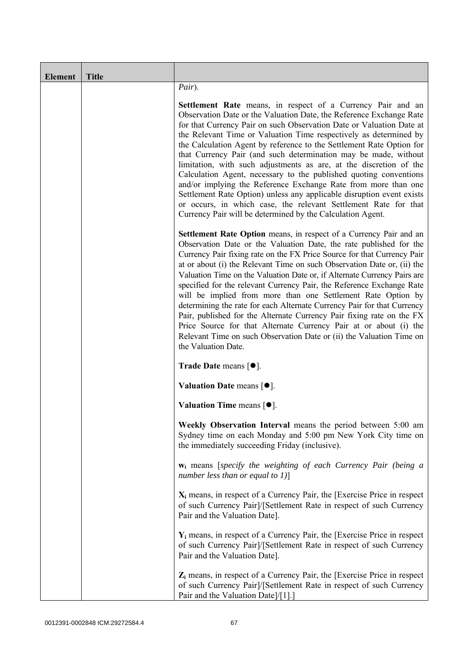| <b>Element</b> | <b>Title</b> |                                                                                                                                                                                                                                                                                                                                                                                                                                                                                                                                                                                                                                                                                                                                                                                                                                                          |
|----------------|--------------|----------------------------------------------------------------------------------------------------------------------------------------------------------------------------------------------------------------------------------------------------------------------------------------------------------------------------------------------------------------------------------------------------------------------------------------------------------------------------------------------------------------------------------------------------------------------------------------------------------------------------------------------------------------------------------------------------------------------------------------------------------------------------------------------------------------------------------------------------------|
|                |              | Pair).                                                                                                                                                                                                                                                                                                                                                                                                                                                                                                                                                                                                                                                                                                                                                                                                                                                   |
|                |              | <b>Settlement Rate</b> means, in respect of a Currency Pair and an<br>Observation Date or the Valuation Date, the Reference Exchange Rate<br>for that Currency Pair on such Observation Date or Valuation Date at<br>the Relevant Time or Valuation Time respectively as determined by<br>the Calculation Agent by reference to the Settlement Rate Option for<br>that Currency Pair (and such determination may be made, without<br>limitation, with such adjustments as are, at the discretion of the<br>Calculation Agent, necessary to the published quoting conventions<br>and/or implying the Reference Exchange Rate from more than one<br>Settlement Rate Option) unless any applicable disruption event exists<br>or occurs, in which case, the relevant Settlement Rate for that<br>Currency Pair will be determined by the Calculation Agent. |
|                |              | <b>Settlement Rate Option</b> means, in respect of a Currency Pair and an<br>Observation Date or the Valuation Date, the rate published for the<br>Currency Pair fixing rate on the FX Price Source for that Currency Pair<br>at or about (i) the Relevant Time on such Observation Date or, (ii) the<br>Valuation Time on the Valuation Date or, if Alternate Currency Pairs are<br>specified for the relevant Currency Pair, the Reference Exchange Rate<br>will be implied from more than one Settlement Rate Option by<br>determining the rate for each Alternate Currency Pair for that Currency<br>Pair, published for the Alternate Currency Pair fixing rate on the FX<br>Price Source for that Alternate Currency Pair at or about (i) the<br>Relevant Time on such Observation Date or (ii) the Valuation Time on<br>the Valuation Date.       |
|                |              | <b>Trade Date means <math>\lceil \bullet \rceil</math>.</b>                                                                                                                                                                                                                                                                                                                                                                                                                                                                                                                                                                                                                                                                                                                                                                                              |
|                |              | Valuation Date means $[•]$ .                                                                                                                                                                                                                                                                                                                                                                                                                                                                                                                                                                                                                                                                                                                                                                                                                             |
|                |              | Valuation Time means $[•]$ .                                                                                                                                                                                                                                                                                                                                                                                                                                                                                                                                                                                                                                                                                                                                                                                                                             |
|                |              | Weekly Observation Interval means the period between 5:00 am<br>Sydney time on each Monday and 5:00 pm New York City time on<br>the immediately succeeding Friday (inclusive).                                                                                                                                                                                                                                                                                                                                                                                                                                                                                                                                                                                                                                                                           |
|                |              | $w_i$ means [specify the weighting of each Currency Pair (being a<br>number less than or equal to $1$ )]                                                                                                                                                                                                                                                                                                                                                                                                                                                                                                                                                                                                                                                                                                                                                 |
|                |              | $X_i$ means, in respect of a Currency Pair, the [Exercise Price in respect]<br>of such Currency Pair]/[Settlement Rate in respect of such Currency<br>Pair and the Valuation Date].                                                                                                                                                                                                                                                                                                                                                                                                                                                                                                                                                                                                                                                                      |
|                |              | $Y_i$ means, in respect of a Currency Pair, the [Exercise Price in respect]<br>of such Currency Pair]/[Settlement Rate in respect of such Currency<br>Pair and the Valuation Date].                                                                                                                                                                                                                                                                                                                                                                                                                                                                                                                                                                                                                                                                      |
|                |              | $Z_i$ means, in respect of a Currency Pair, the [Exercise Price in respect<br>of such Currency Pair]/[Settlement Rate in respect of such Currency<br>Pair and the Valuation Date]/[1].]                                                                                                                                                                                                                                                                                                                                                                                                                                                                                                                                                                                                                                                                  |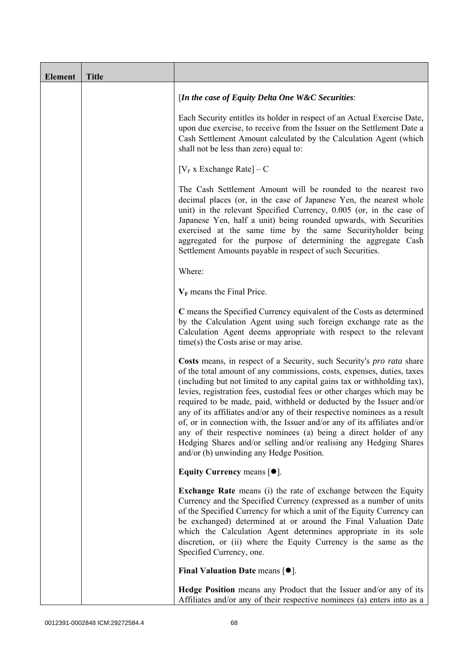| <b>Element</b> | <b>Title</b> |                                                                                                                                                                                                                                                                                                                                                                                                                                                                                                                                                                                                                                                                                                                                |
|----------------|--------------|--------------------------------------------------------------------------------------------------------------------------------------------------------------------------------------------------------------------------------------------------------------------------------------------------------------------------------------------------------------------------------------------------------------------------------------------------------------------------------------------------------------------------------------------------------------------------------------------------------------------------------------------------------------------------------------------------------------------------------|
|                |              | [In the case of Equity Delta One W&C Securities:                                                                                                                                                                                                                                                                                                                                                                                                                                                                                                                                                                                                                                                                               |
|                |              | Each Security entitles its holder in respect of an Actual Exercise Date,<br>upon due exercise, to receive from the Issuer on the Settlement Date a<br>Cash Settlement Amount calculated by the Calculation Agent (which<br>shall not be less than zero) equal to:                                                                                                                                                                                                                                                                                                                                                                                                                                                              |
|                |              | $[V_F x]$ Exchange Rate $] - C$                                                                                                                                                                                                                                                                                                                                                                                                                                                                                                                                                                                                                                                                                                |
|                |              | The Cash Settlement Amount will be rounded to the nearest two<br>decimal places (or, in the case of Japanese Yen, the nearest whole<br>unit) in the relevant Specified Currency, 0.005 (or, in the case of<br>Japanese Yen, half a unit) being rounded upwards, with Securities<br>exercised at the same time by the same Securityholder being<br>aggregated for the purpose of determining the aggregate Cash<br>Settlement Amounts payable in respect of such Securities.                                                                                                                                                                                                                                                    |
|                |              | Where:                                                                                                                                                                                                                                                                                                                                                                                                                                                                                                                                                                                                                                                                                                                         |
|                |              | $V_F$ means the Final Price.                                                                                                                                                                                                                                                                                                                                                                                                                                                                                                                                                                                                                                                                                                   |
|                |              | C means the Specified Currency equivalent of the Costs as determined<br>by the Calculation Agent using such foreign exchange rate as the<br>Calculation Agent deems appropriate with respect to the relevant<br>$time(s)$ the Costs arise or may arise.                                                                                                                                                                                                                                                                                                                                                                                                                                                                        |
|                |              | Costs means, in respect of a Security, such Security's pro rata share<br>of the total amount of any commissions, costs, expenses, duties, taxes<br>(including but not limited to any capital gains tax or withholding tax),<br>levies, registration fees, custodial fees or other charges which may be<br>required to be made, paid, withheld or deducted by the Issuer and/or<br>any of its affiliates and/or any of their respective nominees as a result<br>of, or in connection with, the Issuer and/or any of its affiliates and/or<br>any of their respective nominees (a) being a direct holder of any<br>Hedging Shares and/or selling and/or realising any Hedging Shares<br>and/or (b) unwinding any Hedge Position. |
|                |              | Equity Currency means $[\bullet].$                                                                                                                                                                                                                                                                                                                                                                                                                                                                                                                                                                                                                                                                                             |
|                |              | <b>Exchange Rate</b> means (i) the rate of exchange between the Equity<br>Currency and the Specified Currency (expressed as a number of units<br>of the Specified Currency for which a unit of the Equity Currency can<br>be exchanged) determined at or around the Final Valuation Date<br>which the Calculation Agent determines appropriate in its sole<br>discretion, or (ii) where the Equity Currency is the same as the<br>Specified Currency, one.                                                                                                                                                                                                                                                                     |
|                |              | Final Valuation Date means $[•]$ .                                                                                                                                                                                                                                                                                                                                                                                                                                                                                                                                                                                                                                                                                             |
|                |              | Hedge Position means any Product that the Issuer and/or any of its<br>Affiliates and/or any of their respective nominees (a) enters into as a                                                                                                                                                                                                                                                                                                                                                                                                                                                                                                                                                                                  |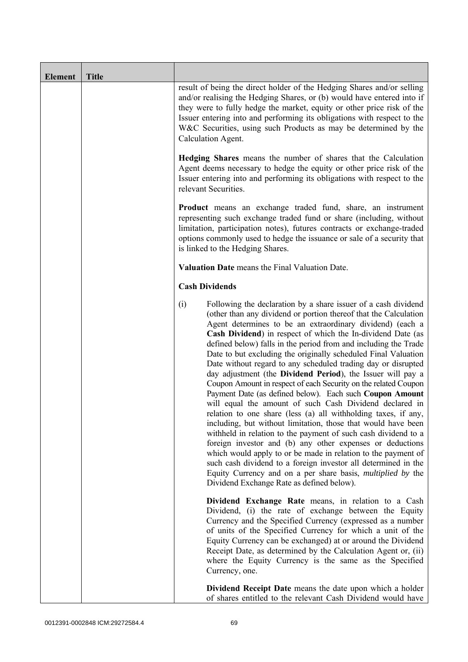| <b>Element</b> | <b>Title</b> |                                                                                                                                                                                                                                                                                                                                                                                                                                                                                                                                                                                                                                                                                                                                                                                                                                                                                                                                                                                                                                                                                                                                                                                                                                                              |
|----------------|--------------|--------------------------------------------------------------------------------------------------------------------------------------------------------------------------------------------------------------------------------------------------------------------------------------------------------------------------------------------------------------------------------------------------------------------------------------------------------------------------------------------------------------------------------------------------------------------------------------------------------------------------------------------------------------------------------------------------------------------------------------------------------------------------------------------------------------------------------------------------------------------------------------------------------------------------------------------------------------------------------------------------------------------------------------------------------------------------------------------------------------------------------------------------------------------------------------------------------------------------------------------------------------|
|                |              | result of being the direct holder of the Hedging Shares and/or selling<br>and/or realising the Hedging Shares, or (b) would have entered into if<br>they were to fully hedge the market, equity or other price risk of the<br>Issuer entering into and performing its obligations with respect to the<br>W&C Securities, using such Products as may be determined by the<br>Calculation Agent.                                                                                                                                                                                                                                                                                                                                                                                                                                                                                                                                                                                                                                                                                                                                                                                                                                                               |
|                |              | Hedging Shares means the number of shares that the Calculation<br>Agent deems necessary to hedge the equity or other price risk of the<br>Issuer entering into and performing its obligations with respect to the<br>relevant Securities.                                                                                                                                                                                                                                                                                                                                                                                                                                                                                                                                                                                                                                                                                                                                                                                                                                                                                                                                                                                                                    |
|                |              | <b>Product</b> means an exchange traded fund, share, an instrument<br>representing such exchange traded fund or share (including, without<br>limitation, participation notes), futures contracts or exchange-traded<br>options commonly used to hedge the issuance or sale of a security that<br>is linked to the Hedging Shares.                                                                                                                                                                                                                                                                                                                                                                                                                                                                                                                                                                                                                                                                                                                                                                                                                                                                                                                            |
|                |              | Valuation Date means the Final Valuation Date.                                                                                                                                                                                                                                                                                                                                                                                                                                                                                                                                                                                                                                                                                                                                                                                                                                                                                                                                                                                                                                                                                                                                                                                                               |
|                |              | <b>Cash Dividends</b>                                                                                                                                                                                                                                                                                                                                                                                                                                                                                                                                                                                                                                                                                                                                                                                                                                                                                                                                                                                                                                                                                                                                                                                                                                        |
|                |              | (i)<br>Following the declaration by a share issuer of a cash dividend<br>(other than any dividend or portion thereof that the Calculation<br>Agent determines to be an extraordinary dividend) (each a<br>Cash Dividend) in respect of which the In-dividend Date (as<br>defined below) falls in the period from and including the Trade<br>Date to but excluding the originally scheduled Final Valuation<br>Date without regard to any scheduled trading day or disrupted<br>day adjustment (the Dividend Period), the Issuer will pay a<br>Coupon Amount in respect of each Security on the related Coupon<br>Payment Date (as defined below). Each such Coupon Amount<br>will equal the amount of such Cash Dividend declared in<br>relation to one share (less (a) all withholding taxes, if any,<br>including, but without limitation, those that would have been<br>withheld in relation to the payment of such cash dividend to a<br>foreign investor and (b) any other expenses or deductions<br>which would apply to or be made in relation to the payment of<br>such cash dividend to a foreign investor all determined in the<br>Equity Currency and on a per share basis, <i>multiplied by</i> the<br>Dividend Exchange Rate as defined below). |
|                |              | Dividend Exchange Rate means, in relation to a Cash<br>Dividend, (i) the rate of exchange between the Equity<br>Currency and the Specified Currency (expressed as a number<br>of units of the Specified Currency for which a unit of the<br>Equity Currency can be exchanged) at or around the Dividend<br>Receipt Date, as determined by the Calculation Agent or, (ii)<br>where the Equity Currency is the same as the Specified<br>Currency, one.                                                                                                                                                                                                                                                                                                                                                                                                                                                                                                                                                                                                                                                                                                                                                                                                         |
|                |              | Dividend Receipt Date means the date upon which a holder<br>of shares entitled to the relevant Cash Dividend would have                                                                                                                                                                                                                                                                                                                                                                                                                                                                                                                                                                                                                                                                                                                                                                                                                                                                                                                                                                                                                                                                                                                                      |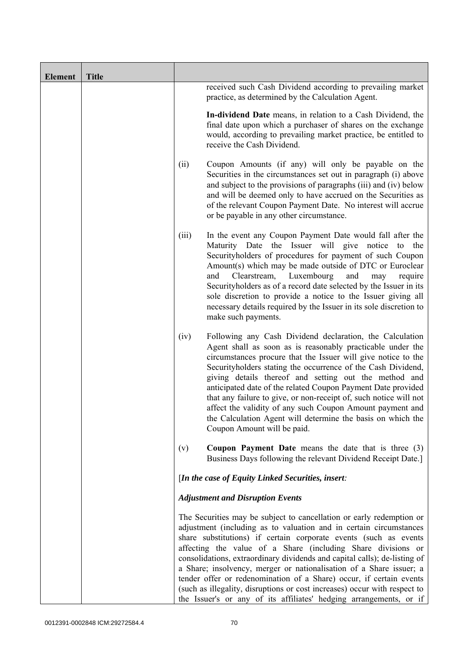| <b>Element</b> | <b>Title</b> |       |                                                                                                                                                                                                                                                                                                                                                                                                                                                                                                                                                                                                                                                              |
|----------------|--------------|-------|--------------------------------------------------------------------------------------------------------------------------------------------------------------------------------------------------------------------------------------------------------------------------------------------------------------------------------------------------------------------------------------------------------------------------------------------------------------------------------------------------------------------------------------------------------------------------------------------------------------------------------------------------------------|
|                |              |       | received such Cash Dividend according to prevailing market<br>practice, as determined by the Calculation Agent.                                                                                                                                                                                                                                                                                                                                                                                                                                                                                                                                              |
|                |              |       | In-dividend Date means, in relation to a Cash Dividend, the<br>final date upon which a purchaser of shares on the exchange<br>would, according to prevailing market practice, be entitled to<br>receive the Cash Dividend.                                                                                                                                                                                                                                                                                                                                                                                                                                   |
|                |              | (ii)  | Coupon Amounts (if any) will only be payable on the<br>Securities in the circumstances set out in paragraph (i) above<br>and subject to the provisions of paragraphs (iii) and (iv) below<br>and will be deemed only to have accrued on the Securities as<br>of the relevant Coupon Payment Date. No interest will accrue<br>or be payable in any other circumstance.                                                                                                                                                                                                                                                                                        |
|                |              | (iii) | In the event any Coupon Payment Date would fall after the<br>Maturity Date the Issuer will give notice to the<br>Securityholders of procedures for payment of such Coupon<br>Amount(s) which may be made outside of DTC or Euroclear<br>Luxembourg<br>Clearstream,<br>and<br>and<br>may<br>require<br>Security holders as of a record date selected by the Issuer in its<br>sole discretion to provide a notice to the Issuer giving all<br>necessary details required by the Issuer in its sole discretion to<br>make such payments.                                                                                                                        |
|                |              | (iv)  | Following any Cash Dividend declaration, the Calculation<br>Agent shall as soon as is reasonably practicable under the<br>circumstances procure that the Issuer will give notice to the<br>Securityholders stating the occurrence of the Cash Dividend,<br>giving details thereof and setting out the method and<br>anticipated date of the related Coupon Payment Date provided<br>that any failure to give, or non-receipt of, such notice will not<br>affect the validity of any such Coupon Amount payment and<br>the Calculation Agent will determine the basis on which the<br>Coupon Amount will be paid.                                             |
|                |              | (v)   | <b>Coupon Payment Date</b> means the date that is three $(3)$<br>Business Days following the relevant Dividend Receipt Date.]                                                                                                                                                                                                                                                                                                                                                                                                                                                                                                                                |
|                |              |       | [In the case of Equity Linked Securities, insert:                                                                                                                                                                                                                                                                                                                                                                                                                                                                                                                                                                                                            |
|                |              |       | <b>Adjustment and Disruption Events</b>                                                                                                                                                                                                                                                                                                                                                                                                                                                                                                                                                                                                                      |
|                |              |       | The Securities may be subject to cancellation or early redemption or<br>adjustment (including as to valuation and in certain circumstances<br>share substitutions) if certain corporate events (such as events<br>affecting the value of a Share (including Share divisions or<br>consolidations, extraordinary dividends and capital calls); de-listing of<br>a Share; insolvency, merger or nationalisation of a Share issuer; a<br>tender offer or redenomination of a Share) occur, if certain events<br>(such as illegality, disruptions or cost increases) occur with respect to<br>the Issuer's or any of its affiliates' hedging arrangements, or if |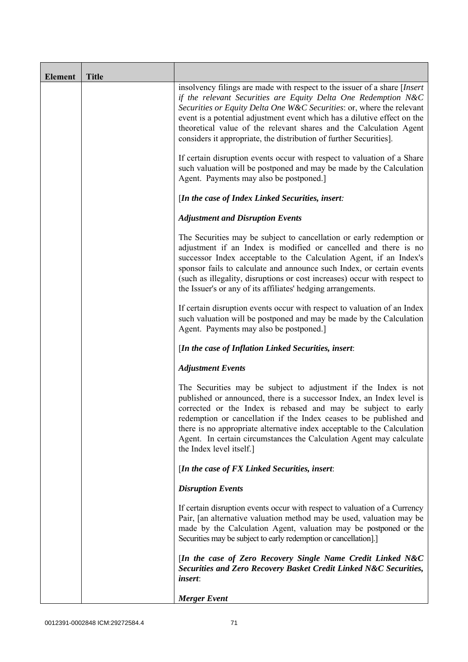| <b>Element</b> | <b>Title</b> |                                                                                                                                                                                                                                                                                                                                                                                                                                                               |
|----------------|--------------|---------------------------------------------------------------------------------------------------------------------------------------------------------------------------------------------------------------------------------------------------------------------------------------------------------------------------------------------------------------------------------------------------------------------------------------------------------------|
|                |              | insolvency filings are made with respect to the issuer of a share [Insert]<br>if the relevant Securities are Equity Delta One Redemption N&C<br>Securities or Equity Delta One W&C Securities: or, where the relevant<br>event is a potential adjustment event which has a dilutive effect on the<br>theoretical value of the relevant shares and the Calculation Agent<br>considers it appropriate, the distribution of further Securities].                 |
|                |              | If certain disruption events occur with respect to valuation of a Share<br>such valuation will be postponed and may be made by the Calculation<br>Agent. Payments may also be postponed.]                                                                                                                                                                                                                                                                     |
|                |              | [In the case of Index Linked Securities, insert:                                                                                                                                                                                                                                                                                                                                                                                                              |
|                |              | <b>Adjustment and Disruption Events</b>                                                                                                                                                                                                                                                                                                                                                                                                                       |
|                |              | The Securities may be subject to cancellation or early redemption or<br>adjustment if an Index is modified or cancelled and there is no<br>successor Index acceptable to the Calculation Agent, if an Index's<br>sponsor fails to calculate and announce such Index, or certain events<br>(such as illegality, disruptions or cost increases) occur with respect to<br>the Issuer's or any of its affiliates' hedging arrangements.                           |
|                |              | If certain disruption events occur with respect to valuation of an Index<br>such valuation will be postponed and may be made by the Calculation<br>Agent. Payments may also be postponed.]                                                                                                                                                                                                                                                                    |
|                |              | [In the case of Inflation Linked Securities, insert:                                                                                                                                                                                                                                                                                                                                                                                                          |
|                |              | <b>Adjustment Events</b>                                                                                                                                                                                                                                                                                                                                                                                                                                      |
|                |              | The Securities may be subject to adjustment if the Index is not<br>published or announced, there is a successor Index, an Index level is<br>corrected or the Index is rebased and may be subject to early<br>redemption or cancellation if the Index ceases to be published and<br>there is no appropriate alternative index acceptable to the Calculation<br>Agent. In certain circumstances the Calculation Agent may calculate<br>the Index level itself.] |
|                |              | [In the case of FX Linked Securities, insert:                                                                                                                                                                                                                                                                                                                                                                                                                 |
|                |              | <b>Disruption Events</b>                                                                                                                                                                                                                                                                                                                                                                                                                                      |
|                |              | If certain disruption events occur with respect to valuation of a Currency<br>Pair, [an alternative valuation method may be used, valuation may be<br>made by the Calculation Agent, valuation may be postponed or the<br>Securities may be subject to early redemption or cancellation].]                                                                                                                                                                    |
|                |              | [In the case of Zero Recovery Single Name Credit Linked N&C<br>Securities and Zero Recovery Basket Credit Linked N&C Securities,<br><i>insert</i> :                                                                                                                                                                                                                                                                                                           |
|                |              | <b>Merger</b> Event                                                                                                                                                                                                                                                                                                                                                                                                                                           |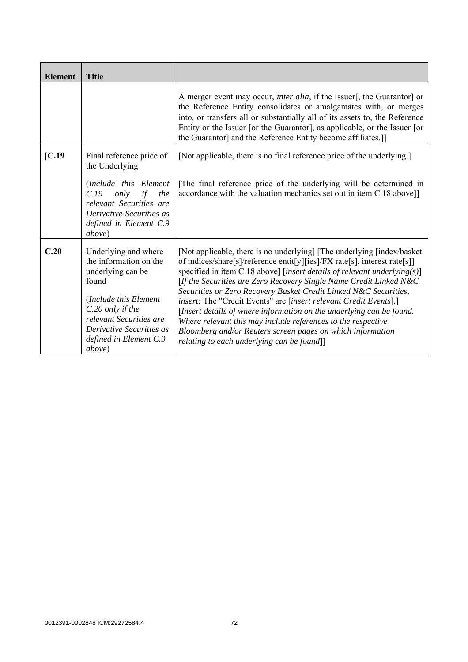| <b>Element</b> | <b>Title</b>                                                                                                                                                                                                         |                                                                                                                                                                                                                                                                                                                                                                                                                                                                                                                                                                                                                                                                                                      |
|----------------|----------------------------------------------------------------------------------------------------------------------------------------------------------------------------------------------------------------------|------------------------------------------------------------------------------------------------------------------------------------------------------------------------------------------------------------------------------------------------------------------------------------------------------------------------------------------------------------------------------------------------------------------------------------------------------------------------------------------------------------------------------------------------------------------------------------------------------------------------------------------------------------------------------------------------------|
|                |                                                                                                                                                                                                                      | A merger event may occur, <i>inter alia</i> , if the Issuer[, the Guarantor] or<br>the Reference Entity consolidates or amalgamates with, or merges<br>into, or transfers all or substantially all of its assets to, the Reference<br>Entity or the Issuer [or the Guarantor], as applicable, or the Issuer [or<br>the Guarantor] and the Reference Entity become affiliates.]                                                                                                                                                                                                                                                                                                                       |
| IC.19          | Final reference price of<br>the Underlying                                                                                                                                                                           | [Not applicable, there is no final reference price of the underlying.]                                                                                                                                                                                                                                                                                                                                                                                                                                                                                                                                                                                                                               |
|                | (Include this Element<br>C.19<br>only<br>if<br>the<br>relevant Securities are<br>Derivative Securities as<br>defined in Element C.9<br><i>above</i> )                                                                | The final reference price of the underlying will be determined in<br>accordance with the valuation mechanics set out in item C.18 above]]                                                                                                                                                                                                                                                                                                                                                                                                                                                                                                                                                            |
| C.20           | Underlying and where<br>the information on the<br>underlying can be<br>found<br>(Include this Element<br>C.20 only if the<br>relevant Securities are<br>Derivative Securities as<br>defined in Element C.9<br>above) | [Not applicable, there is no underlying] [The underlying [index/basket<br>of indices/share[s]/reference entit[y][ies]/FX rate[s], interest rate[s]]<br>specified in item C.18 above] [insert details of relevant underlying(s)]<br>[If the Securities are Zero Recovery Single Name Credit Linked $N&C$<br>Securities or Zero Recovery Basket Credit Linked N&C Securities,<br>insert: The "Credit Events" are [insert relevant Credit Events].]<br>[Insert details of where information on the underlying can be found.<br>Where relevant this may include references to the respective<br>Bloomberg and/or Reuters screen pages on which information<br>relating to each underlying can be found]] |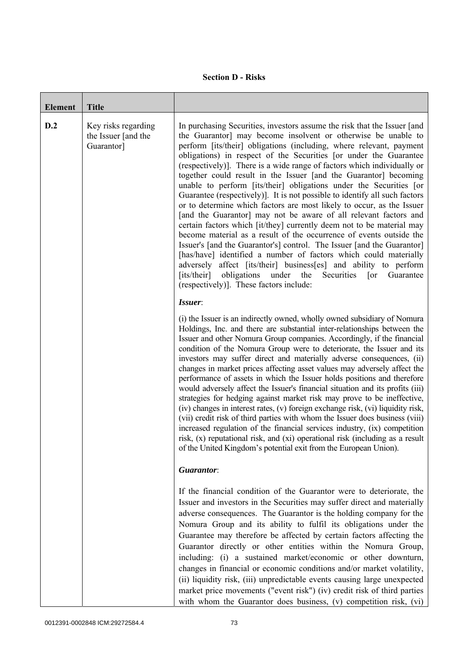## **Section D - Risks**

| <b>Element</b> | <b>Title</b>                                             |                                                                                                                                                                                                                                                                                                                                                                                                                                                                                                                                                                                                                                                                                                                                                                                                                                                                                                                                                                                                                                                                                                                                                                                                                                           |
|----------------|----------------------------------------------------------|-------------------------------------------------------------------------------------------------------------------------------------------------------------------------------------------------------------------------------------------------------------------------------------------------------------------------------------------------------------------------------------------------------------------------------------------------------------------------------------------------------------------------------------------------------------------------------------------------------------------------------------------------------------------------------------------------------------------------------------------------------------------------------------------------------------------------------------------------------------------------------------------------------------------------------------------------------------------------------------------------------------------------------------------------------------------------------------------------------------------------------------------------------------------------------------------------------------------------------------------|
| D.2            | Key risks regarding<br>the Issuer [and the<br>Guarantor] | In purchasing Securities, investors assume the risk that the Issuer [and<br>the Guarantor] may become insolvent or otherwise be unable to<br>perform [its/their] obligations (including, where relevant, payment<br>obligations) in respect of the Securities [or under the Guarantee<br>(respectively)]. There is a wide range of factors which individually or<br>together could result in the Issuer [and the Guarantor] becoming<br>unable to perform [its/their] obligations under the Securities [or<br>Guarantee (respectively). It is not possible to identify all such factors<br>or to determine which factors are most likely to occur, as the Issuer<br>[and the Guarantor] may not be aware of all relevant factors and<br>certain factors which [it/they] currently deem not to be material may<br>become material as a result of the occurrence of events outside the<br>Issuer's [and the Guarantor's] control. The Issuer [and the Guarantor]<br>[has/have] identified a number of factors which could materially<br>adversely affect [its/their] business[es] and ability to perform<br>obligations<br>[its/their]<br>under<br>the<br>Guarantee<br>Securities<br>$\lceil$ or<br>(respectively)]. These factors include: |
|                |                                                          | Issuer:<br>(i) the Issuer is an indirectly owned, wholly owned subsidiary of Nomura<br>Holdings, Inc. and there are substantial inter-relationships between the<br>Issuer and other Nomura Group companies. Accordingly, if the financial<br>condition of the Nomura Group were to deteriorate, the Issuer and its<br>investors may suffer direct and materially adverse consequences, (ii)<br>changes in market prices affecting asset values may adversely affect the<br>performance of assets in which the Issuer holds positions and therefore<br>would adversely affect the Issuer's financial situation and its profits (iii)<br>strategies for hedging against market risk may prove to be ineffective,<br>(iv) changes in interest rates, (v) foreign exchange risk, (vi) liquidity risk,<br>(vii) credit risk of third parties with whom the Issuer does business (viii)<br>increased regulation of the financial services industry, (ix) competition<br>risk, (x) reputational risk, and (xi) operational risk (including as a result<br>of the United Kingdom's potential exit from the European Union).                                                                                                                       |
|                |                                                          | Guarantor:                                                                                                                                                                                                                                                                                                                                                                                                                                                                                                                                                                                                                                                                                                                                                                                                                                                                                                                                                                                                                                                                                                                                                                                                                                |
|                |                                                          | If the financial condition of the Guarantor were to deteriorate, the<br>Issuer and investors in the Securities may suffer direct and materially<br>adverse consequences. The Guarantor is the holding company for the<br>Nomura Group and its ability to fulfil its obligations under the<br>Guarantee may therefore be affected by certain factors affecting the<br>Guarantor directly or other entities within the Nomura Group,<br>including: (i) a sustained market/economic or other downturn,<br>changes in financial or economic conditions and/or market volatility,<br>(ii) liquidity risk, (iii) unpredictable events causing large unexpected<br>market price movements ("event risk") (iv) credit risk of third parties<br>with whom the Guarantor does business, (v) competition risk, (vi)                                                                                                                                                                                                                                                                                                                                                                                                                                  |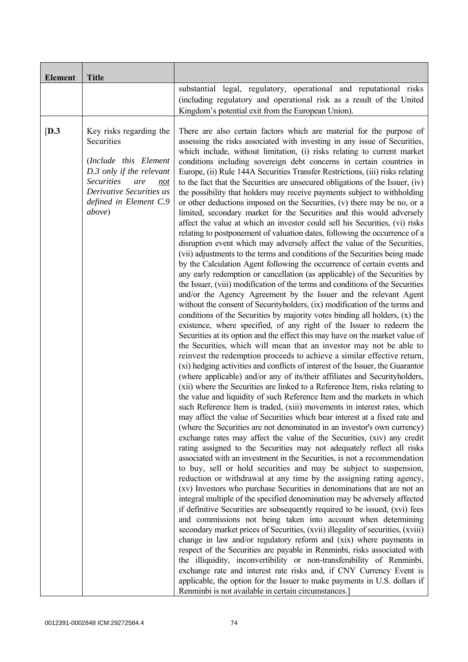| <b>Element</b> | <b>Title</b>                                                                                                                                                                                          |                                                                                                                                                                                                                                                                                                                                                                                                                                                                                                                                                                                                                                                                                                                                                                                                                                                                                                                                                                                                                                                                                                                                                                                                                                                                                                                                                                                                                                                                                                                                                                                                                                                                                                                                                                                                                                                                                                                                                                                                                                                                                                                                                                                                                                                                                                                                                                                                                                                                                                                                                                                                                                                                                                                                                                                                                                                                                                                                                                                                                                                                                                                                                                                                                                                                                                                                                                                                                                                                                                                                                                                                      |
|----------------|-------------------------------------------------------------------------------------------------------------------------------------------------------------------------------------------------------|------------------------------------------------------------------------------------------------------------------------------------------------------------------------------------------------------------------------------------------------------------------------------------------------------------------------------------------------------------------------------------------------------------------------------------------------------------------------------------------------------------------------------------------------------------------------------------------------------------------------------------------------------------------------------------------------------------------------------------------------------------------------------------------------------------------------------------------------------------------------------------------------------------------------------------------------------------------------------------------------------------------------------------------------------------------------------------------------------------------------------------------------------------------------------------------------------------------------------------------------------------------------------------------------------------------------------------------------------------------------------------------------------------------------------------------------------------------------------------------------------------------------------------------------------------------------------------------------------------------------------------------------------------------------------------------------------------------------------------------------------------------------------------------------------------------------------------------------------------------------------------------------------------------------------------------------------------------------------------------------------------------------------------------------------------------------------------------------------------------------------------------------------------------------------------------------------------------------------------------------------------------------------------------------------------------------------------------------------------------------------------------------------------------------------------------------------------------------------------------------------------------------------------------------------------------------------------------------------------------------------------------------------------------------------------------------------------------------------------------------------------------------------------------------------------------------------------------------------------------------------------------------------------------------------------------------------------------------------------------------------------------------------------------------------------------------------------------------------------------------------------------------------------------------------------------------------------------------------------------------------------------------------------------------------------------------------------------------------------------------------------------------------------------------------------------------------------------------------------------------------------------------------------------------------------------------------------------------------|
|                |                                                                                                                                                                                                       | substantial legal, regulatory, operational and reputational risks<br>(including regulatory and operational risk as a result of the United<br>Kingdom's potential exit from the European Union).                                                                                                                                                                                                                                                                                                                                                                                                                                                                                                                                                                                                                                                                                                                                                                                                                                                                                                                                                                                                                                                                                                                                                                                                                                                                                                                                                                                                                                                                                                                                                                                                                                                                                                                                                                                                                                                                                                                                                                                                                                                                                                                                                                                                                                                                                                                                                                                                                                                                                                                                                                                                                                                                                                                                                                                                                                                                                                                                                                                                                                                                                                                                                                                                                                                                                                                                                                                                      |
| [D.3]          | Key risks regarding the<br>Securities<br>(Include this Element<br>D.3 only if the relevant<br><b>Securities</b><br>are<br>not<br>Derivative Securities as<br>defined in Element C.9<br><i>above</i> ) | There are also certain factors which are material for the purpose of<br>assessing the risks associated with investing in any issue of Securities,<br>which include, without limitation, (i) risks relating to current market<br>conditions including sovereign debt concerns in certain countries in<br>Europe, (ii) Rule 144A Securities Transfer Restrictions, (iii) risks relating<br>to the fact that the Securities are unsecured obligations of the Issuer, (iv)<br>the possibility that holders may receive payments subject to withholding<br>or other deductions imposed on the Securities, (v) there may be no, or a<br>limited, secondary market for the Securities and this would adversely<br>affect the value at which an investor could sell his Securities, (vi) risks<br>relating to postponement of valuation dates, following the occurrence of a<br>disruption event which may adversely affect the value of the Securities,<br>(vii) adjustments to the terms and conditions of the Securities being made<br>by the Calculation Agent following the occurrence of certain events and<br>any early redemption or cancellation (as applicable) of the Securities by<br>the Issuer, (viii) modification of the terms and conditions of the Securities<br>and/or the Agency Agreement by the Issuer and the relevant Agent<br>without the consent of Securityholders, (ix) modification of the terms and<br>conditions of the Securities by majority votes binding all holders, $(x)$ the<br>existence, where specified, of any right of the Issuer to redeem the<br>Securities at its option and the effect this may have on the market value of<br>the Securities, which will mean that an investor may not be able to<br>reinvest the redemption proceeds to achieve a similar effective return,<br>(xi) hedging activities and conflicts of interest of the Issuer, the Guarantor<br>(where applicable) and/or any of its/their affiliates and Securityholders,<br>(xii) where the Securities are linked to a Reference Item, risks relating to<br>the value and liquidity of such Reference Item and the markets in which<br>such Reference Item is traded, (xiii) movements in interest rates, which<br>may affect the value of Securities which bear interest at a fixed rate and<br>(where the Securities are not denominated in an investor's own currency)<br>exchange rates may affect the value of the Securities, (xiv) any credit<br>rating assigned to the Securities may not adequately reflect all risks<br>associated with an investment in the Securities, is not a recommendation<br>to buy, sell or hold securities and may be subject to suspension,<br>reduction or withdrawal at any time by the assigning rating agency,<br>(xv) Investors who purchase Securities in denominations that are not an<br>integral multiple of the specified denomination may be adversely affected<br>if definitive Securities are subsequently required to be issued, (xvi) fees<br>and commissions not being taken into account when determining<br>secondary market prices of Securities, (xvii) illegality of securities, (xviii)<br>change in law and/or regulatory reform and (xix) where payments in<br>respect of the Securities are payable in Renminbi, risks associated with<br>the illiquidity, inconvertibility or non-transferability of Renminbi,<br>exchange rate and interest rate risks and, if CNY Currency Event is<br>applicable, the option for the Issuer to make payments in U.S. dollars if<br>Renminbi is not available in certain circumstances.] |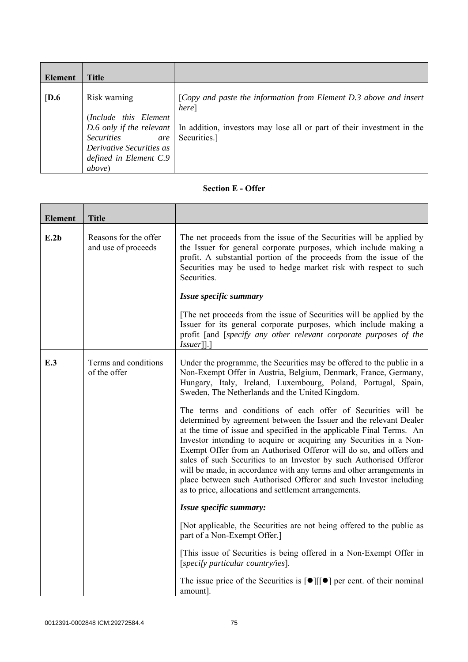| Element          | <b>Title</b>                                                                                                                              |                                                                                                                                                                                                 |
|------------------|-------------------------------------------------------------------------------------------------------------------------------------------|-------------------------------------------------------------------------------------------------------------------------------------------------------------------------------------------------|
| $\overline{D.6}$ | Risk warning<br>(Include this Element<br><b>Securities</b><br>are<br>Derivative Securities as<br>defined in Element C.9<br><i>above</i> ) | [Copy and paste the information from Element D.3 above and insert<br>here]<br>D.6 only if the relevant   In addition, investors may lose all or part of their investment in the<br>Securities.] |

## **Section E - Offer**

| <b>Element</b> | <b>Title</b>                                 |                                                                                                                                                                                                                                                                                                                                                                                                                                                                                                                                                                                                                                     |
|----------------|----------------------------------------------|-------------------------------------------------------------------------------------------------------------------------------------------------------------------------------------------------------------------------------------------------------------------------------------------------------------------------------------------------------------------------------------------------------------------------------------------------------------------------------------------------------------------------------------------------------------------------------------------------------------------------------------|
| E.2b           | Reasons for the offer<br>and use of proceeds | The net proceeds from the issue of the Securities will be applied by<br>the Issuer for general corporate purposes, which include making a<br>profit. A substantial portion of the proceeds from the issue of the<br>Securities may be used to hedge market risk with respect to such<br>Securities.                                                                                                                                                                                                                                                                                                                                 |
|                |                                              | Issue specific summary                                                                                                                                                                                                                                                                                                                                                                                                                                                                                                                                                                                                              |
|                |                                              | The net proceeds from the issue of Securities will be applied by the<br>Issuer for its general corporate purposes, which include making a<br>profit [and [specify any other relevant corporate purposes of the<br>$Is \, \text{user}$ ].                                                                                                                                                                                                                                                                                                                                                                                            |
| E.3            | Terms and conditions<br>of the offer         | Under the programme, the Securities may be offered to the public in a<br>Non-Exempt Offer in Austria, Belgium, Denmark, France, Germany,<br>Hungary, Italy, Ireland, Luxembourg, Poland, Portugal, Spain,<br>Sweden, The Netherlands and the United Kingdom.                                                                                                                                                                                                                                                                                                                                                                        |
|                |                                              | The terms and conditions of each offer of Securities will be<br>determined by agreement between the Issuer and the relevant Dealer<br>at the time of issue and specified in the applicable Final Terms. An<br>Investor intending to acquire or acquiring any Securities in a Non-<br>Exempt Offer from an Authorised Offeror will do so, and offers and<br>sales of such Securities to an Investor by such Authorised Offeror<br>will be made, in accordance with any terms and other arrangements in<br>place between such Authorised Offeror and such Investor including<br>as to price, allocations and settlement arrangements. |
|                |                                              | Issue specific summary:                                                                                                                                                                                                                                                                                                                                                                                                                                                                                                                                                                                                             |
|                |                                              | [Not applicable, the Securities are not being offered to the public as<br>part of a Non-Exempt Offer.]                                                                                                                                                                                                                                                                                                                                                                                                                                                                                                                              |
|                |                                              | [This issue of Securities is being offered in a Non-Exempt Offer in<br>[specify particular country/ies].                                                                                                                                                                                                                                                                                                                                                                                                                                                                                                                            |
|                |                                              | The issue price of the Securities is $\lceil \bullet \rceil \lceil \cdot \rceil$ per cent. of their nominal<br>amount].                                                                                                                                                                                                                                                                                                                                                                                                                                                                                                             |